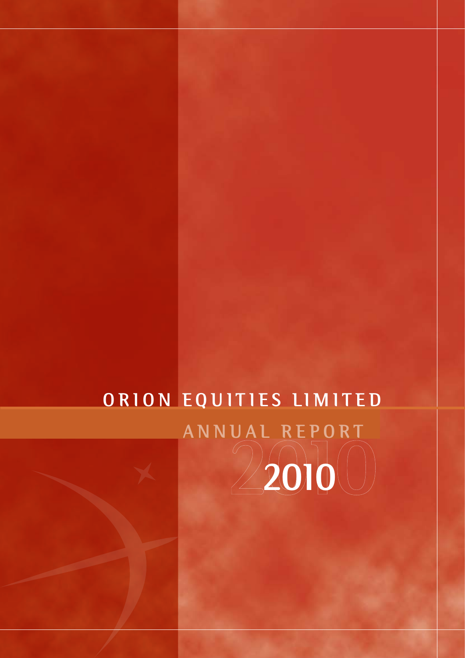# **ANNUAL REPORT ORION EQUITIES LIMITED 2010**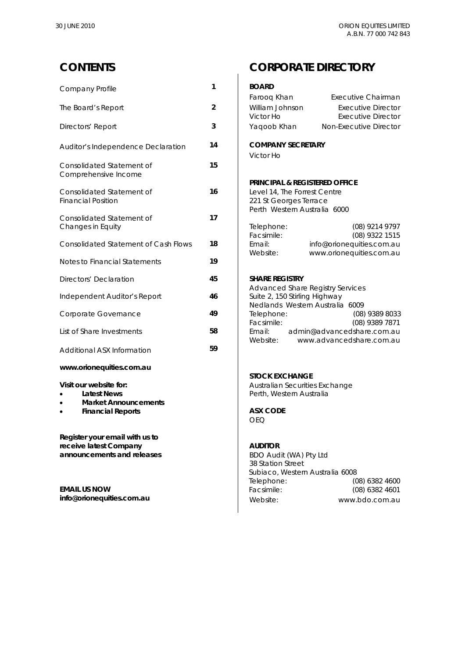| Company Profile                                                             | 1              | <b>BOARD</b>                                                                                                                       |
|-----------------------------------------------------------------------------|----------------|------------------------------------------------------------------------------------------------------------------------------------|
| The Board's Report                                                          | $\overline{2}$ | Farooq Khan<br>Execut<br>William Johnson<br>Exec                                                                                   |
| Directors' Report                                                           | 3              | Victor Ho<br>Exec<br>Non-Exec<br>Yaqoob Khan                                                                                       |
| Auditor's Independence Declaration                                          | 14             | <b>COMPANY SECRETARY</b><br>Victor Ho                                                                                              |
| Consolidated Statement of<br>Comprehensive Income                           | 15             |                                                                                                                                    |
| Consolidated Statement of<br><b>Financial Position</b>                      | 16             | <b>PRINCIPAL &amp; REGISTERED OFFICI</b><br>Level 14, The Forrest Centre<br>221 St Georges Terrace<br>Perth Western Australia 6000 |
| Consolidated Statement of<br>Changes in Equity                              | 17             | Telephone:                                                                                                                         |
| <b>Consolidated Statement of Cash Flows</b>                                 | 18             | Facsimile:<br>Email:<br>info@orioneg<br>Website:<br>www.orioneq                                                                    |
| Notes to Financial Statements                                               | 19             |                                                                                                                                    |
| Directors' Declaration                                                      | 45             | <b><i>SHARE REGISTRY</i></b>                                                                                                       |
| Independent Auditor's Report                                                | 46             | <b>Advanced Share Registry Servic</b><br>Suite 2, 150 Stirling Highway<br>Nedlands Western Australia 60                            |
| Corporate Governance                                                        | 49             | Telephone:<br>Facsimile:                                                                                                           |
| List of Share Investments                                                   | 58             | Email:<br>admin@advanceds<br>Website:<br>www.advanceds                                                                             |
| Additional ASX Information                                                  | 59             |                                                                                                                                    |
| www.orionequities.com.au                                                    |                |                                                                                                                                    |
| Visit our website for:<br><b>Latest News</b><br><b>Market Announcements</b> |                | <b>STOCK EXCHANGE</b><br>Australian Securities Exchange<br>Perth, Western Australia                                                |
| <b>Financial Reports</b><br>$\bullet$                                       |                | <b>ASX CODE</b><br><b>OEQ</b>                                                                                                      |
| Register your email with us to                                              |                | 0.1101700                                                                                                                          |

**EMAIL US NOW info@orionequities.com.au <br>
Website:** Website: www.bdo.com.au <br>
Website:

### **CONTENTS CORPORATE DIRECTORY**

| Company Profile                                      | $\mathbf{1}$   | <b>BOARD</b>                                                     |                                                        |
|------------------------------------------------------|----------------|------------------------------------------------------------------|--------------------------------------------------------|
|                                                      |                | Farooq Khan                                                      | <b>Executive Chairman</b>                              |
| The Board's Report                                   | $\overline{2}$ | William Johnson                                                  | <b>Executive Director</b>                              |
|                                                      |                | Victor Ho                                                        | <b>Executive Director</b>                              |
| Directors' Report                                    | 3              | Yaqoob Khan                                                      | Non-Executive Director                                 |
| Auditor's Independence Declaration                   | 14             | <b>COMPANY SECRETARY</b>                                         |                                                        |
|                                                      |                | Victor Ho                                                        |                                                        |
| Consolidated Statement of                            | 15             |                                                                  |                                                        |
| Comprehensive Income                                 |                | <b>PRINCIPAL &amp; REGISTERED OFFICE</b>                         |                                                        |
| Consolidated Statement of                            | 16             | Level 14, The Forrest Centre                                     |                                                        |
| <b>Financial Position</b>                            |                | 221 St Georges Terrace                                           |                                                        |
|                                                      |                | Perth Western Australia 6000                                     |                                                        |
| Consolidated Statement of                            | 17             |                                                                  |                                                        |
| Changes in Equity                                    |                | Telephone:<br>Facsimile:                                         | (08) 9214 9797<br>(08) 9322 1515                       |
| <b>Consolidated Statement of Cash Flows</b>          | 18             | Email:                                                           | info@orionequities.com.au                              |
|                                                      |                | Website:                                                         | www.orionequities.com.au                               |
| Notes to Financial Statements                        | 19             |                                                                  |                                                        |
| Directors' Declaration                               | 45             | <b>SHARE REGISTRY</b>                                            |                                                        |
|                                                      |                | <b>Advanced Share Registry Services</b>                          |                                                        |
| Independent Auditor's Report                         | 46             | Suite 2, 150 Stirling Highway<br>Nedlands Western Australia 6009 |                                                        |
| Corporate Governance                                 | 49             | Telephone:                                                       | (08) 9389 8033                                         |
|                                                      |                | Facsimile:                                                       | (08) 9389 7871                                         |
| List of Share Investments                            | 58             | Email:<br>Website:                                               | admin@advancedshare.com.au<br>www.advancedshare.com.au |
| <b>Additional ASX Information</b>                    | 59             |                                                                  |                                                        |
|                                                      |                |                                                                  |                                                        |
| www.orionequities.com.au                             |                | <b>STOCK EXCHANGE</b>                                            |                                                        |
| Visit our website for:                               |                | Australian Securities Exchange                                   |                                                        |
| <b>Latest News</b><br>$\bullet$                      |                | Perth, Western Australia                                         |                                                        |
| <b>Market Announcements</b><br>$\bullet$             |                |                                                                  |                                                        |
| <b>Financial Reports</b><br>$\bullet$                |                | <b>ASX CODE</b><br><b>OEQ</b>                                    |                                                        |
|                                                      |                |                                                                  |                                                        |
| Register your email with us to                       |                |                                                                  |                                                        |
| receive latest Company<br>announcements and releases |                | <b>AUDITOR</b>                                                   |                                                        |
|                                                      |                | BDO Audit (WA) Pty Ltd<br>38 Station Street                      |                                                        |
|                                                      |                | Subiaco, Western Australia 6008                                  |                                                        |
|                                                      |                | Telephone:                                                       | (08) 6382 4600                                         |
| email us now                                         |                | Facsimile:                                                       | (08) 6382 4601                                         |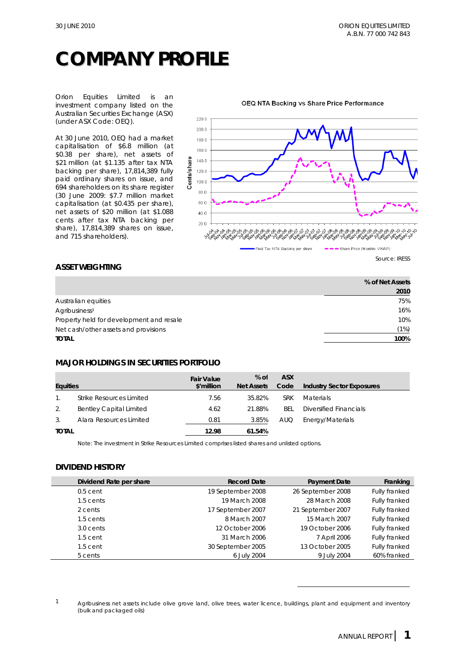## **COMPANY PROFILE**

Orion Equities Limited is an investment company listed on the Australian Securities Exchange (ASX) (under ASX Code: OEQ).

At 30 June 2010, OEQ had a market capitalisation of \$6.8 million (at \$0.38 per share), net assets of \$21 million (at \$1.135 after tax NTA backing per share), 17,814,389 fully paid ordinary shares on issue, and 694 shareholders on its share register (30 June 2009: \$7.7 million market capitalisation (at \$0.435 per share), net assets of \$20 million (at \$1.088 cents after tax NTA backing per share), 17,814,389 shares on issue, and 715 shareholders).



#### OEQ NTA Backing vs Share Price Performance

Source: IRESS

#### **ASSET WEIGHTING**

|                                          | % of Net Assets |
|------------------------------------------|-----------------|
|                                          | 2010            |
| Australian equities                      | 75%             |
| Agribusiness <sup>1</sup>                | 16%             |
| Property held for development and resale | 10%             |
| Net cash/other assets and provisions     | (1%)            |
| <b>TOTAL</b>                             | 100%            |

#### **MAJOR HOLDINGS IN SECURITIES PORTFOLIO**

| <b>Equities</b> |                                 | <b>Fair Value</b><br>\$'million | $%$ of<br><b>Net Assets</b> | <b>ASX</b><br>Code | <b>Industry Sector Exposures</b> |
|-----------------|---------------------------------|---------------------------------|-----------------------------|--------------------|----------------------------------|
|                 | <b>Strike Resources Limited</b> | 7.56                            | 35.82%                      | <b>SRK</b>         | <b>Materials</b>                 |
| 2.              | <b>Bentley Capital Limited</b>  | 4.62                            | 21.88%                      | <b>BEL</b>         | Diversified Financials           |
| 3.              | Alara Resources Limited         | 0.81                            | 3.85%                       | <b>AUQ</b>         | Energy/Materials                 |
| <b>TOTAL</b>    |                                 | 12.98                           | 61.54%                      |                    |                                  |

Note: The investment in Strike Resources Limited comprises listed shares and unlisted options.

#### **DIVIDEND HISTORY**

| Dividend Rate per share | <b>Record Date</b> | <b>Payment Date</b> | Franking             |
|-------------------------|--------------------|---------------------|----------------------|
| $0.5$ cent              | 19 September 2008  | 26 September 2008   | <b>Fully franked</b> |
| 1.5 cents               | 19 March 2008      | 28 March 2008       | Fully franked        |
| 2 cents                 | 17 September 2007  | 21 September 2007   | Fully franked        |
| 1.5 cents               | 8 March 2007       | 15 March 2007       | Fully franked        |
| 3.0 cents               | 12 October 2006    | 19 October 2006     | Fully franked        |
| $1.5$ cent              | 31 March 2006      | 7 April 2006        | Fully franked        |
| $1.5$ cent              | 30 September 2005  | 13 October 2005     | Fully franked        |
| 5 cents                 | 6 July 2004        | 9 July 2004         | 60% franked          |

 $\overline{a}$ 

<sup>1</sup> Agribusiness net assets include olive grove land, olive trees, water licence, buildings, plant and equipment and inventory (bulk and packaged oils)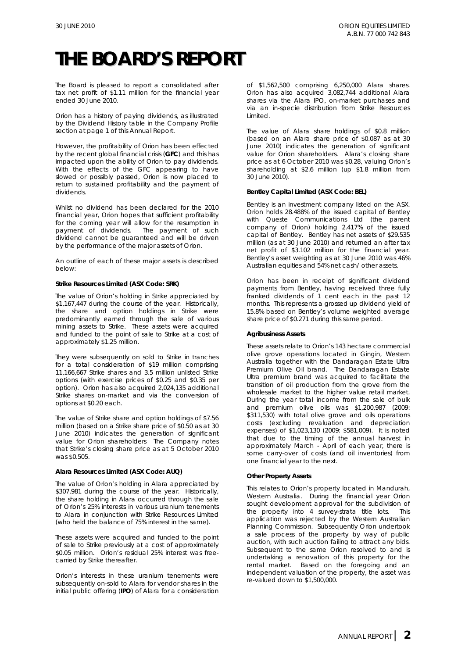## **THE BOARD'S REPORT**

The Board is pleased to report a consolidated after tax net profit of \$1.11 million for the financial year ended 30 June 2010.

Orion has a history of paying dividends, as illustrated by the Dividend History table in the Company Profile section at page 1 of this Annual Report.

However, the profitability of Orion has been effected by the recent global financial crisis (**GFC**) and this has impacted upon the ability of Orion to pay dividends. With the effects of the GFC appearing to have slowed or possibly passed, Orion is now placed to return to sustained profitability and the payment of dividends.

Whilst no dividend has been declared for the 2010 financial year, Orion hopes that sufficient profitability for the coming year will allow for the resumption in payment of dividends. The payment of such dividend cannot be guaranteed and will be driven by the performance of the major assets of Orion.

An outline of each of these major assets is described below:

#### **Strike Resources Limited (ASX Code: SRK)**

The value of Orion's holding in Strike appreciated by \$1,167,447 during the course of the year. Historically, the share and option holdings in Strike were predominantly earned through the sale of various mining assets to Strike. These assets were acquired and funded to the point of sale to Strike at a cost of approximately \$1.25 million.

They were subsequently on sold to Strike in tranches for a total consideration of \$19 million comprising 11,166,667 Strike shares and 3.5 million unlisted Strike options (with exercise prices of \$0.25 and \$0.35 per option). Orion has also acquired 2,024,135 additional Strike shares on-market and via the conversion of options at \$0.20 each.

The value of Strike share and option holdings of \$7.56 million (based on a Strike share price of \$0.50 as at 30 June 2010) indicates the generation of significant value for Orion shareholders The Company notes that Strike's closing share price as at 5 October 2010 was \$0.505.

#### **Alara Resources Limited (ASX Code: AUQ)**

The value of Orion's holding in Alara appreciated by \$307,981 during the course of the year. Historically, the share holding in Alara occurred through the sale of Orion's 25% interests in various uranium tenements to Alara in conjunction with Strike Resources Limited (who held the balance of 75% interest in the same).

These assets were acquired and funded to the point of sale to Strike previously at a cost of approximately \$0.05 million. Orion's residual 25% interest was freecarried by Strike thereafter.

Orion's interests in these uranium tenements were subsequently on-sold to Alara for vendor shares in the initial public offering (**IPO**) of Alara for a consideration of \$1,562,500 comprising 6,250,000 Alara shares. Orion has also acquired 3,082,744 additional Alara shares via the Alara IPO, on-market purchases and via an in-specie distribution from Strike Resources Limited.

The value of Alara share holdings of \$0.8 million (based on an Alara share price of \$0.087 as at 30 June 2010) indicates the generation of significant value for Orion shareholders. Alara's closing share price as at 6 October 2010 was \$0.28, valuing Orion's shareholding at \$2.6 million (up \$1.8 million from 30 June 2010).

#### **Bentley Capital Limited (ASX Code: BEL)**

Bentley is an investment company listed on the ASX. Orion holds 28.488% of the issued capital of Bentley with Queste Communications Ltd (the parent company of Orion) holding 2.417% of the issued capital of Bentley. Bentley has net assets of \$29.535 million (as at 30 June 2010) and returned an after tax net profit of \$3.102 million for the financial year. Bentley's asset weighting as at 30 June 2010 was 46% Australian equities and 54% net cash/ other assets.

Orion has been in receipt of significant dividend payments from Bentley, having received three fully franked dividends of 1 cent each in the past 12 months. This represents a grossed up dividend yield of 15.8% based on Bentley's volume weighted average share price of \$0.271 during this same period.

#### **Agribusiness Assets**

These assets relate to Orion's 143 hectare commercial olive grove operations located in Gingin, Western Australia together with the Dandaragan Estate Ultra Premium Olive Oil brand. The Dandaragan Estate Ultra premium brand was acquired to facilitate the transition of oil production from the grove from the wholesale market to the higher value retail market. During the year total income from the sale of bulk and premium olive oils was \$1,200,987 (2009: \$311,530) with total olive grove and oils operations costs (excluding revaluation and depreciation expenses) of \$1,023,130 (2009: \$581,009). It is noted that due to the timing of the annual harvest in approximately March - April of each year, there is some carry-over of costs (and oil inventories) from one financial year to the next.

#### **Other Property Assets**

This relates to Orion's property located in Mandurah, Western Australia. During the financial year Orion sought development approval for the subdivision of the property into 4 survey-strata title lots. This application was rejected by the Western Australian Planning Commission. Subsequently Orion undertook a sale process of the property by way of public auction, with such auction failing to attract any bids. Subsequent to the same Orion resolved to and is undertaking a renovation of this property for the rental market. Based on the foregoing and an independent valuation of the property, the asset was re-valued down to \$1,500,000.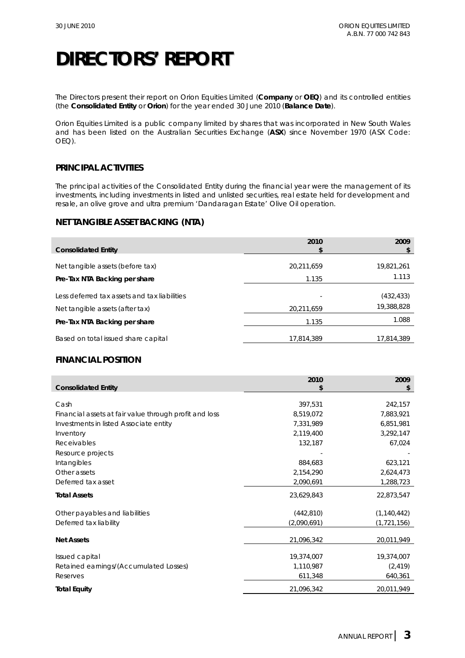The Directors present their report on Orion Equities Limited (**Company** or **OEQ**) and its controlled entities (the **Consolidated Entity** or **Orion**) for the year ended 30 June 2010 (**Balance Date**).

Orion Equities Limited is a public company limited by shares that was incorporated in New South Wales and has been listed on the Australian Securities Exchange (**ASX**) since November 1970 (ASX Code: OEQ).

#### **PRINCIPAL ACTIVITIES**

The principal activities of the Consolidated Entity during the financial year were the management of its investments, including investments in listed and unlisted securities, real estate held for development and resale, an olive grove and ultra premium 'Dandaragan Estate' Olive Oil operation.

#### **NET TANGIBLE ASSET BACKING (NTA)**

| <b>Consolidated Entity</b>                                                      | 2010       | 2009<br>S                |
|---------------------------------------------------------------------------------|------------|--------------------------|
| Net tangible assets (before tax)                                                | 20,211,659 | 19,821,261               |
| Pre-Tax NTA Backing per share                                                   | 1.135      | 1.113                    |
| Less deferred tax assets and tax liabilities<br>Net tangible assets (after tax) | 20,211,659 | (432, 433)<br>19,388,828 |
| Pre-Tax NTA Backing per share                                                   | 1.135      | 1.088                    |
| Based on total issued share capital                                             | 17.814.389 | 17.814.389               |

#### **FINANCIAL POSITION**

|                                                        | 2010        | 2009          |
|--------------------------------------------------------|-------------|---------------|
| <b>Consolidated Entity</b>                             |             | \$            |
| Cash                                                   | 397,531     | 242,157       |
| Financial assets at fair value through profit and loss | 8,519,072   | 7,883,921     |
| Investments in listed Associate entity                 | 7,331,989   | 6,851,981     |
| Inventory                                              | 2,119,400   | 3,292,147     |
| Receivables                                            | 132,187     | 67,024        |
| Resource projects                                      |             |               |
| Intangibles                                            | 884,683     | 623,121       |
| Other assets                                           | 2,154,290   | 2,624,473     |
| Deferred tax asset                                     | 2,090,691   | 1,288,723     |
| <b>Total Assets</b>                                    | 23,629,843  | 22,873,547    |
| Other payables and liabilities                         | (442, 810)  | (1, 140, 442) |
| Deferred tax liability                                 | (2,090,691) | (1, 721, 156) |
| <b>Net Assets</b>                                      | 21,096,342  | 20,011,949    |
| Issued capital                                         | 19,374,007  | 19,374,007    |
| Retained earnings/(Accumulated Losses)                 | 1,110,987   | (2, 419)      |
| Reserves                                               | 611,348     | 640,361       |
| <b>Total Equity</b>                                    | 21,096,342  | 20,011,949    |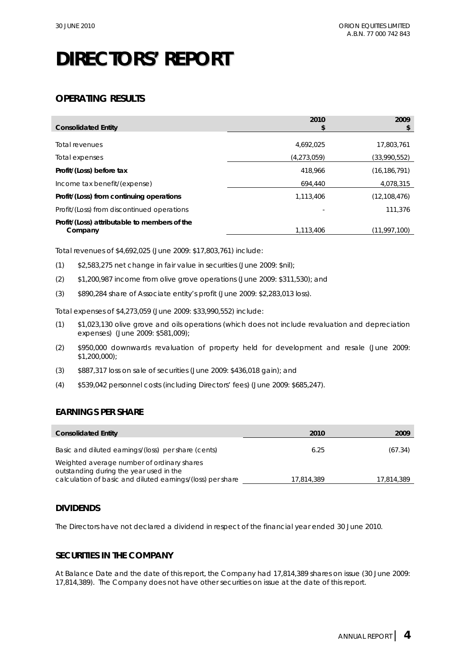### **OPERATING RESULTS**

| <b>Consolidated Entity</b>                   | 2010<br>\$  | 2009<br>S      |
|----------------------------------------------|-------------|----------------|
|                                              |             |                |
| Total revenues                               | 4.692.025   | 17,803,761     |
| Total expenses                               | (4,273,059) | (33,990,552)   |
| Profit/(Loss) before tax                     | 418,966     | (16, 186, 791) |
| Income tax benefit/(expense)                 | 694,440     | 4,078,315      |
| Profit/(Loss) from continuing operations     | 1.113.406   | (12, 108, 476) |
| Profit/(Loss) from discontinued operations   |             | 111,376        |
| Profit/(Loss) attributable to members of the |             |                |
| Company                                      | 1,113,406   | (11, 997, 100) |

Total revenues of \$4,692,025 (June 2009: \$17,803,761) include:

- (1) \$2,583,275 net change in fair value in securities (June 2009: \$nil);
- (2) \$1,200,987 income from olive grove operations (June 2009: \$311,530); and
- (3) \$890,284 share of Associate entity's profit (June 2009: \$2,283,013 loss).

Total expenses of \$4,273,059 (June 2009: \$33,990,552) include:

- (1) \$1,023,130 olive grove and oils operations (which does not include revaluation and depreciation expenses) (June 2009: \$581,009);
- (2) \$950,000 downwards revaluation of property held for development and resale (June 2009: \$1,200,000);
- (3) \$887,317 loss on sale of securities (June 2009: \$436,018 gain); and
- (4) \$539,042 personnel costs (including Directors' fees) (June 2009: \$685,247).

#### **EARNINGS PER SHARE**

| <b>Consolidated Entity</b>                                                                                                                          | 2010       | 2009       |
|-----------------------------------------------------------------------------------------------------------------------------------------------------|------------|------------|
| Basic and diluted earnings/(loss) per share (cents)                                                                                                 | 6.25       | (67.34)    |
| Weighted average number of ordinary shares<br>outstanding during the year used in the<br>calculation of basic and diluted earnings/(loss) per share | 17,814,389 | 17.814.389 |

#### **DIVIDENDS**

The Directors have not declared a dividend in respect of the financial year ended 30 June 2010.

#### **SECURITIES IN THE COMPANY**

At Balance Date and the date of this report, the Company had 17,814,389 shares on issue (30 June 2009: 17,814,389). The Company does not have other securities on issue at the date of this report.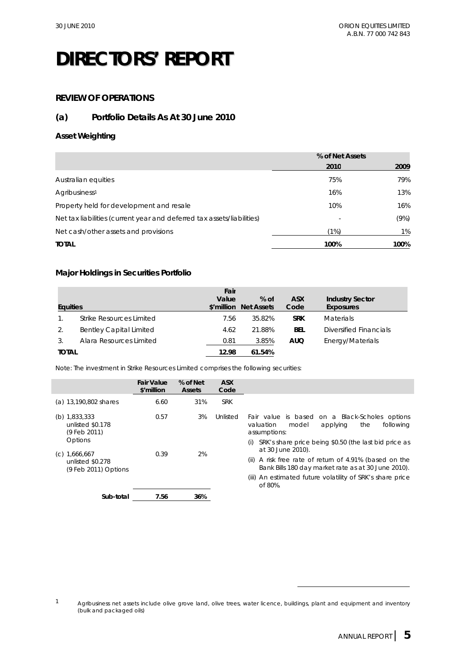#### **REVIEW OF OPERATIONS**

#### **(a) Portfolio Details As At 30 June 2010**

#### **Asset Weighting**

|                                                                        | % of Net Assets |      |
|------------------------------------------------------------------------|-----------------|------|
|                                                                        | 2010            | 2009 |
| Australian equities                                                    | 75%             | 79%  |
| Agribusiness <sup>1</sup>                                              | 16%             | 13%  |
| Property held for development and resale                               | 10%             | 16%  |
| Net tax liabilities (current year and deferred tax assets/liabilities) |                 | (9%) |
| Net cash/other assets and provisions                                   | (1%)            | 1%   |
| <b>TOTAL</b>                                                           | 100%            | 100% |

#### **Major Holdings in Securities Portfolio**

| <b>Equities</b> |                                 | Fair<br>Value | $%$ of<br>\$'million Net Assets | <b>ASX</b><br>Code | <b>Industry Sector</b><br><b>Exposures</b> |
|-----------------|---------------------------------|---------------|---------------------------------|--------------------|--------------------------------------------|
|                 | <b>Strike Resources Limited</b> | 7.56          | 35.82%                          | <b>SRK</b>         | <b>Materials</b>                           |
| 2.              | <b>Bentley Capital Limited</b>  | 4.62          | 21.88%                          | BEL                | Diversified Financials                     |
|                 | Alara Resources Limited         | 0.81          | 3.85%                           | <b>AUQ</b>         | Energy/Materials                           |
| <b>TOTAL</b>    |                                 | 12.98         | 61.54%                          |                    |                                            |

Note: The investment in Strike Resources Limited comprises the following securities:

|                                                     | <b>Fair Value</b><br>\$'million | % of Net<br><b>Assets</b> | <b>ASX</b><br>Code |                                                                                                                      |  |  |  |                                                                                                                  |
|-----------------------------------------------------|---------------------------------|---------------------------|--------------------|----------------------------------------------------------------------------------------------------------------------|--|--|--|------------------------------------------------------------------------------------------------------------------|
| (a) 13,190,802 shares                               | 6.60                            | 31%                       | <b>SRK</b>         |                                                                                                                      |  |  |  |                                                                                                                  |
| (b) $1,833,333$<br>unlisted \$0.178<br>(9 Feb 2011) | 0.57                            | 3%                        | Unlisted           | Fair value is based on a Black-Scholes options<br>following<br>valuation<br>model<br>applying<br>the<br>assumptions: |  |  |  |                                                                                                                  |
| Options<br>1,666,667                                | 0.39                            | 2%                        |                    | SRK's share price being \$0.50 (the last bid price as<br>(i)<br>at 30 June 2010).                                    |  |  |  |                                                                                                                  |
| (C)<br>unlisted \$0.278<br>(9 Feb 2011) Options     |                                 |                           |                    |                                                                                                                      |  |  |  | A risk free rate of return of 4.91% (based on the<br>(ii)<br>Bank Bills 180 day market rate as at 30 June 2010). |
|                                                     |                                 |                           |                    | (iii) An estimated future volatility of SRK's share price<br>$of 80\%$ .                                             |  |  |  |                                                                                                                  |
| Sub-total                                           | 7.56                            | 36%                       |                    |                                                                                                                      |  |  |  |                                                                                                                  |
|                                                     |                                 |                           |                    |                                                                                                                      |  |  |  |                                                                                                                  |

 $\overline{a}$ 

<sup>1</sup> Agribusiness net assets include olive grove land, olive trees, water licence, buildings, plant and equipment and inventory (bulk and packaged oils)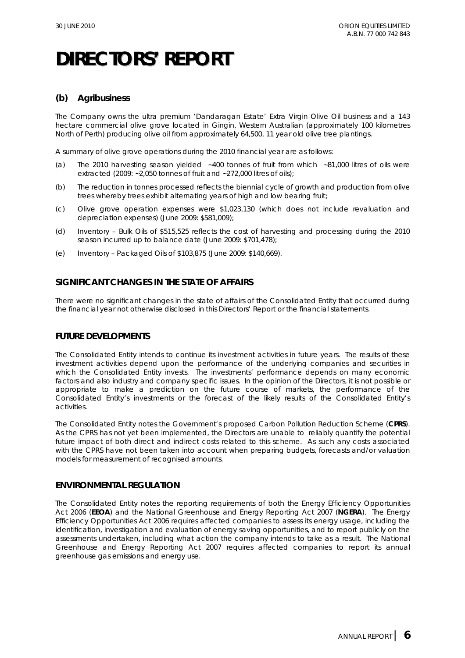#### **(b) Agribusiness**

The Company owns the ultra premium 'Dandaragan Estate' Extra Virgin Olive Oil business and a 143 hectare commercial olive grove located in Gingin, Western Australian (approximately 100 kilometres North of Perth) producing olive oil from approximately 64,500, 11 year old olive tree plantings.

A summary of olive grove operations during the 2010 financial year are as follows:

- (a) The 2010 harvesting season yielded ~400 tonnes of fruit from which ~81,000 litres of oils were extracted (2009: ~2,050 tonnes of fruit and ~272,000 litres of oils);
- (b) The reduction in tonnes processed reflects the biennial cycle of growth and production from olive trees whereby trees exhibit alternating years of high and low bearing fruit;
- (c) Olive grove operation expenses were \$1,023,130 (which does not include revaluation and depreciation expenses) (June 2009: \$581,009);
- (d) Inventory Bulk Oils of \$515,525 reflects the cost of harvesting and processing during the 2010 season incurred up to balance date (June 2009: \$701,478);
- (e) Inventory Packaged Oils of \$103,875 (June 2009: \$140,669).

#### **SIGNIFICANT CHANGES IN THE STATE OF AFFAIRS**

There were no significant changes in the state of affairs of the Consolidated Entity that occurred during the financial year not otherwise disclosed in this Directors' Report or the financial statements.

#### **FUTURE DEVELOPMENTS**

The Consolidated Entity intends to continue its investment activities in future years. The results of these investment activities depend upon the performance of the underlying companies and securities in which the Consolidated Entity invests. The investments' performance depends on many economic factors and also industry and company specific issues. In the opinion of the Directors, it is not possible or appropriate to make a prediction on the future course of markets, the performance of the Consolidated Entity's investments or the forecast of the likely results of the Consolidated Entity's activities.

The Consolidated Entity notes the Government's proposed Carbon Pollution Reduction Scheme (**CPRS**). As the CPRS has not yet been implemented, the Directors are unable to reliably quantify the potential future impact of both direct and indirect costs related to this scheme. As such any costs associated with the CPRS have not been taken into account when preparing budgets, forecasts and/or valuation models for measurement of recognised amounts.

#### **ENVIRONMENTAL REGULATION**

The Consolidated Entity notes the reporting requirements of both the *Energy Efficiency Opportunities Act 2006* (**EEOA**) and the *National Greenhouse and Energy Reporting Act 2007* (**NGERA**).The *Energy Efficiency Opportunities Act 2006* requires affected companies to assess its energy usage, including the identification, investigation and evaluation of energy saving opportunities, and to report publicly on the assessments undertaken, including what action the company intends to take as a result. The *National Greenhouse and Energy Reporting Act 2007* requires affected companies to report its annual greenhouse gas emissions and energy use.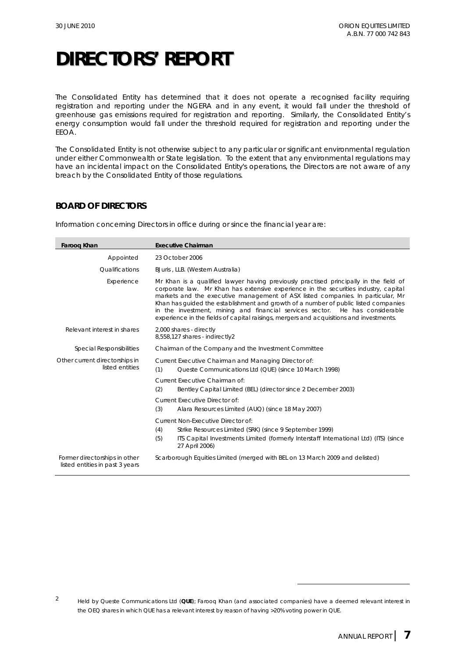The Consolidated Entity has determined that it does not operate a recognised facility requiring registration and reporting under the NGERA and in any event, it would fall under the threshold of greenhouse gas emissions required for registration and reporting. Similarly, the Consolidated Entity's energy consumption would fall under the threshold required for registration and reporting under the EEOA.

The Consolidated Entity is not otherwise subject to any particular or significant environmental regulation under either Commonwealth or State legislation. To the extent that any environmental regulations may have an incidental impact on the Consolidated Entity's operations, the Directors are not aware of any breach by the Consolidated Entity of those regulations.

#### **BOARD OF DIRECTORS**

Information concerning Directors in office during or since the financial year are:

| Faroog Khan                                                      | <b>Executive Chairman</b>                                                                                                                                                                                                                                                                                                                                                                                                                                                                                                         |
|------------------------------------------------------------------|-----------------------------------------------------------------------------------------------------------------------------------------------------------------------------------------------------------------------------------------------------------------------------------------------------------------------------------------------------------------------------------------------------------------------------------------------------------------------------------------------------------------------------------|
| Appointed                                                        | 23 October 2006                                                                                                                                                                                                                                                                                                                                                                                                                                                                                                                   |
| Qualifications                                                   | BJuris, LLB. (Western Australia)                                                                                                                                                                                                                                                                                                                                                                                                                                                                                                  |
| Experience                                                       | Mr Khan is a qualified lawyer having previously practised principally in the field of<br>corporate law. Mr Khan has extensive experience in the securities industry, capital<br>markets and the executive management of ASX listed companies. In particular, Mr<br>Khan has quided the establishment and growth of a number of public listed companies<br>in the investment, mining and financial services sector. He has considerable<br>experience in the fields of capital raisings, mergers and acquisitions and investments. |
| Relevant interest in shares                                      | 2,000 shares - directly<br>8,558,127 shares - indirectly2                                                                                                                                                                                                                                                                                                                                                                                                                                                                         |
| <b>Special Responsibilities</b>                                  | Chairman of the Company and the Investment Committee                                                                                                                                                                                                                                                                                                                                                                                                                                                                              |
| Other current directorships in<br>listed entities                | Current Executive Chairman and Managing Director of:<br>Queste Communications Ltd (QUE) (since 10 March 1998)<br>(1)                                                                                                                                                                                                                                                                                                                                                                                                              |
|                                                                  | Current Executive Chairman of:<br>(2)<br>Bentley Capital Limited (BEL) (director since 2 December 2003)                                                                                                                                                                                                                                                                                                                                                                                                                           |
|                                                                  | Current Executive Director of:<br>(3)<br>Alara Resources Limited (AUQ) (since 18 May 2007)                                                                                                                                                                                                                                                                                                                                                                                                                                        |
|                                                                  | Current Non-Executive Director of:<br>(4)<br>Strike Resources Limited (SRK) (since 9 September 1999)<br>(5)<br>ITS Capital Investments Limited (formerly Interstaff International Ltd) (ITS) (since<br>27 April 2006)                                                                                                                                                                                                                                                                                                             |
| Former directorships in other<br>listed entities in past 3 years | Scarborough Equities Limited (merged with BEL on 13 March 2009 and delisted)                                                                                                                                                                                                                                                                                                                                                                                                                                                      |

 $\overline{a}$ 

<sup>2</sup> Held by Queste Communications Ltd (**QUE**); Farooq Khan (and associated companies) have a deemed relevant interest in the OEQ shares in which QUE has a relevant interest by reason of having >20% voting power in QUE.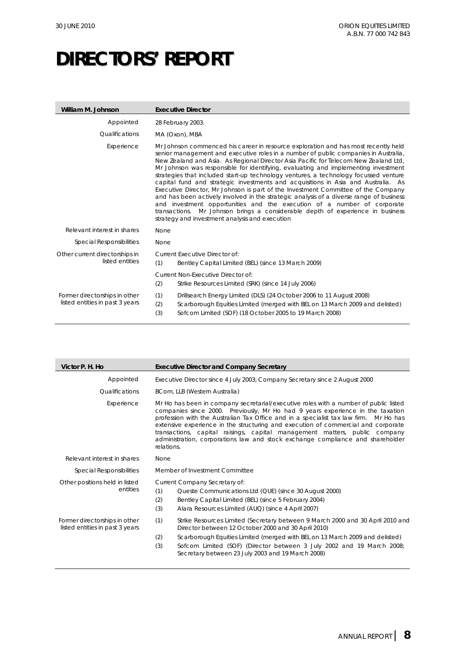| William M. Johnson                                               | <b>Executive Director</b>                                                                                                                                                                                                                                                                                                                                                                                                                                                                                                                                                                                                                                                                                                                                                                                                                                                                                                           |
|------------------------------------------------------------------|-------------------------------------------------------------------------------------------------------------------------------------------------------------------------------------------------------------------------------------------------------------------------------------------------------------------------------------------------------------------------------------------------------------------------------------------------------------------------------------------------------------------------------------------------------------------------------------------------------------------------------------------------------------------------------------------------------------------------------------------------------------------------------------------------------------------------------------------------------------------------------------------------------------------------------------|
| Appointed                                                        | 28 February 2003.                                                                                                                                                                                                                                                                                                                                                                                                                                                                                                                                                                                                                                                                                                                                                                                                                                                                                                                   |
| Qualifications                                                   | MA (Oxon), MBA                                                                                                                                                                                                                                                                                                                                                                                                                                                                                                                                                                                                                                                                                                                                                                                                                                                                                                                      |
| Experience                                                       | Mr Johnson commenced his career in resource exploration and has most recently held<br>senior management and executive roles in a number of public companies in Australia,<br>New Zealand and Asia. As Regional Director Asia Pacific for Telecom New Zealand Ltd,<br>Mr Johnson was responsible for identifying, evaluating and implementing investment<br>strategies that included start-up technology ventures, a technology focussed venture<br>capital fund and strategic investments and acquisitions in Asia and Australia. As<br>Executive Director, Mr Johnson is part of the Investment Committee of the Company<br>and has been actively involved in the strategic analysis of a diverse range of business<br>and investment opportunities and the execution of a number of corporate<br>transactions. Mr Johnson brings a considerable depth of experience in business<br>strategy and investment analysis and execution |
| Relevant interest in shares                                      | None                                                                                                                                                                                                                                                                                                                                                                                                                                                                                                                                                                                                                                                                                                                                                                                                                                                                                                                                |
| Special Responsibilities                                         | None                                                                                                                                                                                                                                                                                                                                                                                                                                                                                                                                                                                                                                                                                                                                                                                                                                                                                                                                |
| Other current directorships in<br>listed entities                | Current Executive Director of:<br>(1)<br>Bentley Capital Limited (BEL) (since 13 March 2009)                                                                                                                                                                                                                                                                                                                                                                                                                                                                                                                                                                                                                                                                                                                                                                                                                                        |
|                                                                  | Current Non-Executive Director of:<br>(2)<br>Strike Resources Limited (SRK) (since 14 July 2006)                                                                                                                                                                                                                                                                                                                                                                                                                                                                                                                                                                                                                                                                                                                                                                                                                                    |
| Former directorships in other<br>listed entities in past 3 years | (1)<br>Drillsearch Energy Limited (DLS) (24 October 2006 to 11 August 2008)<br>(2)<br>Scarborough Equities Limited (merged with BEL on 13 March 2009 and delisted)<br>(3)<br>Sofcom Limited (SOF) (18 October 2005 to 19 March 2008)                                                                                                                                                                                                                                                                                                                                                                                                                                                                                                                                                                                                                                                                                                |

| Victor P. H. Ho                                                             | <b>Executive Director and Company Secretary</b>                                                                                                                                                                                                                                                                                                                                                                                                                                                                                    |
|-----------------------------------------------------------------------------|------------------------------------------------------------------------------------------------------------------------------------------------------------------------------------------------------------------------------------------------------------------------------------------------------------------------------------------------------------------------------------------------------------------------------------------------------------------------------------------------------------------------------------|
| Appointed                                                                   | Executive Director since 4 July 2003; Company Secretary since 2 August 2000                                                                                                                                                                                                                                                                                                                                                                                                                                                        |
| <i><u><b>Oualifications</b></u></i>                                         | BCom, LLB (Western Australia)                                                                                                                                                                                                                                                                                                                                                                                                                                                                                                      |
| Experience                                                                  | Mr Ho has been in company secretarial/executive roles with a number of public listed<br>companies since 2000. Previously, Mr Ho had 9 years experience in the taxation<br>profession with the Australian Tax Office and in a specialist tax law firm. Mr Ho has<br>extensive experience in the structuring and execution of commercial and corporate<br>transactions, capital raisings, capital management matters, public company<br>administration, corporations law and stock exchange compliance and shareholder<br>relations. |
| Relevant interest in shares                                                 | <b>None</b>                                                                                                                                                                                                                                                                                                                                                                                                                                                                                                                        |
| Special Responsibilities                                                    | Member of Investment Committee                                                                                                                                                                                                                                                                                                                                                                                                                                                                                                     |
| Other positions held in listed<br>entities<br>Former directorships in other | Current Company Secretary of:<br>(1)<br>Queste Communications Ltd (QUE) (since 30 August 2000)<br>(2)<br>Bentley Capital Limited (BEL) (since 5 February 2004)<br>(3)<br>Alara Resources Limited (AUQ) (since 4 April 2007)<br>(1)<br>Strike Resources Limited (Secretary between 9 March 2000 and 30 April 2010 and                                                                                                                                                                                                               |
| listed entities in past 3 years                                             | Director between 12 October 2000 and 30 April 2010)<br>(2)<br>Scarborough Equities Limited (merged with BEL on 13 March 2009 and delisted)<br>(3)<br>Sofcom Limited (SOF) (Director between 3 July 2002 and 19 March 2008;<br>Secretary between 23 July 2003 and 19 March 2008)                                                                                                                                                                                                                                                    |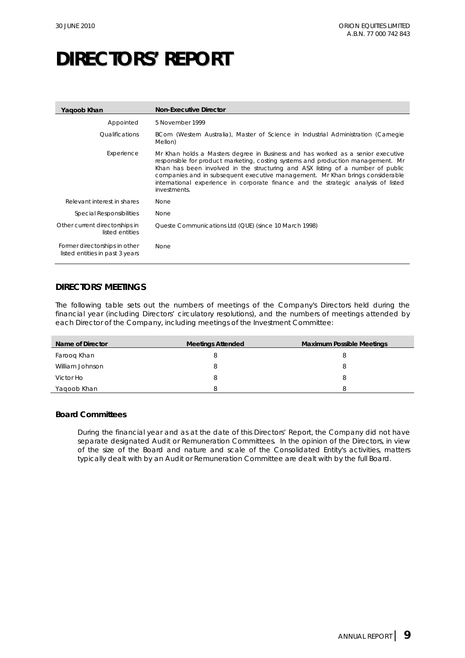| Yaqoob Khan                                                      | <b>Non-Executive Director</b>                                                                                                                                                                                                                                                                                                                                                                                                                 |
|------------------------------------------------------------------|-----------------------------------------------------------------------------------------------------------------------------------------------------------------------------------------------------------------------------------------------------------------------------------------------------------------------------------------------------------------------------------------------------------------------------------------------|
| Appointed                                                        | 5 November 1999                                                                                                                                                                                                                                                                                                                                                                                                                               |
| <i><u><b>Oualifications</b></u></i>                              | BCom (Western Australia), Master of Science in Industrial Administration (Carnegie<br>Mellon)                                                                                                                                                                                                                                                                                                                                                 |
| Experience                                                       | Mr Khan holds a Masters degree in Business and has worked as a senior executive<br>responsible for product marketing, costing systems and production management. Mr<br>Khan has been involved in the structuring and ASX listing of a number of public<br>companies and in subsequent executive management. Mr Khan brings considerable<br>international experience in corporate finance and the strategic analysis of listed<br>investments. |
| Relevant interest in shares                                      | <b>None</b>                                                                                                                                                                                                                                                                                                                                                                                                                                   |
| <b>Special Responsibilities</b>                                  | None                                                                                                                                                                                                                                                                                                                                                                                                                                          |
| Other current directorships in<br>listed entities                | Queste Communications Ltd (QUE) (since 10 March 1998)                                                                                                                                                                                                                                                                                                                                                                                         |
| Former directorships in other<br>listed entities in past 3 years | <b>None</b>                                                                                                                                                                                                                                                                                                                                                                                                                                   |

#### **DIRECTORS' MEETINGS**

The following table sets out the numbers of meetings of the Company's Directors held during the financial year (including Directors' circulatory resolutions), and the numbers of meetings attended by each Director of the Company, including meetings of the Investment Committee:

| Name of Director | <b>Meetings Attended</b> | <b>Maximum Possible Meetings</b> |
|------------------|--------------------------|----------------------------------|
| Faroog Khan      |                          |                                  |
| William Johnson  | 8                        |                                  |
| Victor Ho        |                          |                                  |
| Yagoob Khan      |                          |                                  |

#### **Board Committees**

During the financial year and as at the date of this Directors' Report, the Company did not have separate designated Audit or Remuneration Committees. In the opinion of the Directors, in view of the size of the Board and nature and scale of the Consolidated Entity's activities, matters typically dealt with by an Audit or Remuneration Committee are dealt with by the full Board.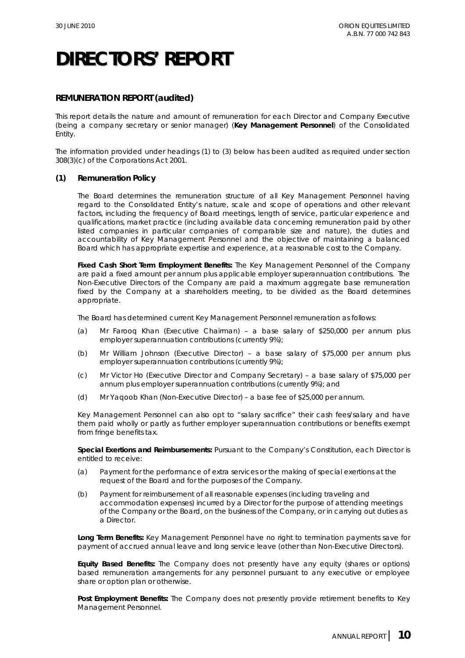#### **REMUNERATION REPORT (audited)**

This report details the nature and amount of remuneration for each Director and Company Executive (being a company secretary or senior manager) (**Key Management Personnel**) of the Consolidated Entity.

The information provided under headings (1) to (3) below has been audited as required under section 308(3)(c) of the *Corporations Act 2001*.

#### **(1) Remuneration Policy**

The Board determines the remuneration structure of all Key Management Personnel having regard to the Consolidated Entity's nature, scale and scope of operations and other relevant factors, including the frequency of Board meetings, length of service, particular experience and qualifications, market practice (including available data concerning remuneration paid by other listed companies in particular companies of comparable size and nature), the duties and accountability of Key Management Personnel and the objective of maintaining a balanced Board which has appropriate expertise and experience, at a reasonable cost to the Company.

**Fixed Cash Short Term Employment Benefits:** The Key Management Personnel of the Company are paid a fixed amount per annum plus applicable employer superannuation contributions. The Non-Executive Directors of the Company are paid a maximum aggregate base remuneration fixed by the Company at a shareholders meeting, to be divided as the Board determines appropriate.

The Board has determined current Key Management Personnel remuneration as follows:

- (a) Mr Farooq Khan (Executive Chairman) a base salary of \$250,000 per annum plus employer superannuation contributions (currently 9%);
- (b) Mr William Johnson (Executive Director) a base salary of \$75,000 per annum plus employer superannuation contributions (currently 9%);
- (c) Mr Victor Ho (Executive Director and Company Secretary) a base salary of \$75,000 per annum plus employer superannuation contributions (currently 9%); and
- (d) Mr Yaqoob Khan (Non-Executive Director) a base fee of \$25,000 per annum.

Key Management Personnel can also opt to "salary sacrifice" their cash fees/salary and have them paid wholly or partly as further employer superannuation contributions or benefits exempt from fringe benefits tax.

**Special Exertions and Reimbursements:** Pursuant to the Company's Constitution, each Director is entitled to receive:

- (a) Payment for the performance of extra services or the making of special exertions at the request of the Board and for the purposes of the Company.
- (b) Payment for reimbursement of all reasonable expenses (including traveling and accommodation expenses) incurred by a Director for the purpose of attending meetings of the Company or the Board, on the business of the Company, or in carrying out duties as a Director.

**Long Term Benefits:** Key Management Personnel have no right to termination payments save for payment of accrued annual leave and long service leave (other than Non-Executive Directors).

**Equity Based Benefits:** The Company does not presently have any equity (shares or options) based remuneration arrangements for any personnel pursuant to any executive or employee share or option plan or otherwise.

**Post Employment Benefits:** The Company does not presently provide retirement benefits to Key Management Personnel.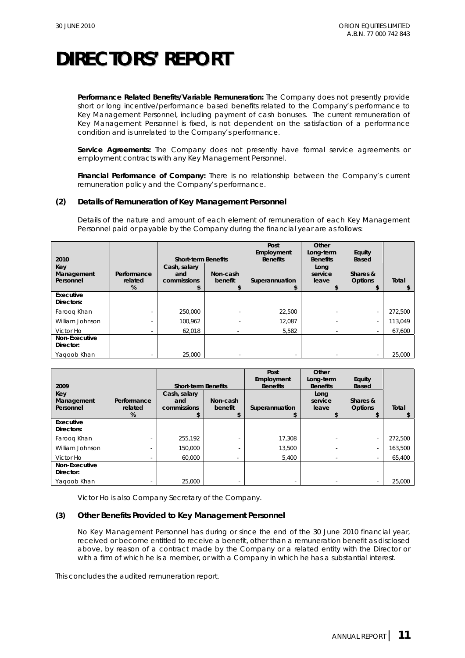**Performance Related Benefits/Variable Remuneration:** The Company does not presently provide short or long incentive/performance based benefits related to the Company's performance to Key Management Personnel, including payment of cash bonuses. The current remuneration of Key Management Personnel is fixed, is not dependent on the satisfaction of a performance condition and is unrelated to the Company's performance.

Service Agreements: The Company does not presently have formal service agreements or employment contracts with any Key Management Personnel.

**Financial Performance of Company:** There is no relationship between the Company's current remuneration policy and the Company's performance.

#### **(2) Details of Remuneration of Key Management Personnel**

Details of the nature and amount of each element of remuneration of each Key Management Personnel paid or payable by the Company during the financial year are as follows:

| 2010                           |                             | <b>Short-term Benefits</b>              |                     | Post<br>Employment<br><b>Benefits</b> | Other<br>Long-term<br><b>Benefits</b> | Equity<br><b>Based</b>     |         |
|--------------------------------|-----------------------------|-----------------------------------------|---------------------|---------------------------------------|---------------------------------------|----------------------------|---------|
| Key<br>Management<br>Personnel | Performance<br>related<br>% | Cash, salary<br>and<br>commissions<br>Ъ | Non-cash<br>benefit | Superannuation                        | Long<br>service<br>leave              | Shares &<br><b>Options</b> | Total   |
| Executive<br>Directors:        |                             |                                         |                     |                                       |                                       |                            |         |
| Faroog Khan                    |                             | 250,000                                 |                     | 22.500                                |                                       |                            | 272,500 |
| William Johnson                |                             | 100.962                                 |                     | 12,087                                |                                       | ۰                          | 113.049 |
| Victor Ho                      | ۰                           | 62,018                                  | ۰                   | 5,582                                 | ۰                                     | ۰.                         | 67,600  |
| Non-Executive<br>Director:     |                             |                                         |                     |                                       |                                       |                            |         |
| Yagoob Khan                    |                             | 25,000                                  |                     | ٠                                     |                                       |                            | 25,000  |

| 2009                           |                             | <b>Short-term Benefits</b>         |                          | Post<br>Employment<br><b>Benefits</b> | Other<br>Long-term<br><b>Benefits</b> | Equity<br><b>Based</b>     |         |
|--------------------------------|-----------------------------|------------------------------------|--------------------------|---------------------------------------|---------------------------------------|----------------------------|---------|
| Key<br>Management<br>Personnel | Performance<br>related<br>% | Cash, salary<br>and<br>commissions | Non-cash<br>benefit<br>S | Superannuation<br>S                   | Long<br>service<br>leave<br>S         | Shares &<br><b>Options</b> | Total   |
| Executive<br>Directors:        |                             |                                    |                          |                                       |                                       |                            |         |
| Faroog Khan                    |                             | 255,192                            |                          | 17.308                                |                                       |                            | 272,500 |
| William Johnson                |                             | 150,000                            |                          | 13.500                                |                                       |                            | 163,500 |
| Victor Ho                      | $\overline{\phantom{a}}$    | 60.000                             | $\sim$                   | 5.400                                 |                                       |                            | 65,400  |
| Non-Executive<br>Director:     |                             |                                    |                          |                                       |                                       |                            |         |
| Yagoob Khan                    | $\overline{\phantom{a}}$    | 25,000                             |                          | ۰.                                    |                                       |                            | 25,000  |

Victor Ho is also Company Secretary of the Company.

#### **(3) Other Benefits Provided to Key Management Personnel**

No Key Management Personnel has during or since the end of the 30 June 2010 financial year, received or become entitled to receive a benefit, other than a remuneration benefit as disclosed above, by reason of a contract made by the Company or a related entity with the Director or with a firm of which he is a member, or with a Company in which he has a substantial interest.

This concludes the audited remuneration report.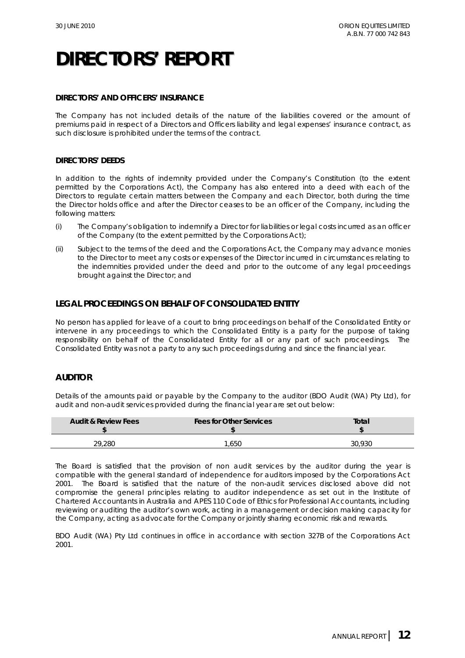#### **DIRECTORS' AND OFFICERS' INSURANCE**

The Company has not included details of the nature of the liabilities covered or the amount of premiums paid in respect of a Directors and Officers liability and legal expenses' insurance contract, as such disclosure is prohibited under the terms of the contract.

#### **DIRECTORS' DEEDS**

In addition to the rights of indemnity provided under the Company's Constitution (to the extent permitted by the Corporations Act), the Company has also entered into a deed with each of the Directors to regulate certain matters between the Company and each Director, both during the time the Director holds office and after the Director ceases to be an officer of the Company, including the following matters:

- (i) The Company's obligation to indemnify a Director for liabilities or legal costs incurred as an officer of the Company (to the extent permitted by the Corporations Act);
- (ii) Subject to the terms of the deed and the Corporations Act, the Company may advance monies to the Director to meet any costs or expenses of the Director incurred in circumstances relating to the indemnities provided under the deed and prior to the outcome of any legal proceedings brought against the Director; and

#### **LEGAL PROCEEDINGS ON BEHALF OF CONSOLIDATED ENTITY**

No person has applied for leave of a court to bring proceedings on behalf of the Consolidated Entity or intervene in any proceedings to which the Consolidated Entity is a party for the purpose of taking responsibility on behalf of the Consolidated Entity for all or any part of such proceedings. The Consolidated Entity was not a party to any such proceedings during and since the financial year.

#### **AUDITOR**

Details of the amounts paid or payable by the Company to the auditor (BDO Audit (WA) Pty Ltd), for audit and non-audit services provided during the financial year are set out below:

| <b>Audit &amp; Review Fees</b> | <b>Fees for Other Services</b> | Total  |
|--------------------------------|--------------------------------|--------|
| 29,280                         | 650.                           | 30.930 |

The Board is satisfied that the provision of non audit services by the auditor during the year is compatible with the general standard of independence for auditors imposed by the *Corporations Act 2001.* The Board is satisfied that the nature of the non-audit services disclosed above did not compromise the general principles relating to auditor independence as set out in the Institute of Chartered Accountants in Australia and APES 110 Code of Ethics for Professional Accountants, including reviewing or auditing the auditor's own work, acting in a management or decision making capacity for the Company, acting as advocate for the Company or jointly sharing economic risk and rewards.

BDO Audit (WA) Pty Ltd continues in office in accordance with section 327B of the *Corporations Act 2001*.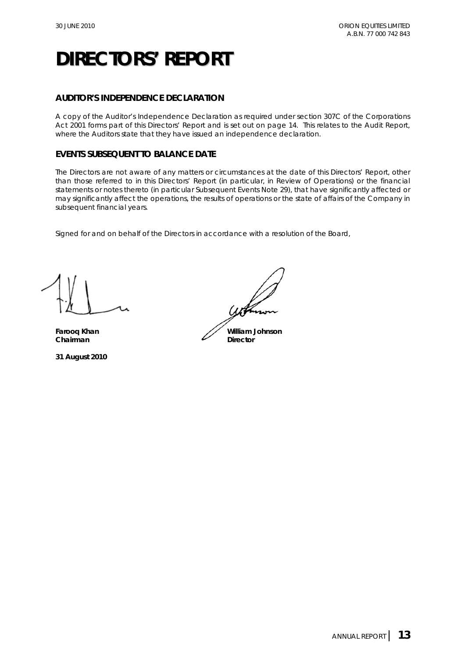#### **AUDITOR'S INDEPENDENCE DECLARATION**

A copy of the Auditor's Independence Declaration as required under section 307C of the *Corporations Act 2001* forms part of this Directors' Report and is set out on page 14. This relates to the Audit Report, where the Auditors state that they have issued an independence declaration.

#### **EVENTS SUBSEQUENT TO BALANCE DATE**

The Directors are not aware of any matters or circumstances at the date of this Directors' Report, other than those referred to in this Directors' Report (in particular, in Review of Operations) or the financial statements or notes thereto (in particular Subsequent Events Note 29), that have significantly affected or may significantly affect the operations, the results of operations or the state of affairs of the Company in subsequent financial years.

Signed for and on behalf of the Directors in accordance with a resolution of the Board,

**31 August 2010** 

**Farooq Khan William Johnson** Chairman Director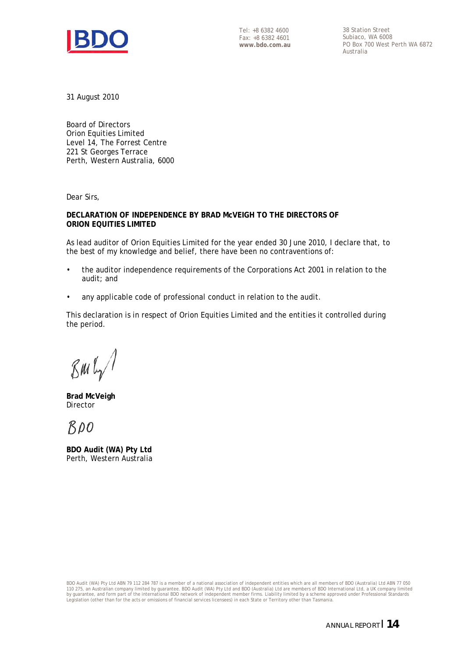

Tel: +8 6382 4600 Fax: +8 6382 4601 **www.bdo.com.au**  38 Station Street Subiaco, WA 6008 PO Box 700 West Perth WA 6872 Australia

31 August 2010

Board of Directors Orion Equities Limited Level 14, The Forrest Centre 221 St Georges Terrace Perth, Western Australia, 6000

Dear Sirs,

#### **DECLARATION OF INDEPENDENCE BY BRAD McVEIGH TO THE DIRECTORS OF ORION EQUITIES LIMITED**

As lead auditor of Orion Equities Limited for the year ended 30 June 2010, I declare that, to the best of my knowledge and belief, there have been no contraventions of:

- the auditor independence requirements of the Corporations Act 2001 in relation to the audit; and
- any applicable code of professional conduct in relation to the audit.

This declaration is in respect of Orion Equities Limited and the entities it controlled during the period.

 $\mathcal{B}$ *M*  $\mathcal{L}/\mathcal{L}$ 

**Brad McVeigh**  Director

Bpo

**BDO Audit (WA) Pty Ltd**  Perth, Western Australia

BDO Audit (WA) Pty Ltd ABN 79 112 284 787 is a member of a national association of independent entities which are all members of BDO (Australia) Ltd ABN 77 050 110 275, an Australian company limited by guarantee. BDO Audit (WA) Pty Ltd and BDO (Australia) Ltd are members of BDO International Ltd, a UK company limited<br>by guarantee, and form part of the international BDO network of Legislation (other than for the acts or omissions of financial services licensees) in each State or Territory other than Tasmania.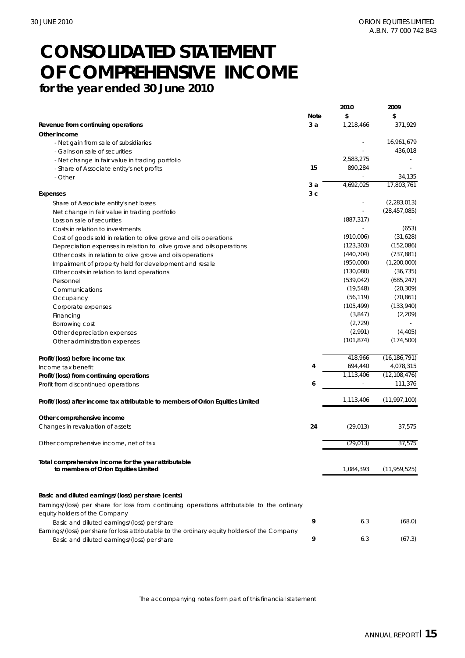### **CONSOLIDATED STATEMENT OF COMPREHENSIVE INCOME for the year ended 30 June 2010**

|                                                                                                                             |                | 2010       | 2009           |
|-----------------------------------------------------------------------------------------------------------------------------|----------------|------------|----------------|
|                                                                                                                             | <b>Note</b>    | \$         | \$             |
| Revenue from continuing operations                                                                                          | 3a             | 1,218,466  | 371,929        |
| Other income                                                                                                                |                |            |                |
| - Net gain from sale of subsidiaries                                                                                        |                |            | 16,961,679     |
| - Gains on sale of securities                                                                                               |                |            | 436,018        |
| - Net change in fair value in trading portfolio                                                                             |                | 2,583,275  |                |
| - Share of Associate entity's net profits                                                                                   | 15             | 890,284    |                |
| - Other                                                                                                                     |                |            | 34,135         |
|                                                                                                                             | 3a             | 4.692.025  | 17,803,761     |
| <b>Expenses</b>                                                                                                             | 3 <sub>c</sub> |            |                |
| Share of Associate entity's net losses                                                                                      |                |            | (2, 283, 013)  |
| Net change in fair value in trading portfolio                                                                               |                |            | (28, 457, 085) |
| Loss on sale of securities                                                                                                  |                | (887, 317) |                |
| Costs in relation to investments                                                                                            |                |            | (653)          |
| Cost of goods sold in relation to olive grove and oils operations                                                           |                | (910,006)  | (31,628)       |
| Depreciation expenses in relation to olive grove and oils operations                                                        |                | (123, 303) | (152,086)      |
| Other costs in relation to olive grove and oils operations                                                                  |                | (440, 704) | (737, 881)     |
| Impairment of property held for development and resale                                                                      |                | (950,000)  | (1,200,000)    |
| Other costs in relation to land operations                                                                                  |                | (130,080)  | (36, 735)      |
| Personnel                                                                                                                   |                | (539, 042) | (685, 247)     |
| Communications                                                                                                              |                | (19, 548)  | (20, 309)      |
| Occupancy                                                                                                                   |                | (56, 119)  | (70, 861)      |
| Corporate expenses                                                                                                          |                | (105, 499) | (133,940)      |
| Financing                                                                                                                   |                | (3, 847)   | (2,209)        |
| Borrowing cost                                                                                                              |                | (2, 729)   |                |
| Other depreciation expenses                                                                                                 |                | (2,991)    | (4, 405)       |
| Other administration expenses                                                                                               |                | (101, 874) | (174, 500)     |
| Profit/(loss) before income tax                                                                                             |                | 418,966    | (16, 186, 791) |
| Income tax benefit                                                                                                          | 4              | 694,440    | 4,078,315      |
| Profit/(loss) from continuing operations                                                                                    |                | 1,113,406  | (12, 108, 476) |
| Profit from discontinued operations                                                                                         | 6              |            | 111,376        |
| Profit/(loss) after income tax attributable to members of Orion Equities Limited                                            |                | 1,113,406  | (11,997,100)   |
|                                                                                                                             |                |            |                |
| Other comprehensive income                                                                                                  |                |            |                |
| Changes in revaluation of assets                                                                                            | 24             | (29, 013)  | 37,575         |
| Other comprehensive income, net of tax                                                                                      |                | (29, 013)  | 37,575         |
| Total comprehensive income for the year attributable<br>to members of Orion Equities Limited                                |                | 1,084,393  | (11, 959, 525) |
|                                                                                                                             |                |            |                |
| Basic and diluted earnings/(loss) per share (cents)                                                                         |                |            |                |
| Earnings/(loss) per share for loss from continuing operations attributable to the ordinary<br>equity holders of the Company |                |            |                |
| Basic and diluted earnings/(loss) per share                                                                                 | 9              | 6.3        | (68.0)         |
| Earnings/(loss) per share for loss attributable to the ordinary equity holders of the Company                               |                |            |                |
| Basic and diluted earnings/(loss) per share                                                                                 | 9              | 6.3        | (67.3)         |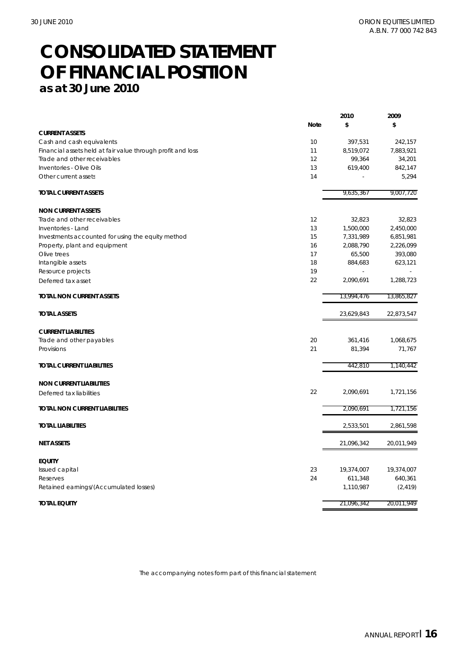### **CONSOLIDATED STATEMENT OF FINANCIAL POSITION as at 30 June 2010**

|                                                             |             | 2010       | 2009       |
|-------------------------------------------------------------|-------------|------------|------------|
|                                                             | <b>Note</b> | \$         | \$         |
| <b>CURRENT ASSETS</b>                                       |             |            |            |
| Cash and cash equivalents                                   | 10          | 397,531    | 242,157    |
| Financial assets held at fair value through profit and loss | 11          | 8,519,072  | 7,883,921  |
| Trade and other receivables                                 | 12          | 99,364     | 34,201     |
| Inventories - Olive Oils                                    | 13          | 619,400    | 842,147    |
| Other current assets                                        | 14          |            | 5,294      |
| <b>TOTAL CURRENT ASSETS</b>                                 |             | 9,635,367  | 9,007,720  |
| <b>NON CURRENT ASSETS</b>                                   |             |            |            |
| Trade and other receivables                                 | 12          | 32,823     | 32,823     |
| Inventories - Land                                          | 13          | 1,500,000  | 2,450,000  |
| Investments accounted for using the equity method           | 15          | 7,331,989  | 6,851,981  |
| Property, plant and equipment                               | 16          | 2,088,790  | 2,226,099  |
| Olive trees                                                 | 17          | 65,500     | 393,080    |
| Intangible assets                                           | 18          | 884,683    | 623,121    |
| Resource projects                                           | 19          |            |            |
| Deferred tax asset                                          | 22          | 2,090,691  | 1,288,723  |
| TOTAL NON CURRENT ASSETS                                    |             | 13,994,476 | 13,865,827 |
| <b>TOTAL ASSETS</b>                                         |             | 23,629,843 | 22,873,547 |
| <b>CURRENT LIABILITIES</b>                                  |             |            |            |
| Trade and other payables                                    | 20          | 361,416    | 1,068,675  |
| Provisions                                                  | 21          | 81,394     | 71,767     |
| <b>TOTAL CURRENT LIABILITIES</b>                            |             | 442,810    | 1,140,442  |
| <b>NON CURRENT LIABILITIES</b>                              |             |            |            |
| Deferred tax liabilities                                    | 22          | 2,090,691  | 1,721,156  |
| TOTAL NON CURRENT LIABILITIES                               |             | 2,090,691  | 1,721,156  |
| <b>TOTAL LIABILITIES</b>                                    |             | 2,533,501  | 2,861,598  |
| <b>NET ASSETS</b>                                           |             | 21,096,342 | 20,011,949 |
| <b>EQUITY</b>                                               |             |            |            |
| Issued capital                                              | 23          | 19,374,007 | 19,374,007 |
| Reserves                                                    | 24          | 611,348    | 640,361    |
| Retained earnings/(Accumulated losses)                      |             | 1,110,987  | (2, 419)   |
| <b>TOTAL EQUITY</b>                                         |             | 21,096,342 | 20,011,949 |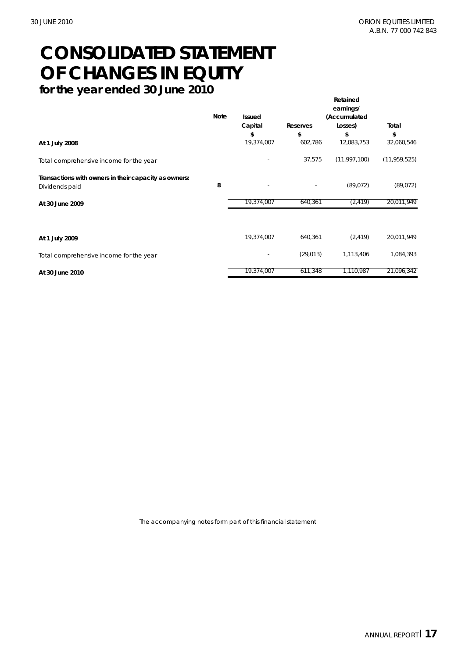### **CONSOLIDATED STATEMENT OF CHANGES IN EQUITY for the year ended 30 June 2010**

| - -                                                                     | <b>Note</b> | <b>Issued</b>               |                           | Retained<br>earnings/<br>(Accumulated |                           |
|-------------------------------------------------------------------------|-------------|-----------------------------|---------------------------|---------------------------------------|---------------------------|
| At 1 July 2008                                                          |             | Capital<br>\$<br>19,374,007 | Reserves<br>\$<br>602,786 | Losses)<br>\$<br>12,083,753           | Total<br>\$<br>32,060,546 |
| Total comprehensive income for the year                                 |             |                             | 37,575                    | (11,997,100)                          | (11, 959, 525)            |
| Transactions with owners in their capacity as owners:<br>Dividends paid | 8           |                             |                           | (89,072)                              | (89,072)                  |
| At 30 June 2009                                                         |             | 19,374,007                  | 640,361                   | (2,419)                               | 20,011,949                |
| At 1 July 2009                                                          |             | 19,374,007                  | 640,361                   | (2, 419)                              | 20,011,949                |
| Total comprehensive income for the year                                 |             |                             | (29, 013)                 | 1,113,406                             | 1,084,393                 |
| At 30 June 2010                                                         |             | 19,374,007                  | 611,348                   | 1,110,987                             | 21,096,342                |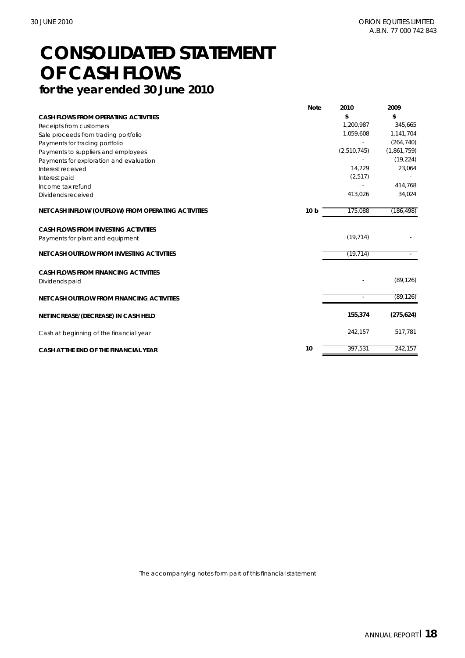### **CONSOLIDATED STATEMENT OF CASH FLOWS for the year ended 30 June 2010**

|                                                               | <b>Note</b>     | 2010        | 2009        |
|---------------------------------------------------------------|-----------------|-------------|-------------|
| <b>CASH FLOWS FROM OPERATING ACTIVITIES</b>                   |                 | \$          | \$          |
| Receipts from customers                                       |                 | 1,200,987   | 345,665     |
| Sale proceeds from trading portfolio                          |                 | 1,059,608   | 1,141,704   |
| Payments for trading portfolio                                |                 |             | (264, 740)  |
| Payments to suppliers and employees                           |                 | (2,510,745) | (1,861,759) |
| Payments for exploration and evaluation                       |                 |             | (19, 224)   |
| Interest received                                             |                 | 14,729      | 23,064      |
| Interest paid                                                 |                 | (2, 517)    |             |
| Income tax refund                                             |                 |             | 414,768     |
| Dividends received                                            |                 | 413,026     | 34,024      |
| NET CASH INFLOW/(OUTFLOW) FROM OPERATING ACTIVITIES           | 10 <sub>b</sub> | 175,088     | (186, 498)  |
| <b>CASH FLOWS FROM INVESTING ACTIVITIES</b>                   |                 |             |             |
| Payments for plant and equipment                              |                 | (19, 714)   |             |
| NET CASH OUTFLOW FROM INVESTING ACTIVITIES                    |                 | (19, 714)   |             |
| <b>CASH FLOWS FROM FINANCING ACTIVITIES</b><br>Dividends paid |                 |             | (89, 126)   |
| <b>NET CASH OUTFLOW FROM FINANCING ACTIVITIES</b>             |                 | ٠           | (89, 126)   |
| NET INCREASE/(DECREASE) IN CASH HELD                          |                 | 155,374     | (275, 624)  |
| Cash at beginning of the financial year                       |                 | 242,157     | 517,781     |
| CASH AT THE END OF THE FINANCIAL YEAR                         | 10              | 397,531     | 242,157     |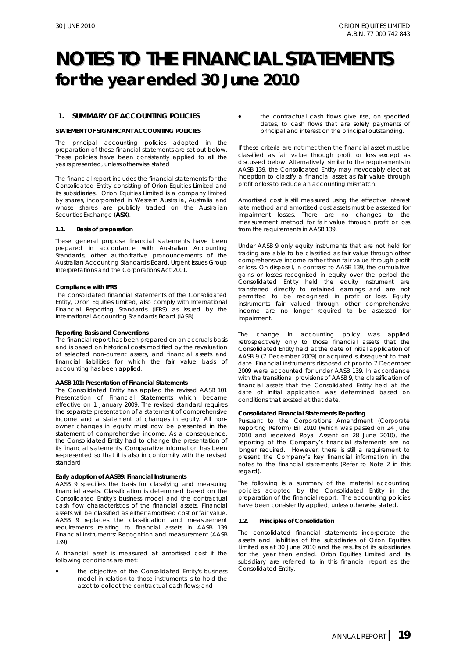#### **1. SUMMARY OF ACCOUNTING POLICIES**

#### **STATEMENT OF SIGNIFICANT ACCOUNTING POLICIES**

The principal accounting policies adopted in the preparation of these financial statements are set out below. These policies have been consistently applied to all the years presented, unless otherwise stated

The financial report includes the financial statements for the Consolidated Entity consisting of Orion Equities Limited and its subsidiaries. Orion Equities Limited is a company limited by shares, incorporated in Western Australia, Australia and whose shares are publicly traded on the Australian Securities Exchange (**ASX**).

#### **1.1. Basis of preparation**

These general purpose financial statements have been prepared in accordance with Australian Accounting Standards, other authoritative pronouncements of the Australian Accounting Standards Board, Urgent Issues Group Interpretations and the *Corporations Act 2001.* 

#### *Compliance with IFRS*

The consolidated financial statements of the Consolidated Entity, Orion Equities Limited, also comply with International Financial Reporting Standards (IFRS) as issued by the International Accounting Standards Board (IASB).

#### *Reporting Basis and Conventions*

The financial report has been prepared on an accruals basis and is based on historical costs modified by the revaluation of selected non-current assets, and financial assets and financial liabilities for which the fair value basis of accounting has been applied.

#### **AASB 101:** *Presentation of Financial Statements*

The Consolidated Entity has applied the revised AASB 101 *Presentation of Financial Statements* which became effective on 1 January 2009. The revised standard requires the separate presentation of a statement of comprehensive income and a statement of changes in equity. All nonowner changes in equity must now be presented in the statement of comprehensive income. As a consequence, the Consolidated Entity had to change the presentation of its financial statements. Comparative information has been re-presented so that it is also in conformity with the revised standard.

#### **Early adoption of** *AASB9: Financial Instruments*

AASB 9 specifies the basis for classifying and measuring financial assets. Classification is determined based on the Consolidated Entity's business model and the contractual cash flow characteristics of the financial assets. Financial assets will be classified as either amortised cost or fair value. AASB 9 replaces the classification and measurement requirements relating to financial assets in *AASB 139 Financial Instruments: Recognition and measurement* (AASB 139).

A financial asset is measured at amortised cost if the following conditions are met:

 the objective of the Consolidated Entity's business model in relation to those instruments is to hold the asset to collect the contractual cash flows; and

 the contractual cash flows give rise, on specified dates, to cash flows that are solely payments of principal and interest on the principal outstanding.

If these criteria are not met then the financial asset must be classified as fair value through profit or loss except as discussed below. Alternatively, similar to the requirements in AASB 139, the Consolidated Entity may irrevocably elect at inception to classify a financial asset as fair value through profit or loss to reduce an accounting mismatch.

Amortised cost is still measured using the effective interest rate method and amortised cost assets must be assessed for impairment losses. There are no changes to the measurement method for fair value through profit or loss from the requirements in AASB 139.

Under AASB 9 only equity instruments that are not held for trading are able to be classified as fair value through other comprehensive income rather than fair value through profit or loss. On disposal, in contrast to AASB 139, the cumulative gains or losses recognised in equity over the period the Consolidated Entity held the equity instrument are transferred directly to retained earnings and are not permitted to be recognised in profit or loss. Equity instruments fair valued through other comprehensive income are no longer required to be assessed for impairment.

The change in accounting policy was applied retrospectively only to those financial assets that the Consolidated Entity held at the date of initial application of AASB 9 (7 December 2009) or acquired subsequent to that date. Financial instruments disposed of prior to 7 December 2009 were accounted for under AASB 139. In accordance with the transitional provisions of AASB 9, the classification of financial assets that the Consolidated Entity held at the date of initial application was determined based on conditions that existed at that date.

#### **Consolidated Financial Statements Reporting**

Pursuant to the *Corporations Amendment (Corporate Reporting Reform) Bill 2010* (which was passed on 24 June 2010 and received Royal Assent on 28 June 2010), the reporting of the Company's financial statements are no longer required. However, there is still a requirement to present the Company's key financial information in the notes to the financial statements (Refer to Note 2 in this regard)

The following is a summary of the material accounting policies adopted by the Consolidated Entity in the preparation of the financial report. The accounting policies have been consistently applied, unless otherwise stated.

#### **1.2. Principles of Consolidation**

The consolidated financial statements incorporate the assets and liabilities of the subsidiaries of Orion Equities Limited as at 30 June 2010 and the results of its subsidiaries for the year then ended. Orion Equities Limited and its subsidiary are referred to in this financial report as the Consolidated Entity.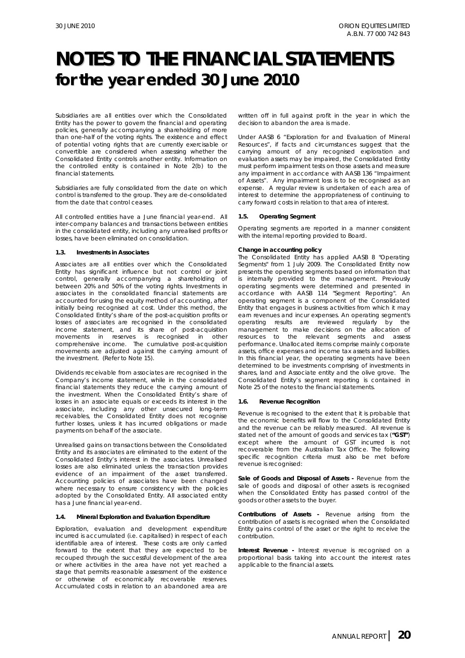Subsidiaries are all entities over which the Consolidated Entity has the power to govern the financial and operating policies, generally accompanying a shareholding of more than one-half of the voting rights. The existence and effect of potential voting rights that are currently exercisable or convertible are considered when assessing whether the Consolidated Entity controls another entity. Information on the controlled entity is contained in Note 2(b) to the financial statements.

Subsidiaries are fully consolidated from the date on which control is transferred to the group. They are de-consolidated from the date that control ceases.

All controlled entities have a June financial year-end. All inter-company balances and transactions between entities in the consolidated entity, including any unrealised profits or losses, have been eliminated on consolidation.

#### **1.3. Investments in Associates**

Associates are all entities over which the Consolidated Entity has significant influence but not control or joint control, generally accompanying a shareholding of between 20% and 50% of the voting rights. Investments in associates in the consolidated financial statements are accounted for using the equity method of accounting, after initially being recognised at cost. Under this method, the Consolidated Entity's share of the post-acquisition profits or losses of associates are recognised in the consolidated income statement, and its share of post-acquisition movements in reserves is recognised in other comprehensive income. The cumulative post-acquisition movements are adjusted against the carrying amount of the investment. (Refer to Note 15).

Dividends receivable from associates are recognised in the Company's income statement, while in the consolidated financial statements they reduce the carrying amount of the investment. When the Consolidated Entity's share of losses in an associate equals or exceeds its interest in the associate, including any other unsecured long-term receivables, the Consolidated Entity does not recognise further losses, unless it has incurred obligations or made payments on behalf of the associate.

Unrealised gains on transactions between the Consolidated Entity and its associates are eliminated to the extent of the Consolidated Entity's interest in the associates. Unrealised losses are also eliminated unless the transaction provides evidence of an impairment of the asset transferred. Accounting policies of associates have been changed where necessary to ensure consistency with the policies adopted by the Consolidated Entity. All associated entity has a June financial year-end.

#### **1.4. Mineral Exploration and Evaluation Expenditure**

Exploration, evaluation and development expenditure incurred is accumulated (i.e. capitalised) in respect of each identifiable area of interest. These costs are only carried forward to the extent that they are expected to be recouped through the successful development of the area or where activities in the area have not yet reached a stage that permits reasonable assessment of the existence or otherwise of economically recoverable reserves. Accumulated costs in relation to an abandoned area are

written off in full against profit in the year in which the decision to abandon the area is made.

Under AASB 6 "Exploration for and Evaluation of Mineral Resources", if facts and circumstances suggest that the carrying amount of any recognised exploration and evaluation assets may be impaired, the Consolidated Entity must perform impairment tests on those assets and measure any impairment in accordance with AASB 136 "Impairment of Assets". Any impairment loss is to be recognised as an expense. A regular review is undertaken of each area of interest to determine the appropriateness of continuing to carry forward costs in relation to that area of interest.

#### **1.5. Operating Segment**

Operating segments are reported in a manner consistent with the internal reporting provided to Board.

#### *Change in accounting policy*

The Consolidated Entity has applied AASB 8 "Operating Segments" from 1 July 2009. The Consolidated Entity now presents the operating segments based on information that is internally provided to the management. Previously operating segments were determined and presented in accordance with AASB 114 "Segment Reporting". An operating segment is a component of the Consolidated Entity that engages in business activities from which it may earn revenues and incur expenses. An operating segment's operating results are reviewed regularly by the management to make decisions on the allocation of resources to the relevant segments and assess performance. Unallocated items comprise mainly corporate assets, office expenses and income tax assets and liabilities. In this financial year, the operating segments have been determined to be investments comprising of investments in shares, land and Associate entity and the olive grove. The Consolidated Entity's segment reporting is contained in Note 25 of the notes to the financial statements.

#### **1.6. Revenue Recognition**

Revenue is recognised to the extent that it is probable that the economic benefits will flow to the Consolidated Entity and the revenue can be reliably measured. All revenue is stated net of the amount of goods and services tax (**"GST"**) except where the amount of GST incurred is not recoverable from the Australian Tax Office. The following specific recognition criteria must also be met before revenue is recognised:

*Sale of Goods and Disposal of Assets* **-** Revenue from the sale of goods and disposal of other assets is recognised when the Consolidated Entity has passed control of the goods or other assets to the buyer.

*Contributions of Assets* **-** Revenue arising from the contribution of assets is recognised when the Consolidated Entity gains control of the asset or the right to receive the contribution.

*Interest Revenue* **-** Interest revenue is recognised on a proportional basis taking into account the interest rates applicable to the financial assets.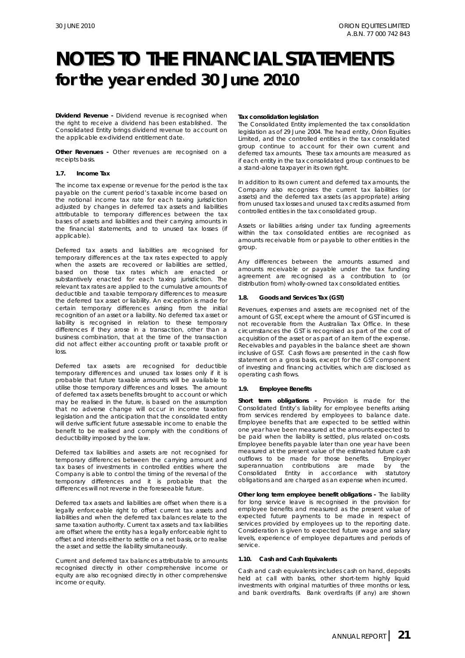*Dividend Revenue* **-** Dividend revenue is recognised when the right to receive a dividend has been established. The Consolidated Entity brings dividend revenue to account on the applicable ex-dividend entitlement date.

*Other Revenues* - Other revenues are recognised on a receipts basis.

#### **1.7. Income Tax**

The income tax expense or revenue for the period is the tax payable on the current period's taxable income based on the notional income tax rate for each taxing jurisdiction adjusted by changes in deferred tax assets and liabilities attributable to temporary differences between the tax bases of assets and liabilities and their carrying amounts in the financial statements, and to unused tax losses (if applicable).

Deferred tax assets and liabilities are recognised for temporary differences at the tax rates expected to apply when the assets are recovered or liabilities are settled, based on those tax rates which are enacted or substantively enacted for each taxing jurisdiction. The relevant tax rates are applied to the cumulative amounts of deductible and taxable temporary differences to measure the deferred tax asset or liability. An exception is made for certain temporary differences arising from the initial recognition of an asset or a liability. No deferred tax asset or liability is recognised in relation to these temporary differences if they arose in a transaction, other than a business combination, that at the time of the transaction did not affect either accounting profit or taxable profit or loss.

Deferred tax assets are recognised for deductible temporary differences and unused tax losses only if it is probable that future taxable amounts will be available to utilise those temporary differences and losses. The amount of deferred tax assets benefits brought to account or which may be realised in the future, is based on the assumption that no adverse change will occur in income taxation legislation and the anticipation that the consolidated entity will derive sufficient future assessable income to enable the benefit to be realised and comply with the conditions of deductibility imposed by the law.

Deferred tax liabilities and assets are not recognised for temporary differences between the carrying amount and tax bases of investments in controlled entities where the Company is able to control the timing of the reversal of the temporary differences and it is probable that the differences will not reverse in the foreseeable future.

Deferred tax assets and liabilities are offset when there is a legally enforceable right to offset current tax assets and liabilities and when the deferred tax balances relate to the same taxation authority. Current tax assets and tax liabilities are offset where the entity has a legally enforceable right to offset and intends either to settle on a net basis, or to realise the asset and settle the liability simultaneously.

Current and deferred tax balances attributable to amounts recognised directly in other comprehensive income or equity are also recognised directly in other comprehensive income or equity.

#### **Tax consolidation legislation**

The Consolidated Entity implemented the tax consolidation legislation as of 29 June 2004. The head entity, Orion Equities Limited, and the controlled entities in the tax consolidated group continue to account for their own current and deferred tax amounts. These tax amounts are measured as if each entity in the tax consolidated group continues to be a stand-alone taxpayer in its own right.

In addition to its own current and deferred tax amounts, the Company also recognises the current tax liabilities (or assets) and the deferred tax assets (as appropriate) arising from unused tax losses and unused tax credits assumed from controlled entities in the tax consolidated group.

Assets or liabilities arising under tax funding agreements within the tax consolidated entities are recognised as amounts receivable from or payable to other entities in the group.

Any differences between the amounts assumed and amounts receivable or payable under the tax funding agreement are recognised as a contribution to (or distribution from) wholly-owned tax consolidated entities.

#### **1.8. Goods and Services Tax (GST)**

Revenues, expenses and assets are recognised net of the amount of GST, except where the amount of GST incurred is not recoverable from the Australian Tax Office. In these circumstances the GST is recognised as part of the cost of acquisition of the asset or as part of an item of the expense. Receivables and payables in the balance sheet are shown inclusive of GST. Cash flows are presented in the cash flow statement on a gross basis, except for the GST component of investing and financing activities, which are disclosed as operating cash flows.

#### **1.9. Employee Benefits**

*Short term obligations -* Provision is made for the Consolidated Entity's liability for employee benefits arising from services rendered by employees to balance date. Employee benefits that are expected to be settled within one year have been measured at the amounts expected to be paid when the liability is settled, plus related on-costs. Employee benefits payable later than one year have been measured at the present value of the estimated future cash outflows to be made for those benefits. Employer superannuation contributions are made by the Consolidated Entity in accordance with statutory obligations and are charged as an expense when incurred.

**Other long term employee benefit obligations -** The liability for long service leave is recognised in the provision for employee benefits and measured as the present value of expected future payments to be made in respect of services provided by employees up to the reporting date. Consideration is given to expected future wage and salary levels, experience of employee departures and periods of service.

#### **1.10. Cash and Cash Equivalents**

Cash and cash equivalents includes cash on hand, deposits held at call with banks, other short-term highly liquid investments with original maturities of three months or less, and bank overdrafts. Bank overdrafts (if any) are shown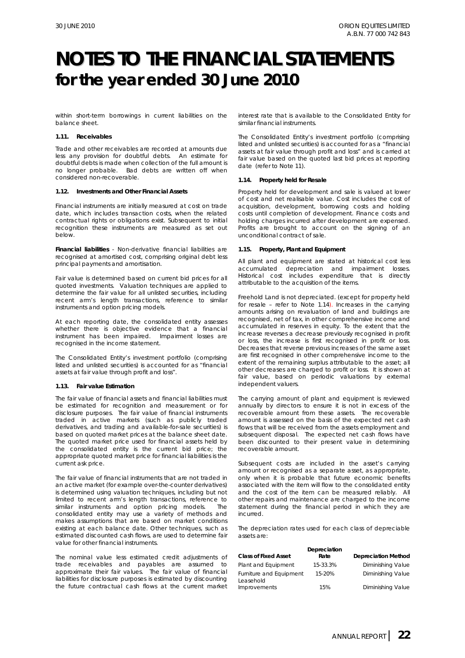within short-term borrowings in current liabilities on the balance sheet.

#### **1.11. Receivables**

Trade and other receivables are recorded at amounts due less any provision for doubtful debts. An estimate for doubtful debts is made when collection of the full amount is no longer probable. Bad debts are written off when considered non-recoverable.

#### **1.12. Investments and Other Financial Assets**

Financial instruments are initially measured at cost on trade date, which includes transaction costs, when the related contractual rights or obligations exist. Subsequent to initial recognition these instruments are measured as set out below.

*Financial liabilities* - Non-derivative financial liabilities are recognised at amortised cost, comprising original debt less principal payments and amortisation.

Fair value is determined based on current bid prices for all quoted investments. Valuation techniques are applied to determine the fair value for all unlisted securities, including recent arm's length transactions, reference to similar instruments and option pricing models.

At each reporting date, the consolidated entity assesses whether there is objective evidence that a financial instrument has been impaired. Impairment losses are recognised in the income statement.

The Consolidated Entity's investment portfolio (comprising listed and unlisted securities) is accounted for as "financial assets at fair value through profit and loss".

#### **1.13. Fair value Estimation**

The fair value of financial assets and financial liabilities must be estimated for recognition and measurement or for disclosure purposes. The fair value of financial instruments traded in active markets (such as publicly traded derivatives, and trading and available-for-sale securities) is based on quoted market prices at the balance sheet date. The quoted market price used for financial assets held by the consolidated entity is the current bid price; the appropriate quoted market price for financial liabilities is the current ask price.

The fair value of financial instruments that are not traded in an active market (for example over-the-counter derivatives) is determined using valuation techniques, including but not limited to recent arm's length transactions, reference to similar instruments and option pricing models. The consolidated entity may use a variety of methods and makes assumptions that are based on market conditions existing at each balance date. Other techniques, such as estimated discounted cash flows, are used to determine fair value for other financial instruments.

The nominal value less estimated credit adjustments of trade receivables and payables are assumed to approximate their fair values. The fair value of financial liabilities for disclosure purposes is estimated by discounting the future contractual cash flows at the current market

interest rate that is available to the Consolidated Entity for similar financial instruments.

The Consolidated Entity's investment portfolio (comprising listed and unlisted securities) is accounted for as a "financial assets at fair value through profit and loss" and is carried at fair value based on the quoted last bid prices at reporting date (refer to Note 11).

#### **1.14. Property held for Resale**

Property held for development and sale is valued at lower of cost and net realisable value. Cost includes the cost of acquisition, development, borrowing costs and holding costs until completion of development. Finance costs and holding charges incurred after development are expensed. Profits are brought to account on the signing of an unconditional contract of sale.

#### **1.15. Property, Plant and Equipment**

All plant and equipment are stated at historical cost less accumulated depreciation and impairment losses. Historical cost includes expenditure that is directly attributable to the acquisition of the items.

Freehold Land is not depreciated. (except for property held for resale – refer to Note 1.14). Increases in the carrying amounts arising on revaluation of land and buildings are recognised, net of tax, in other comprehensive income and accumulated in reserves in equity. To the extent that the increase reverses a decrease previously recognised in profit or loss, the increase is first recognised in profit or loss. Decreases that reverse previous increases of the same asset are first recognised in other comprehensive income to the extent of the remaining surplus attributable to the asset; all other decreases are charged to profit or loss. It is shown at fair value, based on periodic valuations by external independent valuers.

The carrying amount of plant and equipment is reviewed annually by directors to ensure it is not in excess of the recoverable amount from these assets. The recoverable amount is assessed on the basis of the expected net cash flows that will be received from the assets employment and subsequent disposal. The expected net cash flows have been discounted to their present value in determining recoverable amount.

Subsequent costs are included in the asset's carrying amount or recognised as a separate asset, as appropriate, only when it is probable that future economic benefits associated with the item will flow to the consolidated entity and the cost of the item can be measured reliably. All other repairs and maintenance are charged to the income statement during the financial period in which they are incurred.

The depreciation rates used for each class of depreciable assets are:

| <b>Class of Fixed Asset</b>          | Depreciation<br>Rate | <b>Depreciation Method</b> |
|--------------------------------------|----------------------|----------------------------|
| Plant and Equipment                  | 15-33.3%             | Diminishing Value          |
| Furniture and Equipment<br>Leasehold | 15-20%               | Diminishing Value          |
| <b>Improvements</b>                  | 15%                  | Diminishing Value          |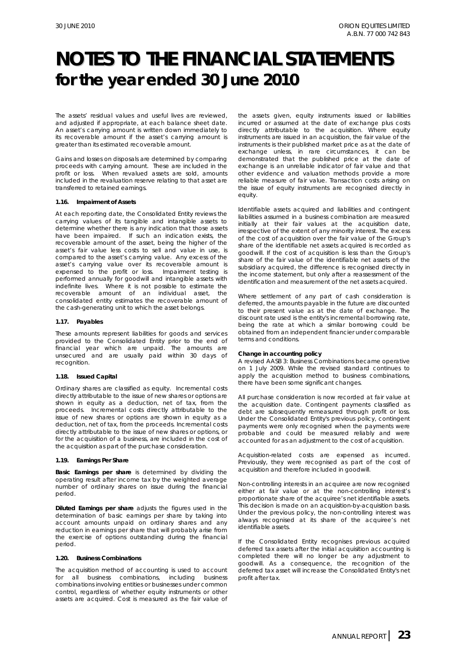The assets' residual values and useful lives are reviewed, and adjusted if appropriate, at each balance sheet date. An asset's carrying amount is written down immediately to its recoverable amount if the asset's carrying amount is greater than its estimated recoverable amount.

Gains and losses on disposals are determined by comparing proceeds with carrying amount. These are included in the profit or loss. When revalued assets are sold, amounts included in the revaluation reserve relating to that asset are transferred to retained earnings.

#### **1.16. Impairment of Assets**

At each reporting date, the Consolidated Entity reviews the carrying values of its tangible and intangible assets to determine whether there is any indication that those assets have been impaired. If such an indication exists, the recoverable amount of the asset, being the higher of the asset's fair value less costs to sell and value in use, is compared to the asset's carrying value. Any excess of the asset's carrying value over its recoverable amount is expensed to the profit or loss. Impairment testing is performed annually for goodwill and intangible assets with indefinite lives. Where it is not possible to estimate the recoverable amount of an individual asset, the consolidated entity estimates the recoverable amount of the cash-generating unit to which the asset belongs.

#### **1.17. Payables**

These amounts represent liabilities for goods and services provided to the Consolidated Entity prior to the end of financial year which are unpaid. The amounts are unsecured and are usually paid within 30 days of recognition.

#### **1.18. Issued Capital**

Ordinary shares are classified as equity. Incremental costs directly attributable to the issue of new shares or options are shown in equity as a deduction, net of tax, from the proceeds. Incremental costs directly attributable to the issue of new shares or options are shown in equity as a deduction, net of tax, from the proceeds. Incremental costs directly attributable to the issue of new shares or options, or for the acquisition of a business, are included in the cost of the acquisition as part of the purchase consideration.

#### **1.19. Earnings Per Share**

*Basic Earnings per share* is determined by dividing the operating result after income tax by the weighted average number of ordinary shares on issue during the financial period.

*Diluted Earnings per share* adjusts the figures used in the determination of basic earnings per share by taking into account amounts unpaid on ordinary shares and any reduction in earnings per share that will probably arise from the exercise of options outstanding during the financial period.

#### **1.20. Business Combinations**

The acquisition method of accounting is used to account for all business combinations, including business combinations involving entities or businesses under common control, regardless of whether equity instruments or other assets are acquired. Cost is measured as the fair value of

the assets given, equity instruments issued or liabilities incurred or assumed at the date of exchange plus costs directly attributable to the acquisition. Where equity instruments are issued in an acquisition, the fair value of the instruments is their published market price as at the date of exchange unless, in rare circumstances, it can be demonstrated that the published price at the date of exchange is an unreliable indicator of fair value and that other evidence and valuation methods provide a more reliable measure of fair value. Transaction costs arising on the issue of equity instruments are recognised directly in equity.

Identifiable assets acquired and liabilities and contingent liabilities assumed in a business combination are measured initially at their fair values at the acquisition date, irrespective of the extent of any minority interest. The excess of the cost of acquisition over the fair value of the Group's share of the identifiable net assets acquired is recorded as goodwill. If the cost of acquisition is less than the Group's share of the fair value of the identifiable net assets of the subsidiary acquired, the difference is recognised directly in the income statement, but only after a reassessment of the identification and measurement of the net assets acquired.

Where settlement of any part of cash consideration is deferred, the amounts payable in the future are discounted to their present value as at the date of exchange. The discount rate used is the entity's incremental borrowing rate, being the rate at which a similar borrowing could be obtained from an independent financier under comparable terms and conditions.

#### *Change in accounting policy*

A revised AASB 3: *Business Combinations* became operative on 1 July 2009. While the revised standard continues to apply the acquisition method to business combinations, there have been some significant changes.

All purchase consideration is now recorded at fair value at the acquisition date. Contingent payments classified as debt are subsequently remeasured through profit or loss. Under the Consolidated Entity's previous policy, contingent payments were only recognised when the payments were probable and could be measured reliably and were accounted for as an adjustment to the cost of acquisition.

Acquisition-related costs are expensed as incurred. Previously, they were recognised as part of the cost of acquisition and therefore included in goodwill.

Non-controlling interests in an acquiree are now recognised either at fair value or at the non-controlling interest's proportionate share of the acquiree's net identifiable assets. This decision is made on an acquisition-by-acquisition basis. Under the previous policy, the non-controlling interest was always recognised at its share of the acquiree's net identifiable assets.

If the Consolidated Entity recognises previous acquired deferred tax assets after the initial acquisition accounting is completed there will no longer be any adjustment to goodwill. As a consequence, the recognition of the deferred tax asset will increase the Consolidated Entity's net profit after tax.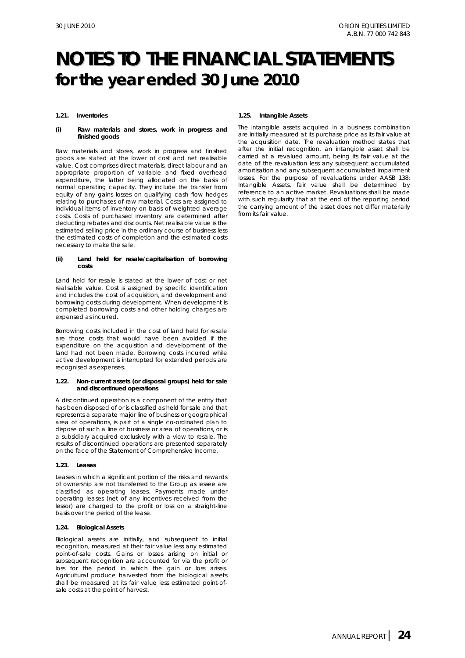#### **1.21. Inventories**

#### *(i)* **Raw materials and stores, work in progress and finished goods**

Raw materials and stores, work in progress and finished goods are stated at the lower of cost and net realisable value. Cost comprises direct materials, direct labour and an appropriate proportion of variable and fixed overhead expenditure, the latter being allocated on the basis of normal operating capacity. They include the transfer from equity of any gains losses on qualifying cash flow hedges relating to purchases of raw material. Costs are assigned to individual items of inventory on basis of weighted average costs. Costs of purchased inventory are determined after deducting rebates and discounts. Net realisable value is the estimated selling price in the ordinary course of business less the estimated costs of completion and the estimated costs necessary to make the sale.

#### *(ii)* **Land held for resale/capitalisation of borrowing costs**

Land held for resale is stated at the lower of cost or net realisable value. Cost is assigned by specific identification and includes the cost of acquisition, and development and borrowing costs during development. When development is completed borrowing costs and other holding charges are expensed as incurred.

Borrowing costs included in the cost of land held for resale are those costs that would have been avoided if the expenditure on the acquisition and development of the land had not been made. Borrowing costs incurred while active development is interrupted for extended periods are recognised as expenses.

#### **1.22. Non-current assets (or disposal groups) held for sale and discontinued operations**

A discontinued operation is a component of the entity that has been disposed of or is classified as held for sale and that represents a separate major line of business or geographical area of operations, is part of a single co-ordinated plan to dispose of such a line of business or area of operations, or is a subsidiary acquired exclusively with a view to resale. The results of discontinued operations are presented separately on the face of the Statement of Comprehensive Income.

#### **1.23. Leases**

Leases in which a significant portion of the risks and rewards of ownership are not transferred to the Group as lessee are classified as operating leases. Payments made under operating leases (net of any incentives received from the lessor) are charged to the profit or loss on a straight-line basis over the period of the lease.

#### **1.24. Biological Assets**

Biological assets are initially, and subsequent to initial recognition, measured at their fair value less any estimated point-of-sale costs. Gains or losses arising on initial or subsequent recognition are accounted for via the profit or loss for the period in which the gain or loss arises. Agricultural produce harvested from the biological assets shall be measured at its fair value less estimated point-ofsale costs at the point of harvest.

#### **1.25. Intangible Assets**

The intangible assets acquired in a business combination are initially measured at its purchase price as its fair value at the acquisition date. The revaluation method states that after the initial recognition, an intangible asset shall be carried at a revalued amount, being its fair value at the date of the revaluation less any subsequent accumulated amortisation and any subsequent accumulated impairment losses. For the purpose of revaluations under AASB 138: *Intangible Assets*, fair value shall be determined by reference to an active market. Revaluations shall be made with such regularity that at the end of the reporting period the carrying amount of the asset does not differ materially from its fair value.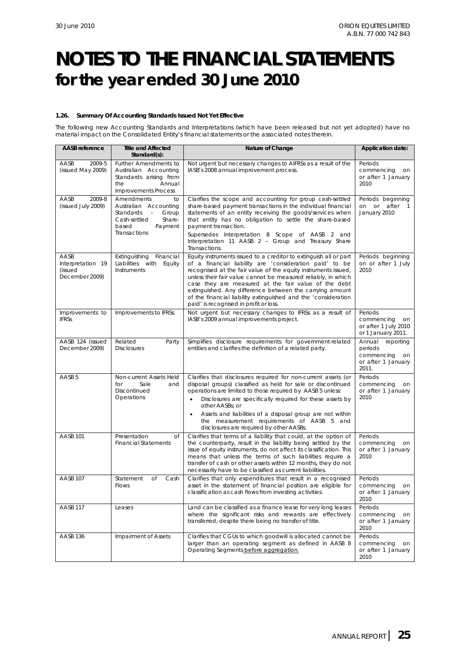#### **1.26. Summary Of Accounting Standards Issued Not Yet Effective**

The following new Accounting Standards and Interpretations (which have been released but not yet adopted) have no material impact on the Consolidated Entity's financial statements or the associated notes therein.

| <b>AASB</b> reference                                  | <b>Title and Affected</b><br>Standard(s):                                                                                               | Nature of Change                                                                                                                                                                                                                                                                                                                                                                                                                                                                                | Application date:                                                                 |
|--------------------------------------------------------|-----------------------------------------------------------------------------------------------------------------------------------------|-------------------------------------------------------------------------------------------------------------------------------------------------------------------------------------------------------------------------------------------------------------------------------------------------------------------------------------------------------------------------------------------------------------------------------------------------------------------------------------------------|-----------------------------------------------------------------------------------|
| AASB<br>2009-5<br>(issued May 2009)                    | Further Amendments to<br>Australian Accounting<br>Standards arising from<br>Annual<br>the<br><b>Improvements Process</b>                | Not urgent but necessary changes to AIFRSs as a result of the<br>IASB's 2008 annual improvement process.                                                                                                                                                                                                                                                                                                                                                                                        | Periods<br>commencing<br>on<br>or after 1 January<br>2010                         |
| AASB<br>2009-8<br>(issued July 2009)                   | Amendments<br>to<br>Australian Accounting<br>Standards<br>Group<br>$\sim$<br>Cash-settled<br>Share-<br>based<br>Payment<br>Transactions | Clarifies the scope and accounting for group cash-settled<br>share-based payment transactions in the individual financial<br>statements of an entity receiving the goods/services when<br>that entity has no obligation to settle the share-based<br>payment transaction.<br>Supersedes Interpretation 8 Scope of AASB 2 and<br>Interpretation 11 AASB 2 - Group and Treasury Share<br>Transactions.                                                                                            | Periods beginning<br>on or<br>after<br>$\overline{1}$<br>January 2010             |
| AASB<br>Interpretation 19<br>(issued<br>December 2009) | Extinguishing<br>Financial<br>Liabilities with Equity<br>Instruments                                                                    | Equity instruments issued to a creditor to extinguish all or part<br>of a financial liability are 'consideration paid' to be<br>recognised at the fair value of the equity instruments issued,<br>unless their fair value cannot be measured reliably, in which<br>case they are measured at the fair value of the debt<br>extinguished. Any difference between the carrying amount<br>of the financial liability extinguished and the 'consideration<br>paid' is recognised in profit or loss. | Periods beginning<br>on or after 1 July<br>2010                                   |
| Improvements to<br><b>IFRSs</b>                        | Improvements to IFRSs                                                                                                                   | Not urgent but necessary changes to IFRSs as a result of<br>IASB's 2009 annual improvements project.                                                                                                                                                                                                                                                                                                                                                                                            | Periods<br>commencing<br>on<br>or after 1 July 2010<br>or 1 January 2011.         |
| AASB 124 (issued<br>December 2009)                     | Related<br>Party<br><b>Disclosures</b>                                                                                                  | Simplifies disclosure requirements for government-related<br>entities and clarifies the definition of a related party.                                                                                                                                                                                                                                                                                                                                                                          | Annual<br>reporting<br>periods<br>commencing<br>on<br>or after 1 January<br>2011. |
| AASB <sub>5</sub>                                      | Non-current Assets Held<br>Sale<br>for<br>and<br>Discontinued<br>Operations                                                             | Clarifies that disclosures required for non-current assets (or<br>disposal groups) classified as held for sale or discontinued<br>operations are limited to those required by AASB 5 unless:<br>Disclosures are specifically required for these assets by<br>other AASBs; or<br>Assets and liabilities of a disposal group are not within<br>$\bullet$<br>the measurement requirements of AASB 5<br>and<br>disclosures are required by other AASBs.                                             | Periods<br>commencing<br>on<br>or after 1 January<br>2010                         |
| AASB <sub>101</sub>                                    | Presentation<br>Οf<br><b>Financial Statements</b>                                                                                       | Clarifies that terms of a liability that could, at the option of<br>the counterparty, result in the liability being settled by the<br>issue of equity instruments, do not affect its classification. This<br>means that unless the terms of such liabilities require a<br>transfer of cash or other assets within 12 months, they do not<br>necessarily have to be classified as current liabilities.                                                                                           | Periods<br>commencing<br>on<br>or after 1 January<br>2010                         |
| AASB <sub>107</sub>                                    | Statement<br><b>of</b><br>Cash<br><b>Flows</b>                                                                                          | Clarifies that only expenditures that result in a recognised<br>asset in the statement of financial position are eligible for<br>classification as cash flows from investing activities.                                                                                                                                                                                                                                                                                                        | Periods<br>commencing<br>on<br>or after 1 January<br>2010                         |
| AASB 117                                               | Leases                                                                                                                                  | Land can be classified as a finance lease for very long leases<br>where the significant risks and rewards are effectively<br>transferred, despite there being no transfer of title.                                                                                                                                                                                                                                                                                                             | Periods<br>commencing<br>on<br>or after 1 January<br>2010                         |
| AASB 136                                               | Impairment of Assets                                                                                                                    | Clarifies that CGUs to which goodwill is allocated cannot be<br>larger than an operating segment as defined in AASB 8<br>Operating Segments before aggregation.                                                                                                                                                                                                                                                                                                                                 | Periods<br>commencing<br>on<br>or after 1 January<br>2010                         |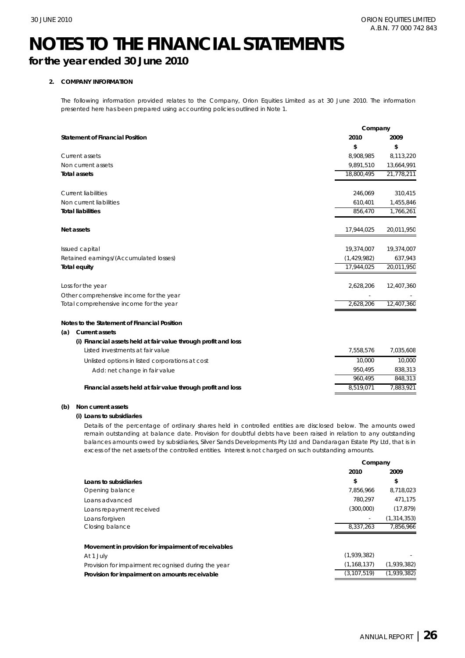#### **2. COMPANY INFORMATION**

The following information provided relates to the Company, Orion Equities Limited as at 30 June 2010. The information presented here has been prepared using accounting policies outlined in Note 1.

|                                                                 | Company       |            |
|-----------------------------------------------------------------|---------------|------------|
| <b>Statement of Financial Position</b>                          | 2010          | 2009       |
|                                                                 | \$            | \$         |
| Current assets                                                  | 8,908,985     | 8,113,220  |
| Non current assets                                              | 9,891,510     | 13,664,991 |
| <b>Total assets</b>                                             | 18,800,495    | 21,778,211 |
| Current liabilities                                             | 246,069       | 310,415    |
| Non current liabilities                                         | 610,401       | 1,455,846  |
| <b>Total liabilities</b>                                        | 856,470       | 1,766,261  |
| Net assets                                                      | 17,944,025    | 20,011,950 |
| Issued capital                                                  | 19,374,007    | 19,374,007 |
| Retained earnings/(Accumulated losses)                          | (1, 429, 982) | 637,943    |
| <b>Total equity</b>                                             | 17,944,025    | 20,011,950 |
| Loss for the year                                               | 2,628,206     | 12,407,360 |
| Other comprehensive income for the year                         |               |            |
| Total comprehensive income for the year                         | 2,628,206     | 12,407,360 |
| Notes to the Statement of Financial Position                    |               |            |
| <b>Current assets</b><br>(a)                                    |               |            |
| (i) Financial assets held at fair value through profit and loss |               |            |
| Listed investments at fair value                                | 7,558,576     | 7,035,608  |
| Unlisted options in listed corporations at cost                 | 10,000        | 10,000     |
| Add: net change in fair value                                   | 950,495       | 838,313    |
|                                                                 | 960,495       | 848,313    |
| Financial assets held at fair value through profit and loss     | 8,519,071     | 7,883,921  |

#### **(b) Non current assets**

#### **(i) Loans to subsidiaries**

Details of the percentage of ordinary shares held in controlled entities are disclosed below. The amounts owed remain outstanding at balance date. Provision for doubtful debts have been raised in relation to any outstanding balances amounts owed by subsidiaries, Silver Sands Developments Pty Ltd and Dandaragan Estate Pty Ltd, that is in excess of the net assets of the controlled entities. Interest is not charged on such outstanding amounts.

|                                                     | Company       |               |
|-----------------------------------------------------|---------------|---------------|
|                                                     | 2010          | 2009          |
| Loans to subsidiaries                               | \$            | \$            |
| Opening balance                                     | 7,856,966     | 8,718,023     |
| Loans advanced                                      | 780.297       | 471,175       |
| Loans repayment received                            | (300,000)     | (17, 879)     |
| Loans forgiven                                      | $\sim$        | (1, 314, 353) |
| Closing balance                                     | 8.337.263     | 7,856,966     |
| Movement in provision for impairment of receivables |               |               |
| At 1 July                                           | (1,939,382)   |               |
| Provision for impairment recognised during the year | (1, 168, 137) | (1,939,382)   |
| Provision for impairment on amounts receivable      | (3.107.519)   | (1,939,382)   |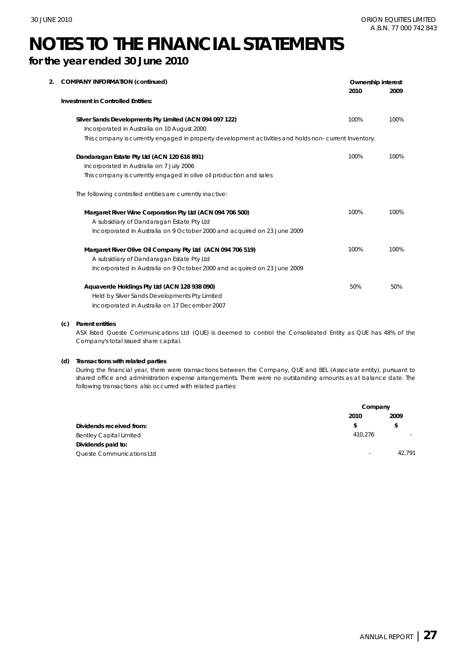### **for the year ended 30 June 2010**

| 2. | <b>COMPANY INFORMATION (continued)</b>                                                                | <b>Ownership interest</b> |      |
|----|-------------------------------------------------------------------------------------------------------|---------------------------|------|
|    |                                                                                                       | 2010                      | 2009 |
|    | <b>Investment in Controlled Entities:</b>                                                             |                           |      |
|    | Silver Sands Developments Pty Limited (ACN 094 097 122)                                               | 100%                      | 100% |
|    | Incorporated in Australia on 10 August 2000                                                           |                           |      |
|    | This company is currently engaged in property development activities and holds non-current Inventory. |                           |      |
|    | Dandaragan Estate Pty Ltd (ACN 120 616 891)                                                           | 100%                      | 100% |
|    | Incorporated in Australia on 7 July 2006                                                              |                           |      |
|    | This company is currently engaged in olive oil production and sales                                   |                           |      |
|    | The following controlled entities are currently inactive:                                             |                           |      |
|    | Margaret River Wine Corporation Pty Ltd (ACN 094 706 500)                                             | 100%                      | 100% |
|    | A subsidiary of Dandaragan Estate Pty Ltd                                                             |                           |      |
|    | Incorporated in Australia on 9 October 2000 and acquired on 23 June 2009                              |                           |      |
|    | Margaret River Olive Oil Company Pty Ltd (ACN 094 706 519)                                            | 100%                      | 100% |
|    | A subsidiary of Dandaragan Estate Pty Ltd                                                             |                           |      |
|    | Incorporated in Australia on 9 October 2000 and acquired on 23 June 2009                              |                           |      |
|    | Aquaverde Holdings Pty Ltd (ACN 128 938 090)                                                          | 50%                       | 50%  |
|    | Held by Silver Sands Developments Pty Limited                                                         |                           |      |
|    | Incorporated in Australia on 17 December 2007                                                         |                           |      |

#### **(c) Parent entities**

ASX listed Queste Communications Ltd (QUE) is deemed to control the Consolidated Entity as QUE has 48% of the Company's total issued share capital.

#### **(d) Transactions with related parties**

During the financial year, there were transactions between the Company, QUE and BEL (Associate entity), pursuant to shared office and administration expense arrangements. There were no outstanding amounts as at balance date. The following transactions also occurred with related parties:

|                                | Company |        |
|--------------------------------|---------|--------|
|                                | 2010    | 2009   |
| Dividends received from:       | S       | \$     |
| <b>Bentley Capital Limited</b> | 410.276 |        |
| Dividends paid to:             |         |        |
| Queste Communications Ltd      |         | 42.791 |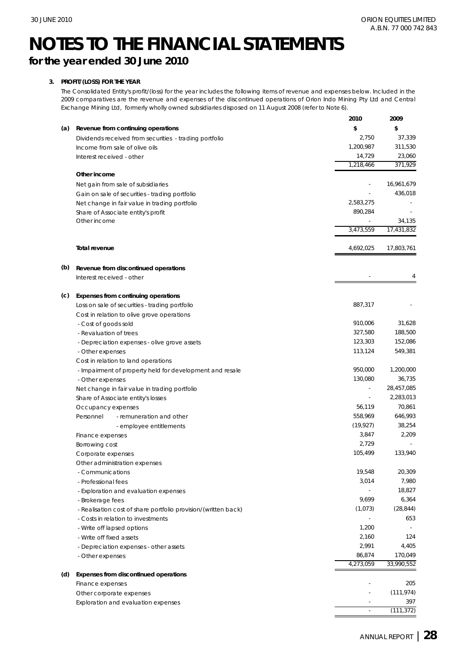### **for the year ended 30 June 2010**

#### **3. PROFIT/(LOSS) FOR THE YEAR**

The Consolidated Entity's profit/(loss) for the year includes the following items of revenue and expenses below. Included in the 2009 comparatives are the revenue and expenses of the discontinued operations of Orion Indo Mining Pty Ltd and Central Exchange Mining Ltd, formerly wholly owned subsidiaries disposed on 11 August 2008 (refer to Note 6).

|     |                                                                | 2010                     | 2009       |
|-----|----------------------------------------------------------------|--------------------------|------------|
| (a) | Revenue from continuing operations                             | \$                       | \$         |
|     | Dividends received from securities - trading portfolio         | 2,750                    | 37,339     |
|     | Income from sale of olive oils                                 | 1,200,987                | 311,530    |
|     | Interest received - other                                      | 14,729                   | 23,060     |
|     |                                                                | 1,218,466                | 371,929    |
|     | Other income                                                   |                          |            |
|     | Net gain from sale of subsidiaries                             |                          | 16,961,679 |
|     | Gain on sale of securities - trading portfolio                 |                          | 436,018    |
|     | Net change in fair value in trading portfolio                  | 2,583,275                |            |
|     | Share of Associate entity's profit                             | 890,284                  |            |
|     | Other income                                                   |                          | 34,135     |
|     |                                                                | 3,473,559                | 17,431,832 |
|     |                                                                |                          |            |
|     | Total revenue                                                  | 4,692,025                | 17,803,761 |
| (b) | Revenue from discontinued operations                           |                          |            |
|     | Interest received - other                                      |                          | 4          |
| (c) | Expenses from continuing operations                            |                          |            |
|     | Loss on sale of securities - trading portfolio                 | 887,317                  |            |
|     | Cost in relation to olive grove operations                     |                          |            |
|     | - Cost of goods sold                                           | 910,006                  | 31.628     |
|     | - Revaluation of trees                                         | 327,580                  | 188,500    |
|     | - Depreciation expenses - olive grove assets                   | 123,303                  | 152,086    |
|     | - Other expenses                                               | 113,124                  | 549,381    |
|     | Cost in relation to land operations                            |                          |            |
|     | - Impairment of property held for development and resale       | 950,000                  | 1,200,000  |
|     | - Other expenses                                               | 130,080                  | 36,735     |
|     | Net change in fair value in trading portfolio                  | $\overline{\phantom{a}}$ | 28,457,085 |
|     | Share of Associate entity's losses                             | $\overline{\phantom{a}}$ | 2,283,013  |
|     | Occupancy expenses                                             | 56,119                   | 70,861     |
|     | Personnel<br>- remuneration and other                          | 558,969                  | 646,993    |
|     | - employee entitlements                                        | (19, 927)                | 38,254     |
|     | Finance expenses                                               | 3,847                    | 2,209      |
|     | Borrowing cost                                                 | 2,729                    |            |
|     | Corporate expenses                                             | 105,499                  | 133,940    |
|     | Other administration expenses                                  |                          |            |
|     | - Communications                                               | 19,548                   | 20,309     |
|     | - Professional fees                                            | 3,014                    | 7,980      |
|     | - Exploration and evaluation expenses                          |                          | 18,827     |
|     | - Brokerage fees                                               | 9,699                    | 6,364      |
|     | - Realisation cost of share portfolio provision/(written back) | (1,073)                  | (28, 844)  |
|     | - Costs in relation to investments                             |                          | 653        |
|     | - Write off lapsed options                                     | 1,200                    |            |
|     | - Write off fixed assets                                       | 2,160                    | 124        |
|     |                                                                | 2,991                    | 4,405      |
|     | - Depreciation expenses - other assets                         | 86,874                   | 170,049    |
|     | - Other expenses                                               | 4,273,059                | 33,990,552 |
| (d) | Expenses from discontinued operations                          |                          |            |
|     | Finance expenses                                               |                          | 205        |
|     | Other corporate expenses                                       |                          | (111, 974) |
|     | Exploration and evaluation expenses                            |                          | 397        |
|     |                                                                |                          | (111, 372) |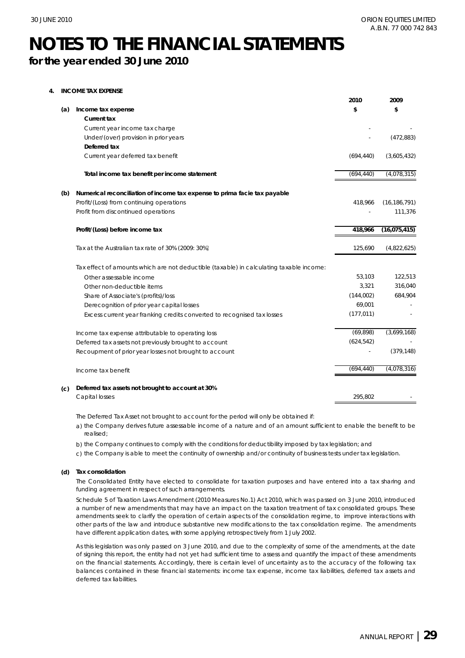**for the year ended 30 June 2010**

| 4. |     | <b>INCOME TAX EXPENSE</b>                                                               |            |                |
|----|-----|-----------------------------------------------------------------------------------------|------------|----------------|
|    |     |                                                                                         | 2010       | 2009           |
|    | (a) | Income tax expense                                                                      | \$         | \$             |
|    |     | <b>Current tax</b>                                                                      |            |                |
|    |     | Current year income tax charge                                                          |            |                |
|    |     | Under/(over) provision in prior years                                                   |            | (472, 883)     |
|    |     | Deferred tax                                                                            |            |                |
|    |     | Current year deferred tax benefit                                                       | (694, 440) | (3,605,432)    |
|    |     | Total income tax benefit per income statement                                           | (694, 440) | (4,078,315)    |
|    | (b) | Numerical reconciliation of income tax expense to prima facie tax payable               |            |                |
|    |     | Profit/(Loss) from continuing operations                                                | 418,966    | (16, 186, 791) |
|    |     | Profit from discontinued operations                                                     |            | 111,376        |
|    |     | Profit/(Loss) before income tax                                                         | 418,966    | (16,075,415)   |
|    |     | Tax at the Australian tax rate of 30% (2009: 30%)                                       | 125,690    | (4,822,625)    |
|    |     | Tax effect of amounts which are not deductible (taxable) in calculating taxable income: |            |                |
|    |     | Other assessable income                                                                 | 53,103     | 122,513        |
|    |     | Other non-deductible items                                                              | 3,321      | 316,040        |
|    |     | Share of Associate's (profits)/loss                                                     | (144,002)  | 684,904        |
|    |     | Derecognition of prior year capital losses                                              | 69,001     |                |
|    |     | Excess current year franking credits converted to recognised tax losses                 | (177, 011) |                |
|    |     | Income tax expense attributable to operating loss                                       | (69, 898)  | (3,699,168)    |
|    |     | Deferred tax assets not previously brought to account                                   | (624, 542) |                |
|    |     | Recoupment of prior year losses not brought to account                                  |            | (379, 148)     |
|    |     | Income tax benefit                                                                      | (694, 440) | (4,078,316)    |
|    | (c) | Deferred tax assets not brought to account at 30%                                       |            |                |
|    |     | Capital losses                                                                          | 295,802    |                |

The Deferred Tax Asset not brought to account for the period will only be obtained if:

a) the Company derives future assessable income of a nature and of an amount sufficient to enable the benefit to be realised;

b) the Company continues to comply with the conditions for deductibility imposed by tax legislation; and

c) the Company is able to meet the continuity of ownership and/or continuity of business tests under tax legislation.

#### **(d) Tax consolidation**

The Consolidated Entity have elected to consolidate for taxation purposes and have entered into a tax sharing and funding agreement in respect of such arrangements.

Schedule 5 of Taxation Laws Amendment (2010 Measures No.1) Act 2010, which was passed on 3 June 2010, introduced a number of new amendments that may have an impact on the taxation treatment of tax consolidated groups. These amendments seek to clarify the operation of certain aspects of the consolidation regime, to improve interactions with other parts of the law and introduce substantive new modifications to the tax consolidation regime. The amendments have different application dates, with some applying retrospectively from 1 July 2002.

As this legislation was only passed on 3 June 2010, and due to the complexity of some of the amendments, at the date of signing this report, the entity had not yet had sufficient time to assess and quantify the impact of these amendments on the financial statements. Accordingly, there is certain level of uncertainty as to the accuracy of the following tax balances contained in these financial statements: income tax expense, income tax liabilities, deferred tax assets and deferred tax liabilities.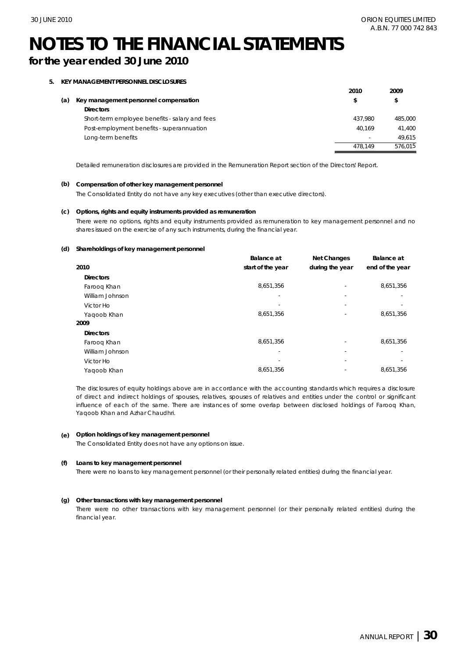### **for the year ended 30 June 2010**

#### **5. KEY MANAGEMENT PERSONNEL DISCLOSURES**

|     |                                                | 2010    | 2009    |
|-----|------------------------------------------------|---------|---------|
| (a) | Key management personnel compensation          |         | \$      |
|     | <b>Directors</b>                               |         |         |
|     | Short-term employee benefits - salary and fees | 437.980 | 485,000 |
|     | Post-employment benefits - superannuation      | 40.169  | 41.400  |
|     | Long-term benefits                             |         | 49.615  |
|     |                                                | 478.149 | 576.015 |

Detailed remuneration disclosures are provided in the Remuneration Report section of the Directors' Report.

#### **(b) Compensation of other key management personnel**

The Consolidated Entity do not have any key executives (other than executive directors).

#### **(c) Options, rights and equity instruments provided as remuneration**

There were no options, rights and equity instruments provided as remuneration to key management personnel and no shares issued on the exercise of any such instruments, during the financial year.

#### **(d) Shareholdings of key management personnel**

|                  | <b>Balance</b> at | <b>Net Changes</b>       | <b>Balance</b> at |
|------------------|-------------------|--------------------------|-------------------|
| 2010             | start of the year | during the year          | end of the year   |
| <b>Directors</b> |                   |                          |                   |
| Faroog Khan      | 8,651,356         | ٠                        | 8,651,356         |
| William Johnson  | $\sim$            | $\overline{\phantom{a}}$ |                   |
| Victor Ho        |                   | $\overline{\phantom{a}}$ |                   |
| Yagoob Khan      | 8,651,356         | $\overline{\phantom{a}}$ | 8,651,356         |
| 2009             |                   |                          |                   |
| <b>Directors</b> |                   |                          |                   |
| Faroog Khan      | 8,651,356         | ٠                        | 8,651,356         |
| William Johnson  | $\sim$            | $\overline{\phantom{a}}$ | ۰                 |
| Victor Ho        | $\sim$            | $\overline{\phantom{a}}$ | ۰                 |
| Yagoob Khan      | 8,651,356         |                          | 8,651,356         |

The disclosures of equity holdings above are in accordance with the accounting standards which requires a disclosure of direct and indirect holdings of spouses, relatives, spouses of relatives and entities under the control or significant influence of each of the same. There are instances of some overlap between disclosed holdings of Farooq Khan, Yaqoob Khan and Azhar Chaudhri.

#### **(e) Option holdings of key management personnel**

The Consolidated Entity does not have any options on issue.

#### **(f) Loans to key management personnel**

There were no loans to key management personnel (or their personally related entities) during the financial year.

#### **(g) Other transactions with key management personnel**

There were no other transactions with key management personnel (or their personally related entities) during the financial year.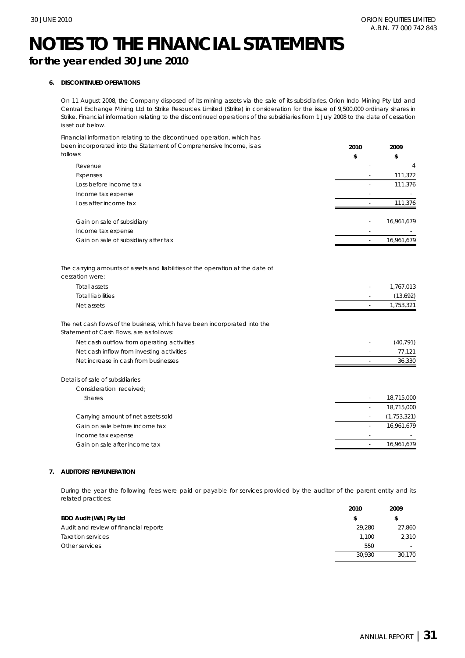#### **6. DISCONTINUED OPERATIONS**

On 11 August 2008, the Company disposed of its mining assets via the sale of its subsidiaries, Orion Indo Mining Pty Ltd and Central Exchange Mining Ltd to Strike Resources Limited (Strike) in consideration for the issue of 9,500,000 ordinary shares in Strike. Financial information relating to the discontinued operations of the subsidiaries from 1 July 2008 to the date of cessation is set out below.

| been incorporated into the Statement of Comprehensive Income, is as<br>2010<br>2009<br>follows:<br>\$<br>\$<br>Revenue<br>4<br>111,372<br>Expenses<br>111,376<br>Loss before income tax<br>Income tax expense<br>111,376<br>Loss after income tax<br>16,961,679<br>Gain on sale of subsidiary<br>Income tax expense<br>16,961,679<br>Gain on sale of subsidiary after tax<br>The carrying amounts of assets and liabilities of the operation at the date of<br>cessation were:<br>1,767,013<br>Total assets<br>(13,692)<br><b>Total liabilities</b><br>1,753,321<br>Net assets<br>The net cash flows of the business, which have been incorporated into the<br>Statement of Cash Flows, are as follows:<br>(40, 791)<br>Net cash outflow from operating activities<br>77,121<br>Net cash inflow from investing activities<br>36,330<br>Net increase in cash from businesses<br>Details of sale of subsidiaries<br>Consideration received;<br>18,715,000<br><b>Shares</b><br>18,715,000<br>(1, 753, 321)<br>Carrying amount of net assets sold<br>Gain on sale before income tax<br>16,961,679<br>Income tax expense<br>16,961,679<br>Gain on sale after income tax<br>ä, | Financial information relating to the discontinued operation, which has |  |
|--------------------------------------------------------------------------------------------------------------------------------------------------------------------------------------------------------------------------------------------------------------------------------------------------------------------------------------------------------------------------------------------------------------------------------------------------------------------------------------------------------------------------------------------------------------------------------------------------------------------------------------------------------------------------------------------------------------------------------------------------------------------------------------------------------------------------------------------------------------------------------------------------------------------------------------------------------------------------------------------------------------------------------------------------------------------------------------------------------------------------------------------------------------------------|-------------------------------------------------------------------------|--|
|                                                                                                                                                                                                                                                                                                                                                                                                                                                                                                                                                                                                                                                                                                                                                                                                                                                                                                                                                                                                                                                                                                                                                                          |                                                                         |  |
|                                                                                                                                                                                                                                                                                                                                                                                                                                                                                                                                                                                                                                                                                                                                                                                                                                                                                                                                                                                                                                                                                                                                                                          |                                                                         |  |
|                                                                                                                                                                                                                                                                                                                                                                                                                                                                                                                                                                                                                                                                                                                                                                                                                                                                                                                                                                                                                                                                                                                                                                          |                                                                         |  |
|                                                                                                                                                                                                                                                                                                                                                                                                                                                                                                                                                                                                                                                                                                                                                                                                                                                                                                                                                                                                                                                                                                                                                                          |                                                                         |  |
|                                                                                                                                                                                                                                                                                                                                                                                                                                                                                                                                                                                                                                                                                                                                                                                                                                                                                                                                                                                                                                                                                                                                                                          |                                                                         |  |
|                                                                                                                                                                                                                                                                                                                                                                                                                                                                                                                                                                                                                                                                                                                                                                                                                                                                                                                                                                                                                                                                                                                                                                          |                                                                         |  |
|                                                                                                                                                                                                                                                                                                                                                                                                                                                                                                                                                                                                                                                                                                                                                                                                                                                                                                                                                                                                                                                                                                                                                                          |                                                                         |  |
|                                                                                                                                                                                                                                                                                                                                                                                                                                                                                                                                                                                                                                                                                                                                                                                                                                                                                                                                                                                                                                                                                                                                                                          |                                                                         |  |
|                                                                                                                                                                                                                                                                                                                                                                                                                                                                                                                                                                                                                                                                                                                                                                                                                                                                                                                                                                                                                                                                                                                                                                          |                                                                         |  |
|                                                                                                                                                                                                                                                                                                                                                                                                                                                                                                                                                                                                                                                                                                                                                                                                                                                                                                                                                                                                                                                                                                                                                                          |                                                                         |  |
|                                                                                                                                                                                                                                                                                                                                                                                                                                                                                                                                                                                                                                                                                                                                                                                                                                                                                                                                                                                                                                                                                                                                                                          |                                                                         |  |
|                                                                                                                                                                                                                                                                                                                                                                                                                                                                                                                                                                                                                                                                                                                                                                                                                                                                                                                                                                                                                                                                                                                                                                          |                                                                         |  |
|                                                                                                                                                                                                                                                                                                                                                                                                                                                                                                                                                                                                                                                                                                                                                                                                                                                                                                                                                                                                                                                                                                                                                                          |                                                                         |  |
|                                                                                                                                                                                                                                                                                                                                                                                                                                                                                                                                                                                                                                                                                                                                                                                                                                                                                                                                                                                                                                                                                                                                                                          |                                                                         |  |
|                                                                                                                                                                                                                                                                                                                                                                                                                                                                                                                                                                                                                                                                                                                                                                                                                                                                                                                                                                                                                                                                                                                                                                          |                                                                         |  |
|                                                                                                                                                                                                                                                                                                                                                                                                                                                                                                                                                                                                                                                                                                                                                                                                                                                                                                                                                                                                                                                                                                                                                                          |                                                                         |  |
|                                                                                                                                                                                                                                                                                                                                                                                                                                                                                                                                                                                                                                                                                                                                                                                                                                                                                                                                                                                                                                                                                                                                                                          |                                                                         |  |
|                                                                                                                                                                                                                                                                                                                                                                                                                                                                                                                                                                                                                                                                                                                                                                                                                                                                                                                                                                                                                                                                                                                                                                          |                                                                         |  |
|                                                                                                                                                                                                                                                                                                                                                                                                                                                                                                                                                                                                                                                                                                                                                                                                                                                                                                                                                                                                                                                                                                                                                                          |                                                                         |  |
|                                                                                                                                                                                                                                                                                                                                                                                                                                                                                                                                                                                                                                                                                                                                                                                                                                                                                                                                                                                                                                                                                                                                                                          |                                                                         |  |
|                                                                                                                                                                                                                                                                                                                                                                                                                                                                                                                                                                                                                                                                                                                                                                                                                                                                                                                                                                                                                                                                                                                                                                          |                                                                         |  |
|                                                                                                                                                                                                                                                                                                                                                                                                                                                                                                                                                                                                                                                                                                                                                                                                                                                                                                                                                                                                                                                                                                                                                                          |                                                                         |  |
|                                                                                                                                                                                                                                                                                                                                                                                                                                                                                                                                                                                                                                                                                                                                                                                                                                                                                                                                                                                                                                                                                                                                                                          |                                                                         |  |
|                                                                                                                                                                                                                                                                                                                                                                                                                                                                                                                                                                                                                                                                                                                                                                                                                                                                                                                                                                                                                                                                                                                                                                          |                                                                         |  |
|                                                                                                                                                                                                                                                                                                                                                                                                                                                                                                                                                                                                                                                                                                                                                                                                                                                                                                                                                                                                                                                                                                                                                                          |                                                                         |  |
|                                                                                                                                                                                                                                                                                                                                                                                                                                                                                                                                                                                                                                                                                                                                                                                                                                                                                                                                                                                                                                                                                                                                                                          |                                                                         |  |
|                                                                                                                                                                                                                                                                                                                                                                                                                                                                                                                                                                                                                                                                                                                                                                                                                                                                                                                                                                                                                                                                                                                                                                          |                                                                         |  |

#### **7. AUDITORS' REMUNERATION**

During the year the following fees were paid or payable for services provided by the auditor of the parent entity and its related practices:

|                                       | 2010   | 2009                     |
|---------------------------------------|--------|--------------------------|
| BDO Audit (WA) Pty Ltd                |        |                          |
| Audit and review of financial reports | 29.280 | 27,860                   |
| <b>Taxation services</b>              | 1.100  | 2.310                    |
| Other services                        | 550    | $\overline{\phantom{a}}$ |
|                                       | 30.930 | 30.170                   |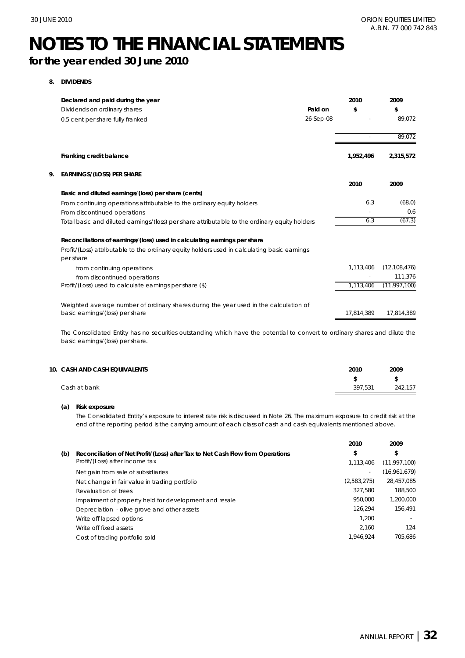**for the year ended 30 June 2010**

#### **8. DIVIDENDS**

|    | Declared and paid during the year<br>Dividends on ordinary shares                                         | Paid on   | 2010<br>\$ | 2009<br>\$     |
|----|-----------------------------------------------------------------------------------------------------------|-----------|------------|----------------|
|    | 0.5 cent per share fully franked                                                                          | 26-Sep-08 |            | 89,072         |
|    |                                                                                                           |           |            | 89,072         |
|    | Franking credit balance                                                                                   |           | 1,952,496  | 2,315,572      |
| 9. | <b>EARNINGS/(LOSS) PER SHARE</b>                                                                          |           |            |                |
|    |                                                                                                           |           | 2010       | 2009           |
|    | Basic and diluted earnings/(loss) per share (cents)                                                       |           |            |                |
|    | From continuing operations attributable to the ordinary equity holders                                    |           | 6.3        | (68.0)         |
|    | From discontinued operations                                                                              |           |            | 0.6            |
|    | Total basic and diluted earnings/(loss) per share attributable to the ordinary equity holders             |           | 6.3        | (67.3)         |
|    | Reconciliations of earnings/(loss) used in calculating earnings per share                                 |           |            |                |
|    | Profit/(Loss) attributable to the ordinary equity holders used in calculating basic earnings<br>per share |           |            |                |
|    | from continuing operations                                                                                |           | 1,113,406  | (12, 108, 476) |
|    | from discontinued operations                                                                              |           |            | 111,376        |
|    | Profit/(Loss) used to calculate earnings per share (\$)                                                   |           | 1,113,406  | (11, 997, 100) |
|    | Weighted average number of ordinary shares during the year used in the calculation of                     |           |            |                |
|    | basic earnings/(loss) per share                                                                           |           | 17.814.389 | 17,814,389     |

The Consolidated Entity has no securities outstanding which have the potential to convert to ordinary shares and dilute the basic earnings/(loss) per share.

### **10. CASH AND CASH EQUIVALENTS**

| <b>CASH AND CASH EQUIVALENTS</b> | 2010    | 2009    |
|----------------------------------|---------|---------|
|                                  |         |         |
| Cash at bank                     | 397.531 | 242.157 |

#### **(a) Risk exposure**

The Consolidated Entity's exposure to interest rate risk is discussed in Note 26. The maximum exposure to credit risk at the end of the reporting period is the carrying amount of each class of cash and cash equivalents mentioned above.

|     |                                                                                | 2010        | 2009           |
|-----|--------------------------------------------------------------------------------|-------------|----------------|
| (b) | Reconciliation of Net Profit/(Loss) after Tax to Net Cash Flow from Operations | \$          | \$             |
|     | Profit/(Loss) after income tax                                                 | 1.113.406   | (11, 997, 100) |
|     | Net gain from sale of subsidiaries                                             |             | (16,961,679)   |
|     | Net change in fair value in trading portfolio                                  | (2,583,275) | 28.457.085     |
|     | Revaluation of trees                                                           | 327.580     | 188,500        |
|     | Impairment of property held for development and resale                         | 950.000     | 1.200.000      |
|     | Depreciation - olive grove and other assets                                    | 126.294     | 156.491        |
|     | Write off lapsed options                                                       | 1.200       |                |
|     | Write off fixed assets                                                         | 2.160       | 124            |
|     | Cost of trading portfolio sold                                                 | 1.946.924   | 705.686        |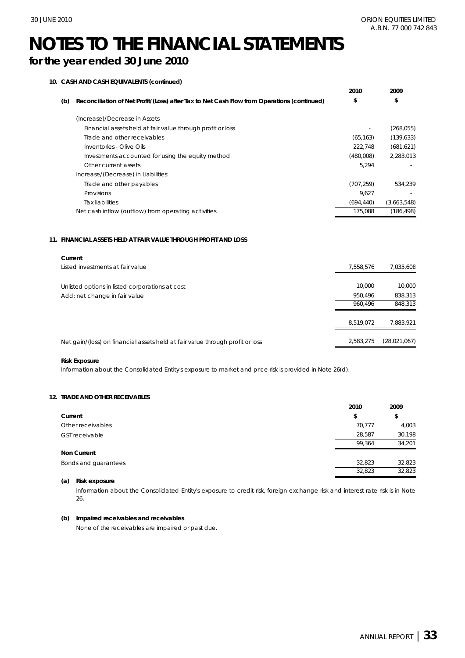### **for the year ended 30 June 2010**

|     | 10. CASH AND CASH EQUIVALENTS (continued)                                                  |            |             |
|-----|--------------------------------------------------------------------------------------------|------------|-------------|
|     |                                                                                            | 2010       | 2009        |
| (b) | Reconciliation of Net Profit/(Loss) after Tax to Net Cash Flow from Operations (continued) | \$         | \$          |
|     | (Increase)/Decrease in Assets:                                                             |            |             |
|     | Financial assets held at fair value through profit or loss                                 |            | (268, 055)  |
|     | Trade and other receivables                                                                | (65, 163)  | (139, 633)  |
|     | Inventories - Olive Oils                                                                   | 222,748    | (681, 621)  |
|     | Investments accounted for using the equity method                                          | (480,008)  | 2,283,013   |
|     | Other current assets                                                                       | 5.294      |             |
|     | Increase/(Decrease) in Liabilities:                                                        |            |             |
|     | Trade and other payables                                                                   | (707, 259) | 534,239     |
|     | Provisions                                                                                 | 9,627      |             |
|     | Tax liabilities                                                                            | (694, 440) | (3,663,548) |
|     | Net cash inflow (outflow) from operating activities                                        | 175.088    | (186, 498)  |

#### **11. FINANCIAL ASSETS HELD AT FAIR VALUE THROUGH PROFIT AND LOSS**

| Current                                                                       |           |              |
|-------------------------------------------------------------------------------|-----------|--------------|
| Listed investments at fair value                                              | 7.558.576 | 7,035,608    |
| Unlisted options in listed corporations at cost                               | 10.000    | 10,000       |
| Add: net change in fair value                                                 | 950.496   | 838,313      |
|                                                                               | 960.496   | 848,313      |
|                                                                               | 8,519,072 | 7,883,921    |
| Net gain/(loss) on financial assets held at fair value through profit or loss | 2,583,275 | (28,021,067) |

#### **Risk Exposure**

Information about the Consolidated Entity's exposure to market and price risk is provided in Note 26(d).

#### **12. TRADE AND OTHER RECEIVABLES**

|                       | 2010   | 2009   |
|-----------------------|--------|--------|
| Current               | \$     | \$     |
| Other receivables     | 70,777 | 4,003  |
| <b>GST receivable</b> | 28.587 | 30,198 |
|                       | 99.364 | 34,201 |
| Non Current           |        |        |
| Bonds and guarantees  | 32,823 | 32,823 |
|                       | 32,823 | 32,823 |

#### **(a) Risk exposure**

Information about the Consolidated Entity's exposure to credit risk, foreign exchange risk and interest rate risk is in Note 26.

#### **(b) Impaired receivables and receivables**

None of the receivables are impaired or past due.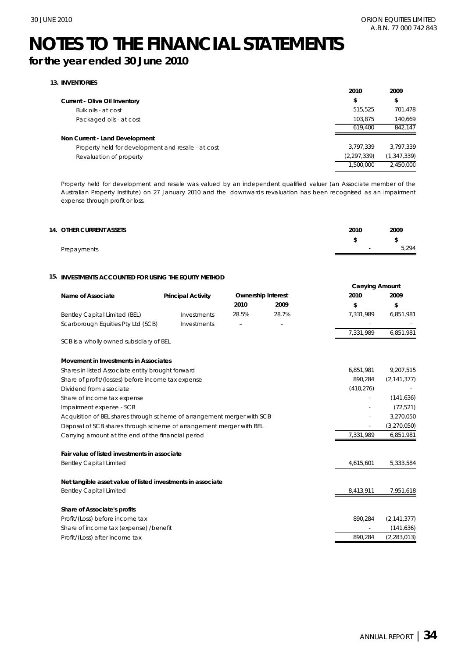### **for the year ended 30 June 2010**

#### **13. INVENTORIES**

|                                                    | 2010          | 2009          |
|----------------------------------------------------|---------------|---------------|
| Current - Olive Oil Inventory                      | \$            | \$            |
| Bulk oils - at cost                                | 515.525       | 701.478       |
| Packaged oils - at cost                            | 103.875       | 140,669       |
|                                                    | 619.400       | 842.147       |
| Non Current - Land Development                     |               |               |
| Property held for development and resale - at cost | 3.797.339     | 3.797.339     |
| Revaluation of property                            | (2, 297, 339) | (1, 347, 339) |
|                                                    | 1.500.000     | 2.450.000     |

Property held for development and resale was valued by an independent qualified valuer (an Associate member of the Australian Property Institute) on 27 January 2010 and the downwards revaluation has been recognised as an impairment expense through profit or loss.

| <b>14. OTHER CURRENT ASSETS</b> | 2010 | 2009  |
|---------------------------------|------|-------|
|                                 |      |       |
| Prepayments                     |      | 5.294 |

#### **15. INVESTMENTS ACCOUNTED FOR USING THE EQUITY METHOD**

|                                                                         |                           |       |                           | <b>Carrying Amount</b> |               |
|-------------------------------------------------------------------------|---------------------------|-------|---------------------------|------------------------|---------------|
| Name of Associate                                                       | <b>Principal Activity</b> |       | <b>Ownership Interest</b> | 2010                   | 2009          |
|                                                                         |                           | 2010  | 2009                      | \$                     | \$            |
| Bentley Capital Limited (BEL)                                           | Investments               | 28.5% | 28.7%                     | 7,331,989              | 6,851,981     |
| Scarborough Equities Pty Ltd (SCB)                                      | Investments               |       |                           |                        |               |
|                                                                         |                           |       |                           | 7,331,989              | 6,851,981     |
| SCB is a wholly owned subsidiary of BEL                                 |                           |       |                           |                        |               |
| Movement in Investments in Associates                                   |                           |       |                           |                        |               |
| Shares in listed Associate entity brought forward                       |                           |       |                           | 6,851,981              | 9,207,515     |
| Share of profit/(losses) before income tax expense                      |                           |       |                           | 890,284                | (2, 141, 377) |
| Dividend from associate                                                 |                           |       |                           | (410, 276)             |               |
| Share of income tax expense                                             |                           |       |                           |                        | (141, 636)    |
| Impairment expense - SCB                                                |                           |       |                           |                        | (72, 521)     |
| Acquisition of BEL shares through scheme of arrangement merger with SCB |                           |       |                           |                        | 3,270,050     |
| Disposal of SCB shares through scheme of arrangement merger with BEL    |                           |       |                           |                        | (3,270,050)   |
| Carrying amount at the end of the financial period                      |                           |       |                           | 7,331,989              | 6,851,981     |
| Fair value of listed investments in associate                           |                           |       |                           |                        |               |
| <b>Bentley Capital Limited</b>                                          |                           |       |                           | 4,615,601              | 5,333,584     |
| Net tangible asset value of listed investments in associate             |                           |       |                           |                        |               |
| <b>Bentley Capital Limited</b>                                          |                           |       |                           | 8,413,911              | 7,951,618     |
| Share of Associate's profits                                            |                           |       |                           |                        |               |
| Profit/(Loss) before income tax                                         |                           |       |                           | 890,284                | (2, 141, 377) |
| Share of income tax (expense) /benefit                                  |                           |       |                           |                        | (141, 636)    |
| Profit/(Loss) after income tax                                          |                           |       |                           | 890,284                | (2, 283, 013) |
|                                                                         |                           |       |                           |                        |               |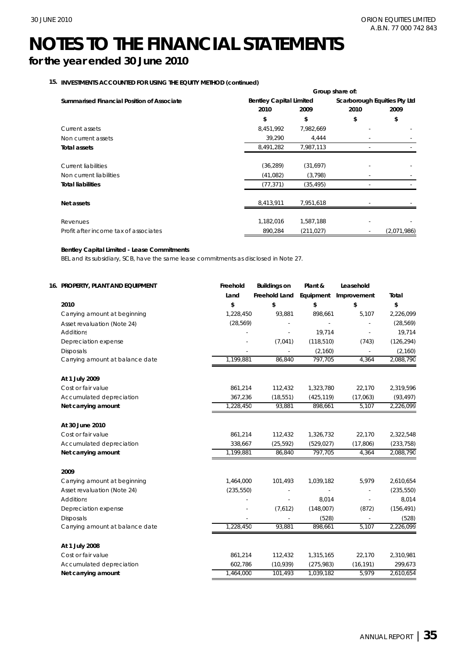### **for the year ended 30 June 2010**

#### **15. INVESTMENTS ACCOUNTED FOR USING THE EQUITY METHOD (continued)**

| Group share of:                            |                                |                              |      |             |
|--------------------------------------------|--------------------------------|------------------------------|------|-------------|
| Summarised Financial Position of Associate | <b>Bentley Capital Limited</b> | Scarborough Equities Pty Ltd |      |             |
|                                            | 2010                           | 2009                         | 2010 | 2009        |
|                                            | \$                             | \$                           | \$   | \$          |
| Current assets                             | 8,451,992                      | 7,982,669                    |      |             |
| Non current assets                         | 39,290                         | 4,444                        |      |             |
| <b>Total assets</b>                        | 8,491,282                      | 7,987,113                    |      |             |
| <b>Current liabilities</b>                 | (36, 289)                      | (31,697)                     |      |             |
| Non current liabilities                    | (41,082)                       | (3,798)                      |      |             |
| <b>Total liabilities</b>                   | (77, 371)                      | (35, 495)                    |      |             |
| Net assets                                 | 8,413,911                      | 7,951,618                    |      |             |
| Revenues                                   | 1,182,016                      | 1,587,188                    |      |             |
| Profit after income tax of associates      | 890,284                        | (211, 027)                   |      | (2,071,986) |

#### **Bentley Capital Limited - Lease Commitments**

BEL and its subsidiary, SCB, have the same lease commitments as disclosed in Note 27.

| 16. PROPERTY, PLANT AND EQUIPMENT | Freehold<br>Land | <b>Buildings on</b><br>Freehold Land | Plant &    | Leasehold<br>Equipment Improvement | Total      |
|-----------------------------------|------------------|--------------------------------------|------------|------------------------------------|------------|
| 2010                              | \$               | \$                                   | \$         | \$                                 | \$         |
| Carrying amount at beginning      | 1,228,450        | 93,881                               | 898,661    | 5,107                              | 2,226,099  |
| Asset revaluation (Note 24)       | (28, 569)        |                                      |            |                                    | (28, 569)  |
| Additions                         |                  |                                      | 19,714     | ×.                                 | 19,714     |
| Depreciation expense              |                  | (7,041)                              | (118, 510) | (743)                              | (126, 294) |
| <b>Disposals</b>                  |                  | ÷.                                   | (2,160)    |                                    | (2, 160)   |
| Carrying amount at balance date   | 1,199,881        | 86,840                               | 797,705    | 4,364                              | 2,088,790  |
| At 1 July 2009                    |                  |                                      |            |                                    |            |
| Cost or fair value                | 861,214          | 112,432                              | 1,323,780  | 22,170                             | 2,319,596  |
| Accumulated depreciation          | 367,236          | (18, 551)                            | (425, 119) | (17,063)                           | (93, 497)  |
| Net carrying amount               | 1,228,450        | 93,881                               | 898,661    | 5,107                              | 2,226,099  |
| At 30 June 2010                   |                  |                                      |            |                                    |            |
| Cost or fair value                | 861,214          | 112,432                              | 1,326,732  | 22,170                             | 2,322,548  |
| Accumulated depreciation          | 338,667          | (25, 592)                            | (529, 027) | (17,806)                           | (233, 758) |
| Net carrying amount               | 1,199,881        | 86,840                               | 797,705    | 4,364                              | 2,088,790  |
| 2009                              |                  |                                      |            |                                    |            |
| Carrying amount at beginning      | 1,464,000        | 101,493                              | 1,039,182  | 5,979                              | 2,610,654  |
| Asset revaluation (Note 24)       | (235, 550)       |                                      |            |                                    | (235, 550) |
| <b>Additions</b>                  |                  |                                      | 8,014      | $\overline{\phantom{a}}$           | 8,014      |
| Depreciation expense              |                  | (7,612)                              | (148,007)  | (872)                              | (156, 491) |
| <b>Disposals</b>                  |                  |                                      | (528)      |                                    | (528)      |
| Carrying amount at balance date   | 1,228,450        | 93,881                               | 898,661    | 5,107                              | 2,226,099  |
| At 1 July 2008                    |                  |                                      |            |                                    |            |
| Cost or fair value                | 861,214          | 112,432                              | 1,315,165  | 22,170                             | 2,310,981  |
| Accumulated depreciation          | 602,786          | (10, 939)                            | (275, 983) | (16, 191)                          | 299,673    |
| Net carrying amount               | 1,464,000        | 101,493                              | 1,039,182  | 5,979                              | 2,610,654  |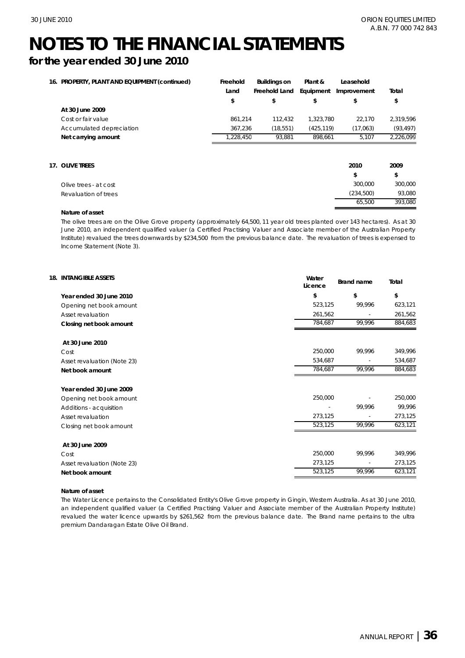### **for the year ended 30 June 2010**

| 16. PROPERTY, PLANT AND EQUIPMENT (continued) | Freehold<br>Land | <b>Buildings on</b><br>Freehold Land | Plant &<br>Equipment | Leasehold<br>Improvement | Total     |
|-----------------------------------------------|------------------|--------------------------------------|----------------------|--------------------------|-----------|
|                                               | \$               | \$                                   | \$                   | \$                       | \$        |
| At 30 June 2009                               |                  |                                      |                      |                          |           |
| Cost or fair value                            | 861.214          | 112,432                              | 1,323,780            | 22,170                   | 2,319,596 |
| Accumulated depreciation                      | 367,236          | (18, 551)                            | (425, 119)           | (17,063)                 | (93, 497) |
| Net carrying amount                           | 1.228.450        | 93.881                               | 898.661              | 5,107                    | 2,226,099 |
|                                               |                  |                                      |                      |                          |           |
| 17. OLIVE TREES                               |                  |                                      |                      | 2010                     | 2009      |
|                                               |                  |                                      |                      | \$                       | \$        |
| Olive trees - at cost                         |                  |                                      |                      | 300.000                  | 300,000   |
| Revaluation of trees                          |                  |                                      |                      | (234,500)                | 93,080    |
|                                               |                  |                                      |                      | 65.500                   | 393.080   |

#### **Nature of asset**

The olive trees are on the Olive Grove property (approximately 64,500, 11 year old trees planted over 143 hectares). As at 30 June 2010, an independent qualified valuer (a Certified Practising Valuer and Associate member of the Australian Property Institute) revalued the trees downwards by \$234,500 from the previous balance date. The revaluation of trees is expensed to Income Statement (Note 3).

**Water** 

#### **18. INTANGIBLE ASSETS**

|                             | Licence | <b>Brand name</b> | Total   |
|-----------------------------|---------|-------------------|---------|
| Year ended 30 June 2010     | \$      | \$                | \$      |
| Opening net book amount     | 523,125 | 99,996            | 623,121 |
| Asset revaluation           | 261,562 |                   | 261,562 |
| Closing net book amount     | 784,687 | 99,996            | 884,683 |
| At 30 June 2010             |         |                   |         |
| Cost                        | 250,000 | 99,996            | 349,996 |
| Asset revaluation (Note 23) | 534,687 |                   | 534,687 |
| Net book amount             | 784,687 | 99,996            | 884,683 |
| Year ended 30 June 2009     |         |                   |         |
| Opening net book amount     | 250,000 |                   | 250,000 |
| Additions - acquisition     |         | 99,996            | 99,996  |
| Asset revaluation           | 273,125 |                   | 273,125 |
| Closing net book amount     | 523,125 | 99,996            | 623,121 |
| At 30 June 2009             |         |                   |         |
| Cost                        | 250,000 | 99.996            | 349,996 |
| Asset revaluation (Note 23) | 273,125 | ٠                 | 273,125 |
| Net book amount             | 523,125 | 99,996            | 623,121 |
|                             |         |                   |         |

#### **Nature of asset**

The Water Licence pertains to the Consolidated Entity's Olive Grove property in Gingin, Western Australia. As at 30 June 2010, an independent qualified valuer (a Certified Practising Valuer and Associate member of the Australian Property Institute) revalued the water licence upwards by \$261,562 from the previous balance date. The Brand name pertains to the ultra premium Dandaragan Estate Olive Oil Brand.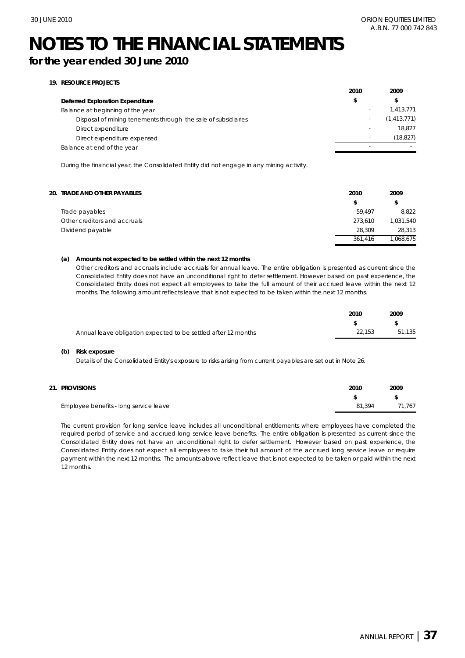### **for the year ended 30 June 2010**

#### **19. RESOURCE PROJECTS**

|                                                               | 2010 | 2009          |
|---------------------------------------------------------------|------|---------------|
| Deferred Exploration Expenditure                              |      |               |
| Balance at beginning of the year                              |      | 1.413.771     |
| Disposal of mining tenements through the sale of subsidiaries |      | (1, 413, 771) |
| Direct expenditure                                            |      | 18.827        |
| Direct expenditure expensed                                   |      | (18, 827)     |
| Balance at end of the year                                    |      |               |

During the financial year, the Consolidated Entity did not engage in any mining activity.

| 20. TRADE AND OTHER PAYABLES | 2010    | 2009      |
|------------------------------|---------|-----------|
|                              | \$      |           |
| Trade payables               | 59.497  | 8.822     |
| Other creditors and accruals | 273.610 | 1,031,540 |
| Dividend payable             | 28.309  | 28.313    |
|                              | 361.416 | 1.068.675 |

#### **(a) Amounts not expected to be settled within the next 12 months**

Other creditors and accruals include accruals for annual leave. The entire obligation is presented as current since the Consolidated Entity does not have an unconditional right to defer settlement. However based on past experience, the Consolidated Entity does not expect all employees to take the full amount of their accrued leave within the next 12 months. The following amount reflects leave that is not expected to be taken within the next 12 months.

|                                                                | 2010   | 2009   |
|----------------------------------------------------------------|--------|--------|
|                                                                |        |        |
| Annual leave obligation expected to be settled after 12 months | 22.153 | 51.135 |

#### **(b) Risk exposure**

Details of the Consolidated Entity's exposure to risks arising from current payables are set out in Note 26.

| 21. PROVISIONS                         | 2010   | 2009   |
|----------------------------------------|--------|--------|
|                                        |        |        |
| Employee benefits - long service leave | 81.394 | 71.767 |

The current provision for long service leave includes all unconditional entitlements where employees have completed the required period of service and accrued long service leave benefits. The entire obligation is presented as current since the Consolidated Entity does not have an unconditional right to defer settlement. However based on past experience, the Consolidated Entity does not expect all employees to take their full amount of the accrued long service leave or require payment within the next 12 months. The amounts above reflect leave that is not expected to be taken or paid within the next 12 months.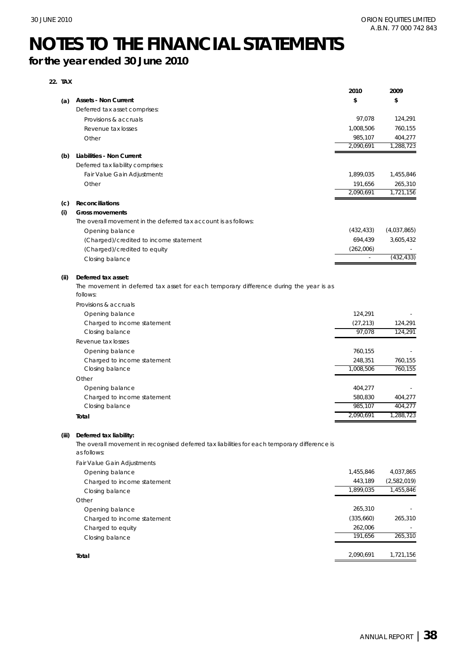### **for the year ended 30 June 2010**

| 22. TAX |                                                                                                             |                      |             |
|---------|-------------------------------------------------------------------------------------------------------------|----------------------|-------------|
|         |                                                                                                             | 2010                 | 2009        |
| (a)     | <b>Assets - Non Current</b>                                                                                 | \$                   | \$          |
|         | Deferred tax asset comprises:                                                                               |                      |             |
|         | Provisions & accruals                                                                                       | 97,078               | 124,291     |
|         | Revenue tax losses                                                                                          | 1,008,506            | 760,155     |
|         | Other                                                                                                       | 985,107              | 404,277     |
|         |                                                                                                             | 2,090,691            | 1,288,723   |
| (b)     | Liabilities - Non Current                                                                                   |                      |             |
|         | Deferred tax liability comprises:                                                                           |                      |             |
|         | Fair Value Gain Adjustments                                                                                 | 1,899,035            | 1,455,846   |
|         | Other                                                                                                       | 191,656              | 265,310     |
|         |                                                                                                             | 2,090,691            | 1,721,156   |
| (c)     | <b>Reconciliations</b>                                                                                      |                      |             |
| (i)     | <b>Gross movements</b>                                                                                      |                      |             |
|         | The overall movement in the deferred tax account is as follows:                                             |                      |             |
|         | Opening balance                                                                                             | (432, 433)           | (4,037,865) |
|         | (Charged)/credited to income statement                                                                      | 694,439              | 3,605,432   |
|         | (Charged)/credited to equity                                                                                | (262,006)            |             |
|         | Closing balance                                                                                             |                      | (432, 433)  |
|         |                                                                                                             |                      |             |
| (ii)    | Deferred tax asset:                                                                                         |                      |             |
|         | The movement in deferred tax asset for each temporary difference during the year is as                      |                      |             |
|         | follows:                                                                                                    |                      |             |
|         | Provisions & accruals                                                                                       |                      |             |
|         | Opening balance                                                                                             | 124,291              |             |
|         | Charged to income statement                                                                                 | (27, 213)            | 124,291     |
|         | Closing balance                                                                                             | 97,078               | 124,291     |
|         | Revenue tax losses                                                                                          |                      |             |
|         | Opening balance                                                                                             | 760,155              |             |
|         | Charged to income statement                                                                                 | 248,351              | 760,155     |
|         | Closing balance                                                                                             | 1,008,506            | 760,155     |
|         | Other                                                                                                       |                      |             |
|         | Opening balance                                                                                             | 404,277              |             |
|         | Charged to income statement                                                                                 | 580,830              | 404,277     |
|         | Closing balance                                                                                             | 985,107              | 404,277     |
|         | Total                                                                                                       | 2,090,691            | 1,288,723   |
|         |                                                                                                             |                      |             |
| (iii)   | Deferred tax liability:                                                                                     |                      |             |
|         | The overall movement in recognised deferred tax liabilities for each temporary difference is<br>as follows: |                      |             |
|         |                                                                                                             |                      |             |
|         | Fair Value Gain Adjustments                                                                                 |                      |             |
|         | Opening balance                                                                                             | 1,455,846            | 4,037,865   |
|         | Charged to income statement                                                                                 | 443,189<br>1,899,035 | (2,582,019) |
|         | Closing balance                                                                                             |                      | 1,455,846   |
|         | Other                                                                                                       |                      |             |
|         | Opening balance                                                                                             | 265,310              |             |
|         | Charged to income statement                                                                                 | (335,660)            | 265,310     |
|         | Charged to equity                                                                                           | 262,006<br>191,656   | 265,310     |
|         | Closing balance                                                                                             |                      |             |
|         | Total                                                                                                       | 2,090,691            | 1,721,156   |
|         |                                                                                                             |                      |             |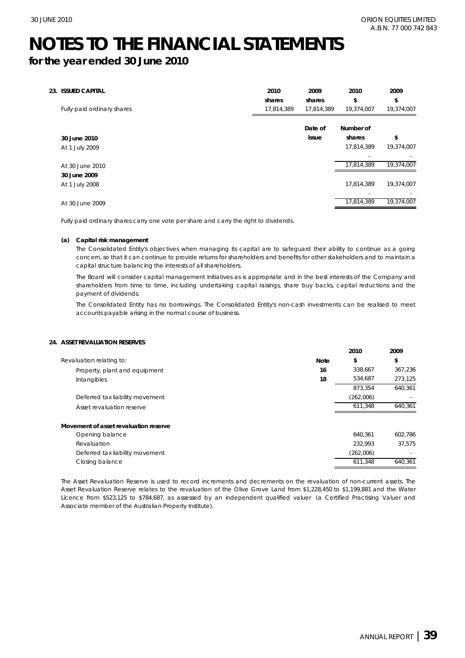### **for the year ended 30 June 2010**

| 23. ISSUED CAPITAL         | 2010       | 2009       | 2010       | 2009       |
|----------------------------|------------|------------|------------|------------|
|                            | shares     | shares     | \$         | \$         |
| Fully paid ordinary shares | 17,814,389 | 17,814,389 | 19,374,007 | 19,374,007 |
|                            |            | Date of    | Number of  |            |
| 30 June 2010               |            | issue      | shares     | \$         |
| At 1 July 2009             |            |            | 17,814,389 | 19,374,007 |
|                            |            |            |            |            |
| At 30 June 2010            |            |            | 17,814,389 | 19.374.007 |
| 30 June 2009               |            |            |            |            |
| At 1 July 2008             |            |            | 17,814,389 | 19,374,007 |
|                            |            |            |            |            |
| At 30 June 2009            |            |            | 17,814,389 | 19,374,007 |

Fully paid ordinary shares carry one vote per share and carry the right to dividends.

#### **(a) Capital risk management**

The Consolidated Entity's objectives when managing its capital are to safeguard their ability to continue as a going concern, so that it can continue to provide returns for shareholders and benefits for other stakeholders and to maintain a capital structure balancing the interests of all shareholders.

The Board will consider capital management initiatives as is appropriate and in the best interests of the Company and shareholders from time to time, including undertaking capital raisings, share buy backs, capital reductions and the payment of dividends.

The Consolidated Entity has no borrowings. The Consolidated Entity's non-cash investments can be realised to meet accounts payable arising in the normal course of business.

#### **24. ASSET REVALUATION RESERVES**

|                                       |             | 2010      | 2009    |
|---------------------------------------|-------------|-----------|---------|
| Revaluation relating to:              | <b>Note</b> | \$        | \$      |
| Property, plant and equipment         | 16          | 338,667   | 367,236 |
| Intangibles                           | 18          | 534,687   | 273.125 |
|                                       |             | 873.354   | 640.361 |
| Deferred tax liability movement       |             | (262,006) |         |
| Asset revaluation reserve             |             | 611.348   | 640,361 |
| Movement of asset revaluation reserve |             |           |         |
| Opening balance                       |             | 640.361   | 602.786 |
| Revaluation                           |             | 232,993   | 37.575  |
| Deferred tax liability movement       |             | (262,006) |         |
| Closing balance                       |             | 611.348   | 640.361 |

The Asset Revaluation Reserve is used to record increments and decrements on the revaluation of non-current assets. The Asset Revaluation Reserve relates to the revaluation of the Olive Grove Land from \$1,228,450 to \$1,199,881 and the Water Licence from \$523,125 to \$784,687, as assessed by an independent qualified valuer (a Certified Practising Valuer and Associate member of the Australian Property Institute).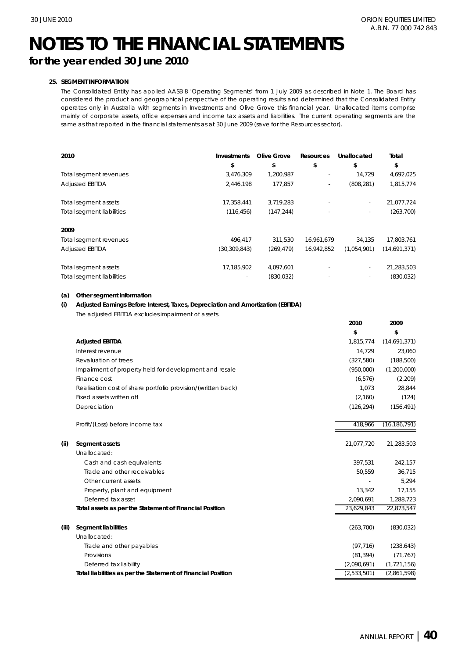### **NOTES TO THE FINANCIAL STATEMENTS**

### **for the year ended 30 June 2010**

#### **25. SEGMENT INFORMATION**

The Consolidated Entity has applied AASB 8 "Operating Segments" from 1 July 2009 as described in Note 1. The Board has considered the product and geographical perspective of the operating results and determined that the Consolidated Entity operates only in Australia with segments in Investments and Olive Grove this financial year. Unallocated items comprise mainly of corporate assets, office expenses and income tax assets and liabilities. The current operating segments are the same as that reported in the financial statements as at 30 June 2009 (save for the Resources sector).

| 2010                             | Investments<br>\$ | <b>Olive Grove</b><br>\$ | Resources<br>\$          | Unallocated<br>\$ | Total<br>\$  |
|----------------------------------|-------------------|--------------------------|--------------------------|-------------------|--------------|
| Total segment revenues           | 3,476,309         | 1,200,987                | ٠                        | 14,729            | 4,692,025    |
| <b>Adjusted EBITDA</b>           | 2,446,198         | 177,857                  | $\overline{\phantom{a}}$ | (808, 281)        | 1,815,774    |
| Total segment assets             | 17,358,441        | 3,719,283                |                          | ٠.                | 21,077,724   |
| <b>Total segment liabilities</b> | (116, 456)        | (147, 244)               | ٠                        |                   | (263, 700)   |
| 2009                             |                   |                          |                          |                   |              |
| Total segment revenues           | 496.417           | 311,530                  | 16,961,679               | 34,135            | 17,803,761   |
| <b>Adjusted EBITDA</b>           | (30, 309, 843)    | (269, 479)               | 16,942,852               | (1,054,901)       | (14,691,371) |
| Total segment assets             | 17.185.902        | 4,097,601                | ٠                        | ٠                 | 21,283,503   |
| Total segment liabilities        |                   | (830,032)                |                          |                   | (830, 032)   |

#### **(a) Other segment information**

#### **(i) Adjusted Earnings Before Interest, Taxes, Depreciation and Amortization (EBITDA)**

The adjusted EBITDA excludes impairment of assets.

|       |                                                              | 2010        | 2009           |
|-------|--------------------------------------------------------------|-------------|----------------|
|       |                                                              | \$          | \$             |
|       | <b>Adjusted EBITDA</b>                                       | 1,815,774   | (14,691,371)   |
|       | Interest revenue                                             | 14,729      | 23,060         |
|       | Revaluation of trees                                         | (327,580)   | (188, 500)     |
|       | Impairment of property held for development and resale       | (950,000)   | (1,200,000)    |
|       | Finance cost                                                 | (6, 576)    | (2,209)        |
|       | Realisation cost of share portfolio provision/(written back) | 1,073       | 28,844         |
|       | Fixed assets written off                                     | (2,160)     | (124)          |
|       | Depreciation                                                 | (126, 294)  | (156, 491)     |
|       | Profit/(Loss) before income tax                              | 418,966     | (16, 186, 791) |
| (ii)  | Segment assets                                               | 21,077,720  | 21,283,503     |
|       | Unallocated:                                                 |             |                |
|       | Cash and cash equivalents                                    | 397.531     | 242,157        |
|       | Trade and other receivables                                  | 50,559      | 36,715         |
|       | Other current assets                                         |             | 5,294          |
|       | Property, plant and equipment                                | 13,342      | 17,155         |
|       | Deferred tax asset                                           | 2,090,691   | 1,288,723      |
|       | Total assets as per the Statement of Financial Position      | 23,629,843  | 22,873,547     |
| (iii) | <b>Segment liabilities</b>                                   | (263, 700)  | (830, 032)     |
|       | Unallocated:                                                 |             |                |
|       | Trade and other payables                                     | (97, 716)   | (238, 643)     |
|       | Provisions                                                   | (81, 394)   | (71, 767)      |
|       | Deferred tax liability                                       | (2,090,691) | (1, 721, 156)  |
|       | Total liabilities as per the Statement of Financial Position | (2,533,501) | (2,861,598)    |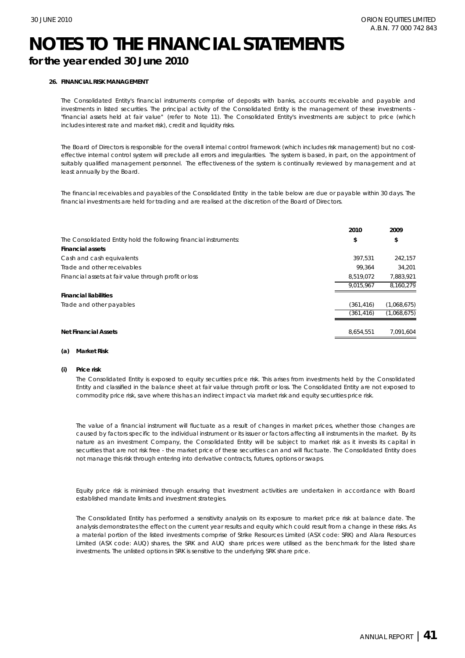#### **26. FINANCIAL RISK MANAGEMENT**

The Consolidated Entity's financial instruments comprise of deposits with banks, accounts receivable and payable and investments in listed securities. The principal activity of the Consolidated Entity is the management of these investments - "financial assets held at fair value" (refer to Note 11). The Consolidated Entity's investments are subject to price (which includes interest rate and market risk), credit and liquidity risks.

The Board of Directors is responsible for the overall internal control framework (which includes risk management) but no costeffective internal control system will preclude all errors and irregularities. The system is based, in part, on the appointment of suitably qualified management personnel. The effectiveness of the system is continually reviewed by management and at least annually by the Board.

The financial receivables and payables of the Consolidated Entity in the table below are due or payable within 30 days. The financial investments are held for trading and are realised at the discretion of the Board of Directors.

| 2010       | 2009        |
|------------|-------------|
| \$         | \$          |
|            |             |
| 397.531    | 242,157     |
| 99.364     | 34,201      |
| 8.519.072  | 7,883,921   |
| 9.015.967  | 8,160,279   |
|            |             |
| (361, 416) | (1,068,675) |
| (361.416)  | (1,068,675) |
| 8.654.551  | 7.091.604   |
|            |             |

#### **(a) Market Risk**

#### **(i) Price risk**

The Consolidated Entity is exposed to equity securities price risk. This arises from investments held by the Consolidated Entity and classified in the balance sheet at fair value through profit or loss. The Consolidated Entity are not exposed to commodity price risk, save where this has an indirect impact via market risk and equity securities price risk.

The value of a financial instrument will fluctuate as a result of changes in market prices, whether those changes are caused by factors specific to the individual instrument or its issuer or factors affecting all instruments in the market. By its nature as an investment Company, the Consolidated Entity will be subject to market risk as it invests its capital in securities that are not risk free - the market price of these securities can and will fluctuate. The Consolidated Entity does not manage this risk through entering into derivative contracts, futures, options or swaps.

Equity price risk is minimised through ensuring that investment activities are undertaken in accordance with Board established mandate limits and investment strategies.

The Consolidated Entity has performed a sensitivity analysis on its exposure to market price risk at balance date. The analysis demonstrates the effect on the current year results and equity which could result from a change in these risks. As a material portion of the listed investments comprise of Strike Resources Limited (ASX code: SRK) and Alara Resources Limited (ASX code: AUQ) shares, the SRK and AUQ share prices were utilised as the benchmark for the listed share investments. The unlisted options in SRK is sensitive to the underlying SRK share price.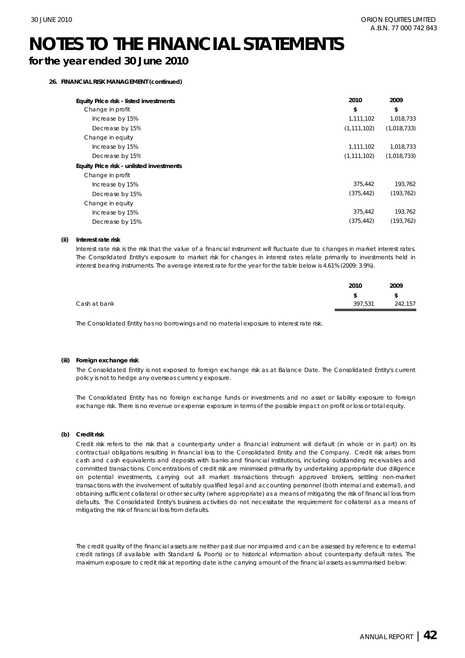### **for the year ended 30 June 2010**

**26. FINANCIAL RISK MANAGEMENT (continued)**

| Equity Price risk - listed investments   | 2010          | 2009        |
|------------------------------------------|---------------|-------------|
| Change in profit                         | \$            | \$          |
| Increase by 15%                          | 1,111,102     | 1,018,733   |
| Decrease by 15%                          | (1, 111, 102) | (1,018,733) |
| Change in equity                         |               |             |
| Increase by 15%                          | 1,111,102     | 1,018,733   |
| Decrease by 15%                          | (1, 111, 102) | (1,018,733) |
| Equity Price risk - unlisted investments |               |             |
| Change in profit                         |               |             |
| Increase by 15%                          | 375,442       | 193,762     |
| Decrease by 15%                          | (375, 442)    | (193, 762)  |
| Change in equity                         |               |             |
| Increase by 15%                          | 375.442       | 193,762     |
| Decrease by 15%                          | (375, 442)    | (193, 762)  |

#### **(ii) Interest rate risk**

Interest rate risk is the risk that the value of a financial instrument will fluctuate due to changes in market interest rates. The Consolidated Entity's exposure to market risk for changes in interest rates relate primarily to investments held in interest bearing instruments. The average interest rate for the year for the table below is 4.61% (2009: 3.9%).

|              | 2010 | 2009            |
|--------------|------|-----------------|
|              |      | - \$            |
| Cash at bank |      | 397,531 242,157 |

The Consolidated Entity has no borrowings and no material exposure to interest rate risk.

#### **(iii) Foreign exchange risk**

The Consolidated Entity is not exposed to foreign exchange risk as at Balance Date. The Consolidated Entity's current policy is not to hedge any overseas currency exposure.

The Consolidated Entity has no foreign exchange funds or investments and no asset or liability exposure to foreign exchange risk. There is no revenue or expense exposure in terms of the possible impact on profit or loss or total equity.

#### **(b) Credit risk**

Credit risk refers to the risk that a counterparty under a financial instrument will default (in whole or in part) on its contractual obligations resulting in financial loss to the Consolidated Entity and the Company. Credit risk arises from cash and cash equivalents and deposits with banks and financial institutions, including outstanding receivables and committed transactions. Concentrations of credit risk are minimised primarily by undertaking appropriate due diligence on potential investments, carrying out all market transactions through approved brokers, settling non-market transactions with the involvement of suitably qualified legal and accounting personnel (both internal and external), and obtaining sufficient collateral or other security (where appropriate) as a means of mitigating the risk of financial loss from defaults. The Consolidated Entity's business activities do not necessitate the requirement for collateral as a means of mitigating the risk of financial loss from defaults.

The credit quality of the financial assets are neither past due nor impaired and can be assessed by reference to external credit ratings (if available with Standard & Poor's) or to historical information about counterparty default rates. The maximum exposure to credit risk at reporting date is the carrying amount of the financial assets as summarised below: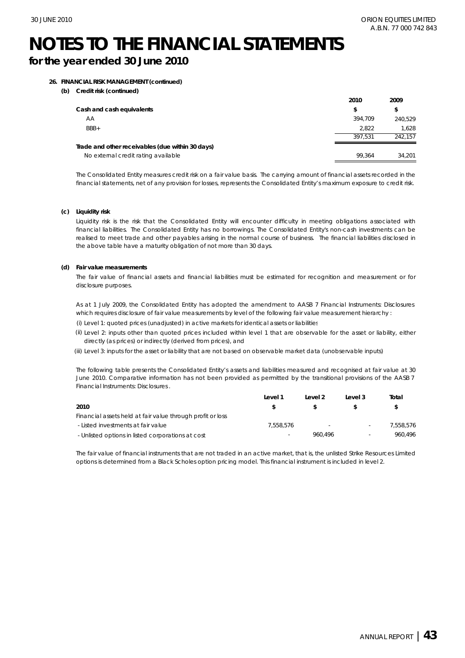### **for the year ended 30 June 2010**

#### **26. FINANCIAL RISK MANAGEMENT (continued)**

**(b) Credit risk (continued)**

|                                                  | 2010    | 2009    |
|--------------------------------------------------|---------|---------|
| Cash and cash equivalents                        | \$      |         |
| AΑ                                               | 394.709 | 240.529 |
| BBB+                                             | 2.822   | 1.628   |
|                                                  | 397.531 | 242.157 |
| Trade and other receivables (due within 30 days) |         |         |
| No external credit rating available              | 99.364  | 34.201  |

The Consolidated Entity measures credit risk on a fair value basis. The carrying amount of financial assets recorded in the financial statements, net of any provision for losses, represents the Consolidated Entity's maximum exposure to credit risk.

#### **(c) Liquidity risk**

Liquidity risk is the risk that the Consolidated Entity will encounter difficulty in meeting obligations associated with financial liabilities. The Consolidated Entity has no borrowings. The Consolidated Entity's non-cash investments can be realised to meet trade and other payables arising in the normal course of business. The financial liabilities disclosed in the above table have a maturity obligation of not more than 30 days.

#### **(d) Fair value measurements**

The fair value of financial assets and financial liabilities must be estimated for recognition and measurement or for disclosure purposes.

As at 1 July 2009, the Consolidated Entity has adopted the amendment to *AASB 7 Financial Instruments: Disclosures* which requires disclosure of fair value measurements by level of the following fair value measurement hierarchy :

- (i) Level 1: quoted prices (unadjusted) in active markets for identical assets or liabilities
- (ii) Level 2: inputs other than quoted prices included within level 1 that are observable for the asset or liability, either directly (as prices) or indirectly (derived from prices), and
- (iii) Level 3: inputs for the asset or liability that are not based on observable market data (unobservable inputs)

The following table presents the Consolidated Entity's assets and liabilities measured and recognised at fair value at 30 June 2010. Comparative information has not been provided as permitted by the transitional provisions of the AASB 7 *Financial Instruments: Disclosures* .

|                                                            | Level 1   | Level 2 | Level 3 | Total     |
|------------------------------------------------------------|-----------|---------|---------|-----------|
| 2010                                                       |           |         |         |           |
| Financial assets held at fair value through profit or loss |           |         |         |           |
| - Listed investments at fair value                         | 7.558.576 |         | $\sim$  | 7.558.576 |
| - Unlisted options in listed corporations at cost          |           | 960.496 |         | 960.496   |

The fair value of financial instruments that are not traded in an active market, that is, the unlisted Strike Resources Limited options is determined from a Black Scholes option pricing model. This financial instrument is included in level 2.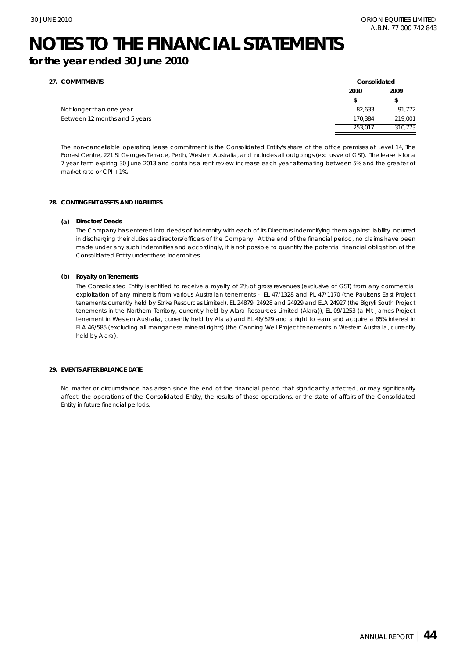| 27. COMMITMENTS               | Consolidated |         |
|-------------------------------|--------------|---------|
|                               | 2010         | 2009    |
|                               | \$           |         |
| Not longer than one year      | 82,633       | 91,772  |
| Between 12 months and 5 years | 170.384      | 219,001 |
|                               | 253.017      | 310,773 |

The non-cancellable operating lease commitment is the Consolidated Entity's share of the office premises at Level 14, The Forrest Centre, 221 St Georges Terrace, Perth, Western Australia, and includes all outgoings (exclusive of GST). The lease is for a 7 year term expiring 30 June 2013 and contains a rent review increase each year alternating between 5% and the greater of market rate or CPI + 1%.

#### **28. CONTINGENT ASSETS AND LIABILITIES**

#### **(a) Directors' Deeds**

The Company has entered into deeds of indemnity with each of its Directors indemnifying them against liability incurred in discharging their duties as directors/officers of the Company. At the end of the financial period, no claims have been made under any such indemnities and accordingly, it is not possible to quantify the potential financial obligation of the Consolidated Entity under these indemnities.

#### **(b) Royalty on Tenements**

The Consolidated Entity is entitled to receive a royalty of 2% of gross revenues (exclusive of GST) from any commercial exploitation of any minerals from various Australian tenements - EL 47/1328 and PL 47/1170 (the Paulsens East Project tenements currently held by Strike Resources Limited), EL 24879, 24928 and 24929 and ELA 24927 (the Bigryli South Project tenements in the Northern Territory, currently held by Alara Resources Limited (Alara)), EL 09/1253 (a Mt James Project tenement in Western Australia, currently held by Alara) and EL 46/629 and a right to earn and acquire a 85% interest in ELA 46/585 (excluding all manganese mineral rights) (the Canning Well Project tenements in Western Australia, currently held by Alara).

#### **29. EVENTS AFTER BALANCE DATE**

No matter or circumstance has arisen since the end of the financial period that significantly affected, or may significantly affect, the operations of the Consolidated Entity, the results of those operations, or the state of affairs of the Consolidated Entity in future financial periods.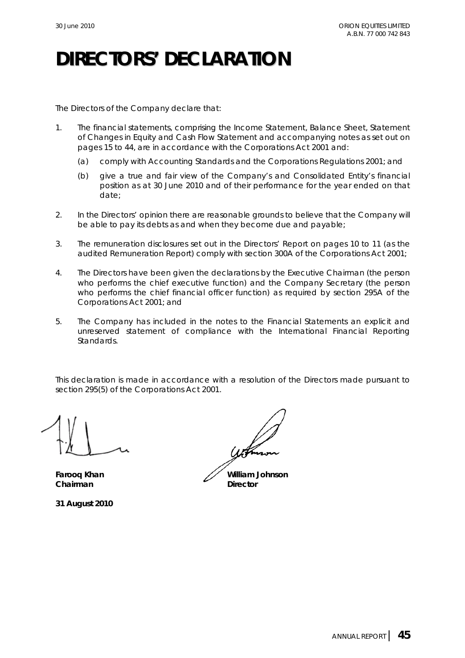## **DIRECTORS' DECLARATION**

The Directors of the Company declare that:

- 1. The financial statements, comprising the Income Statement, Balance Sheet, Statement of Changes in Equity and Cash Flow Statement and accompanying notes as set out on pages 15 to 44, are in accordance with the *Corporations Act 2001* and:
	- (a) comply with Accounting Standards and the Corporations Regulations 2001; and
	- (b) give a true and fair view of the Company's and Consolidated Entity's financial position as at 30 June 2010 and of their performance for the year ended on that date;
- 2. In the Directors' opinion there are reasonable grounds to believe that the Company will be able to pay its debts as and when they become due and payable;
- 3. The remuneration disclosures set out in the Directors' Report on pages 10 to 11 (as the audited Remuneration Report) comply with section 300A of the *Corporations Act 2001*;
- 4. The Directors have been given the declarations by the Executive Chairman (the person who performs the chief executive function) and the Company Secretary (the person who performs the chief financial officer function) as required by section 295A of the *Corporations Act 2001*; and
- 5. The Company has included in the notes to the Financial Statements an explicit and unreserved statement of compliance with the International Financial Reporting Standards.

This declaration is made in accordance with a resolution of the Directors made pursuant to section 295(5) of the *Corporations Act 2001*.

**Chairman** Director

**31 August 2010**

Farooq Khan **William Johnson**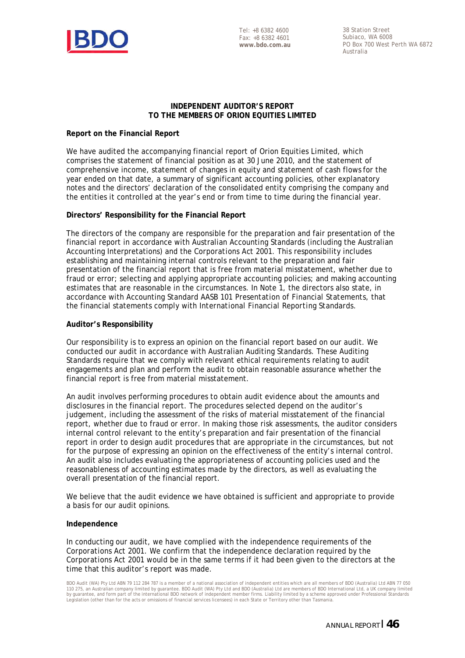

Tel: +8 6382 4600 38 Station Street Subiaco, WA 6008 **www.bdo.com.au** PO Box 700 West Perth WA 6872 Australia

#### **INDEPENDENT AUDITOR'S REPORT TO THE MEMBERS OF ORION EQUITIES LIMITED**

#### **Report on the Financial Report**

We have audited the accompanying financial report of Orion Equities Limited, which comprises the statement of financial position as at 30 June 2010, and the statement of comprehensive income, statement of changes in equity and statement of cash flows for the year ended on that date, a summary of significant accounting policies, other explanatory notes and the directors' declaration of the consolidated entity comprising the company and the entities it controlled at the year's end or from time to time during the financial year.

#### **Directors' Responsibility for the Financial Report**

The directors of the company are responsible for the preparation and fair presentation of the financial report in accordance with Australian Accounting Standards (including the Australian Accounting Interpretations) and the *Corporations Act 2001*. This responsibility includes establishing and maintaining internal controls relevant to the preparation and fair presentation of the financial report that is free from material misstatement, whether due to fraud or error; selecting and applying appropriate accounting policies; and making accounting estimates that are reasonable in the circumstances. In Note 1, the directors also state, in accordance with Accounting Standard AASB 101 *Presentation of Financial Statements,* that the financial statements comply with *International Financial Reporting Standards*.

#### **Auditor's Responsibility**

Our responsibility is to express an opinion on the financial report based on our audit. We conducted our audit in accordance with Australian Auditing Standards. These Auditing Standards require that we comply with relevant ethical requirements relating to audit engagements and plan and perform the audit to obtain reasonable assurance whether the financial report is free from material misstatement.

An audit involves performing procedures to obtain audit evidence about the amounts and disclosures in the financial report. The procedures selected depend on the auditor's judgement, including the assessment of the risks of material misstatement of the financial report, whether due to fraud or error. In making those risk assessments, the auditor considers internal control relevant to the entity's preparation and fair presentation of the financial report in order to design audit procedures that are appropriate in the circumstances, but not for the purpose of expressing an opinion on the effectiveness of the entity's internal control. An audit also includes evaluating the appropriateness of accounting policies used and the reasonableness of accounting estimates made by the directors, as well as evaluating the overall presentation of the financial report.

We believe that the audit evidence we have obtained is sufficient and appropriate to provide a basis for our audit opinions.

#### **Independence**

In conducting our audit, we have complied with the independence requirements of the *Corporations Act 2001*. We confirm that the independence declaration required by the *Corporations Act 2001* would be in the same terms if it had been given to the directors at the time that this auditor's report was made.

BDO Audit (WA) Pty Ltd ABN 79 112 284 787 is a member of a national association of independent entities which are all members of BDO (Australia) Ltd ABN 77 050 110 275, an Australian company limited by guarantee. BDO Audit (WA) Pty Ltd and BDO (Australia) Ltd are members of BDO International Ltd, a UK company limited<br>by guarantee, and form part of the international BDO network of Legislation (other than for the acts or omissions of financial services licensees) in each State or Territory other than Tasmania.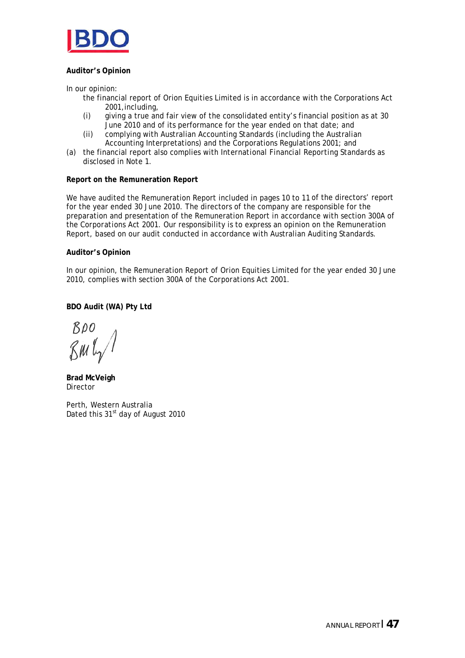

#### **Auditor's Opinion**

In our opinion:

- the financial report of Orion Equities Limited is in accordance with the Corporations Act 2001,including,
- (i) giving a true and fair view of the consolidated entity's financial position as at 30 June 2010 and of its performance for the year ended on that date; and
- (ii) complying with Australian Accounting Standards (including the Australian Accounting Interpretations) and the Corporations Regulations 2001; and
- (a) the financial report also complies with *International Financial Reporting Standards* as disclosed in Note 1.

#### **Report on the Remuneration Report**

We have audited the Remuneration Report included in pages 10 to 11 of the directors' report for the year ended 30 June 2010. The directors of the company are responsible for the preparation and presentation of the Remuneration Report in accordance with section 300A of the *Corporations Act 2001.* Our responsibility is to express an opinion on the Remuneration Report, based on our audit conducted in accordance with Australian Auditing Standards.

#### **Auditor's Opinion**

In our opinion, the Remuneration Report of Orion Equities Limited for the year ended 30 June 2010, complies with section 300A of the *Corporations Act 2001.* 

#### **BDO Audit (WA) Pty Ltd**

 $B\rho\sigma$ RMG

**Brad McVeigh** Director

Perth, Western Australia Dated this 31<sup>st</sup> day of August 2010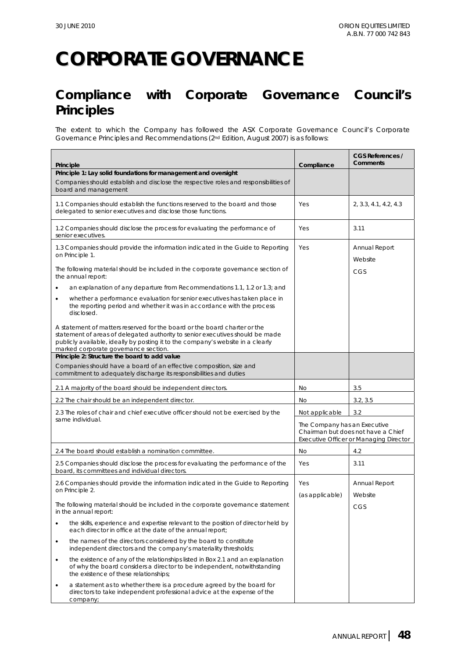### **Compliance with Corporate Governance Council's Principles**

The extent to which the Company has followed the ASX Corporate Governance Council's Corporate Governance Principles and Recommendations (2nd Edition, August 2007) is as follows:

| Principle                                                                                                                                                                                                                                                                             | Compliance                                                                                                          | <b>CGS References /</b><br><b>Comments</b> |
|---------------------------------------------------------------------------------------------------------------------------------------------------------------------------------------------------------------------------------------------------------------------------------------|---------------------------------------------------------------------------------------------------------------------|--------------------------------------------|
| Principle 1: Lay solid foundations for management and oversight                                                                                                                                                                                                                       |                                                                                                                     |                                            |
| Companies should establish and disclose the respective roles and responsibilities of<br>board and management                                                                                                                                                                          |                                                                                                                     |                                            |
| 1.1 Companies should establish the functions reserved to the board and those<br>delegated to senior executives and disclose those functions.                                                                                                                                          | Yes                                                                                                                 | 2, 3.3, 4.1, 4.2, 4.3                      |
| 1.2 Companies should disclose the process for evaluating the performance of<br>senior executives.                                                                                                                                                                                     | Yes                                                                                                                 | 3.11                                       |
| 1.3 Companies should provide the information indicated in the Guide to Reporting<br>on Principle 1.                                                                                                                                                                                   | Yes                                                                                                                 | Annual Report<br>Website                   |
| The following material should be included in the corporate governance section of<br>the annual report:                                                                                                                                                                                |                                                                                                                     | CGS                                        |
| an explanation of any departure from Recommendations 1.1, 1.2 or 1.3; and                                                                                                                                                                                                             |                                                                                                                     |                                            |
| whether a performance evaluation for senior executives has taken place in<br>the reporting period and whether it was in accordance with the process<br>disclosed.                                                                                                                     |                                                                                                                     |                                            |
| A statement of matters reserved for the board or the board charter or the<br>statement of areas of delegated authority to senior executives should be made<br>publicly available, ideally by posting it to the company's website in a clearly<br>marked corporate governance section. |                                                                                                                     |                                            |
| Principle 2: Structure the board to add value                                                                                                                                                                                                                                         |                                                                                                                     |                                            |
| Companies should have a board of an effective composition, size and<br>commitment to adequately discharge its responsibilities and duties                                                                                                                                             |                                                                                                                     |                                            |
| 2.1 A majority of the board should be independent directors.                                                                                                                                                                                                                          | No                                                                                                                  | 3.5                                        |
| 2.2 The chair should be an independent director.                                                                                                                                                                                                                                      | No                                                                                                                  | 3.2, 3.5                                   |
| 2.3 The roles of chair and chief executive officer should not be exercised by the                                                                                                                                                                                                     | Not applicable                                                                                                      | 3.2                                        |
| same individual.                                                                                                                                                                                                                                                                      | The Company has an Executive<br>Chairman but does not have a Chief<br><b>Executive Officer or Managing Director</b> |                                            |
| 2.4 The board should establish a nomination committee.                                                                                                                                                                                                                                | No                                                                                                                  | 4.2                                        |
| 2.5 Companies should disclose the process for evaluating the performance of the<br>board, its committees and individual directors.                                                                                                                                                    | Yes                                                                                                                 | 3.11                                       |
| 2.6 Companies should provide the information indicated in the Guide to Reporting                                                                                                                                                                                                      | Yes                                                                                                                 | Annual Report                              |
| on Principle 2.                                                                                                                                                                                                                                                                       | (as applicable)                                                                                                     | Website                                    |
| The following material should be included in the corporate governance statement<br>in the annual report:                                                                                                                                                                              |                                                                                                                     | CGS                                        |
| the skills, experience and expertise relevant to the position of director held by<br>$\bullet$<br>each director in office at the date of the annual report;                                                                                                                           |                                                                                                                     |                                            |
| the names of the directors considered by the board to constitute<br>$\bullet$<br>independent directors and the company's materiality thresholds;                                                                                                                                      |                                                                                                                     |                                            |
| the existence of any of the relationships listed in Box 2.1 and an explanation<br>$\bullet$<br>of why the board considers a director to be independent, notwithstanding<br>the existence of these relationships;                                                                      |                                                                                                                     |                                            |
| a statement as to whether there is a procedure agreed by the board for<br>$\bullet$<br>directors to take independent professional advice at the expense of the<br>company;                                                                                                            |                                                                                                                     |                                            |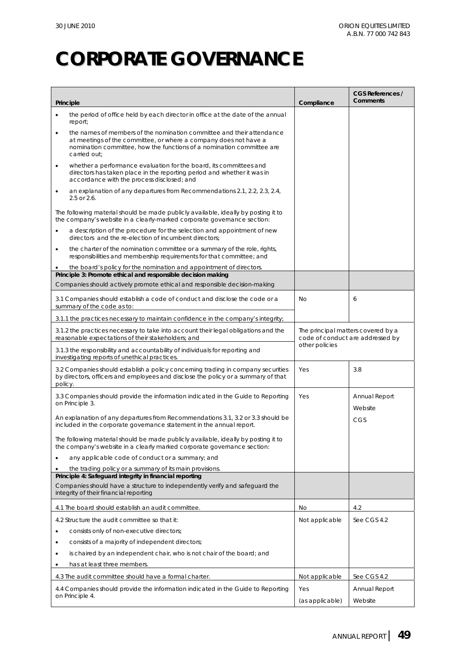| Principle                                     |                                                                                                                                                                                                                    | Compliance      | <b>CGS References /</b><br><b>Comments</b>                             |
|-----------------------------------------------|--------------------------------------------------------------------------------------------------------------------------------------------------------------------------------------------------------------------|-----------------|------------------------------------------------------------------------|
| report;                                       | the period of office held by each director in office at the date of the annual                                                                                                                                     |                 |                                                                        |
| $\bullet$<br>carried out:                     | the names of members of the nomination committee and their attendance<br>at meetings of the committee, or where a company does not have a<br>nomination committee, how the functions of a nomination committee are |                 |                                                                        |
| ٠                                             | whether a performance evaluation for the board, its committees and<br>directors has taken place in the reporting period and whether it was in<br>accordance with the process disclosed; and                        |                 |                                                                        |
| $\bullet$<br>2.5 or 2.6.                      | an explanation of any departures from Recommendations 2.1, 2.2, 2.3, 2.4,                                                                                                                                          |                 |                                                                        |
|                                               | The following material should be made publicly available, ideally by posting it to<br>the company's website in a clearly-marked corporate governance section:                                                      |                 |                                                                        |
| $\bullet$                                     | a description of the procedure for the selection and appointment of new<br>directors and the re-election of incumbent directors;                                                                                   |                 |                                                                        |
| ٠                                             | the charter of the nomination committee or a summary of the role, rights,<br>responsibilities and membership requirements for that committee; and                                                                  |                 |                                                                        |
|                                               | the board's policy for the nomination and appointment of directors.                                                                                                                                                |                 |                                                                        |
|                                               | Principle 3: Promote ethical and responsible decision making<br>Companies should actively promote ethical and responsible decision-making                                                                          |                 |                                                                        |
|                                               |                                                                                                                                                                                                                    |                 |                                                                        |
| summary of the code as to:                    | 3.1 Companies should establish a code of conduct and disclose the code or a                                                                                                                                        | No              | 6                                                                      |
|                                               | 3.1.1 the practices necessary to maintain confidence in the company's integrity;                                                                                                                                   |                 |                                                                        |
|                                               | 3.1.2 the practices necessary to take into account their legal obligations and the<br>reasonable expectations of their stakeholders; and                                                                           |                 | The principal matters covered by a<br>code of conduct are addressed by |
| investigating reports of unethical practices. | 3.1.3 the responsibility and accountability of individuals for reporting and                                                                                                                                       | other policies  |                                                                        |
| policy.                                       | 3.2 Companies should establish a policy concerning trading in company securities<br>by directors, officers and employees and disclose the policy or a summary of that                                              | Yes             | 3.8                                                                    |
| on Principle 3.                               | 3.3 Companies should provide the information indicated in the Guide to Reporting                                                                                                                                   | Yes             | Annual Report<br>Website                                               |
|                                               | An explanation of any departures from Recommendations 3.1, 3.2 or 3.3 should be<br>included in the corporate governance statement in the annual report.                                                            |                 | CGS                                                                    |
|                                               | The following material should be made publicly available, ideally by posting it to<br>the company's website in a clearly marked corporate governance section:                                                      |                 |                                                                        |
|                                               | any applicable code of conduct or a summary; and                                                                                                                                                                   |                 |                                                                        |
|                                               | the trading policy or a summary of its main provisions.                                                                                                                                                            |                 |                                                                        |
|                                               | Principle 4: Safeguard integrity in financial reporting                                                                                                                                                            |                 |                                                                        |
| integrity of their financial reporting        | Companies should have a structure to independently verify and safequard the                                                                                                                                        |                 |                                                                        |
|                                               | 4.1 The board should establish an audit committee.                                                                                                                                                                 | No              | 4.2                                                                    |
| 4.2 Structure the audit committee so that it: |                                                                                                                                                                                                                    | Not applicable  | See CGS 4.2                                                            |
| ٠                                             | consists only of non-executive directors;                                                                                                                                                                          |                 |                                                                        |
| ٠                                             | consists of a majority of independent directors;                                                                                                                                                                   |                 |                                                                        |
| ٠                                             | is chaired by an independent chair, who is not chair of the board; and                                                                                                                                             |                 |                                                                        |
| has at least three members.<br>٠              |                                                                                                                                                                                                                    |                 |                                                                        |
|                                               | 4.3 The audit committee should have a formal charter.                                                                                                                                                              | Not applicable  | See CGS 4.2                                                            |
|                                               | 4.4 Companies should provide the information indicated in the Guide to Reporting                                                                                                                                   | Yes             | Annual Report                                                          |
| on Principle 4.                               |                                                                                                                                                                                                                    | (as applicable) | Website                                                                |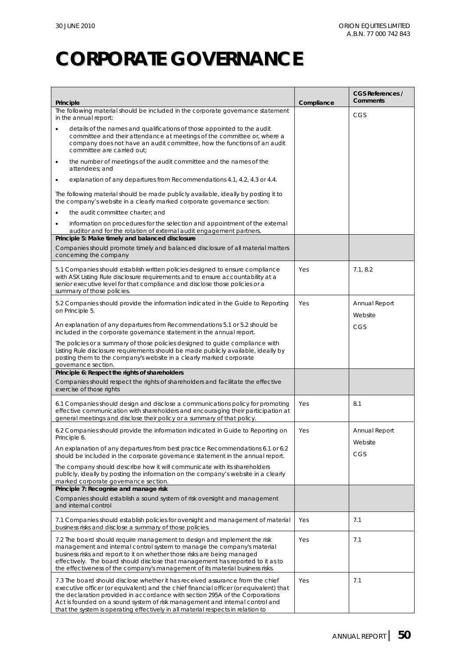| Principle                                                                                                                                                                                                                                                                                                                                                                                                                    | Compliance | <b>CGS References /</b><br><b>Comments</b> |
|------------------------------------------------------------------------------------------------------------------------------------------------------------------------------------------------------------------------------------------------------------------------------------------------------------------------------------------------------------------------------------------------------------------------------|------------|--------------------------------------------|
| The following material should be included in the corporate governance statement<br>in the annual report:                                                                                                                                                                                                                                                                                                                     |            | CGS                                        |
| details of the names and qualifications of those appointed to the audit<br>$\bullet$<br>committee and their attendance at meetings of the committee or, where a<br>company does not have an audit committee, how the functions of an audit<br>committee are carried out;                                                                                                                                                     |            |                                            |
| the number of meetings of the audit committee and the names of the<br>$\bullet$<br>attendees; and                                                                                                                                                                                                                                                                                                                            |            |                                            |
| explanation of any departures from Recommendations 4.1, 4.2, 4.3 or 4.4.<br>$\bullet$                                                                                                                                                                                                                                                                                                                                        |            |                                            |
| The following material should be made publicly available, ideally by posting it to<br>the company's website in a clearly marked corporate governance section:                                                                                                                                                                                                                                                                |            |                                            |
| the audit committee charter; and<br>$\bullet$                                                                                                                                                                                                                                                                                                                                                                                |            |                                            |
| information on procedures for the selection and appointment of the external<br>$\bullet$<br>auditor and for the rotation of external audit engagement partners.                                                                                                                                                                                                                                                              |            |                                            |
| Principle 5: Make timely and balanced disclosure                                                                                                                                                                                                                                                                                                                                                                             |            |                                            |
| Companies should promote timely and balanced disclosure of all material matters<br>concerning the company                                                                                                                                                                                                                                                                                                                    |            |                                            |
| 5.1 Companies should establish written policies designed to ensure compliance<br>with ASX Listing Rule disclosure requirements and to ensure accountability at a<br>senior executive level for that compliance and disclose those policies or a<br>summary of those policies.                                                                                                                                                | Yes        | 7.1, 8.2                                   |
| 5.2 Companies should provide the information indicated in the Guide to Reporting<br>on Principle 5.                                                                                                                                                                                                                                                                                                                          | Yes        | Annual Report<br>Website                   |
| An explanation of any departures from Recommendations 5.1 or 5.2 should be<br>included in the corporate governance statement in the annual report.                                                                                                                                                                                                                                                                           |            | CGS                                        |
| The policies or a summary of those policies designed to guide compliance with<br>Listing Rule disclosure requirements should be made publicly available, ideally by<br>posting them to the company's website in a clearly marked corporate<br>governance section.                                                                                                                                                            |            |                                            |
| Principle 6: Respect the rights of shareholders                                                                                                                                                                                                                                                                                                                                                                              |            |                                            |
| Companies should respect the rights of shareholders and facilitate the effective<br>exercise of those rights                                                                                                                                                                                                                                                                                                                 |            |                                            |
| 6.1 Companies should design and disclose a communications policy for promoting<br>effective communication with shareholders and encouraging their participation at<br>general meetings and disclose their policy or a summary of that policy.                                                                                                                                                                                | Yes        | 8.1                                        |
| 6.2 Companies should provide the information indicated in Guide to Reporting on<br>Principle 6.                                                                                                                                                                                                                                                                                                                              | Yes        | Annual Report                              |
| An explanation of any departures from best practice Recommendations 6.1 or 6.2<br>should be included in the corporate governance statement in the annual report.                                                                                                                                                                                                                                                             |            | Website<br>CGS                             |
| The company should describe how it will communicate with its shareholders<br>publicly, ideally by posting the information on the company's website in a clearly<br>marked corporate governance section.                                                                                                                                                                                                                      |            |                                            |
| Principle 7: Recognise and manage risk                                                                                                                                                                                                                                                                                                                                                                                       |            |                                            |
| Companies should establish a sound system of risk oversight and management<br>and internal control                                                                                                                                                                                                                                                                                                                           |            |                                            |
| 7.1 Companies should establish policies for oversight and management of material<br>business risks and disclose a summary of those policies.                                                                                                                                                                                                                                                                                 | Yes        | 7.1                                        |
| 7.2 The board should require management to design and implement the risk<br>management and internal control system to manage the company's material<br>business risks and report to it on whether those risks are being managed<br>effectively. The board should disclose that management has reported to it as to<br>the effectiveness of the company's management of its material business risks.                          | Yes        | 7.1                                        |
| 7.3 The board should disclose whether it has received assurance from the chief<br>executive officer (or equivalent) and the chief financial officer (or equivalent) that<br>the declaration provided in accordance with section 295A of the Corporations<br>Act is founded on a sound system of risk management and internal control and<br>that the system is operating effectively in all material respects in relation to | Yes        | 7.1                                        |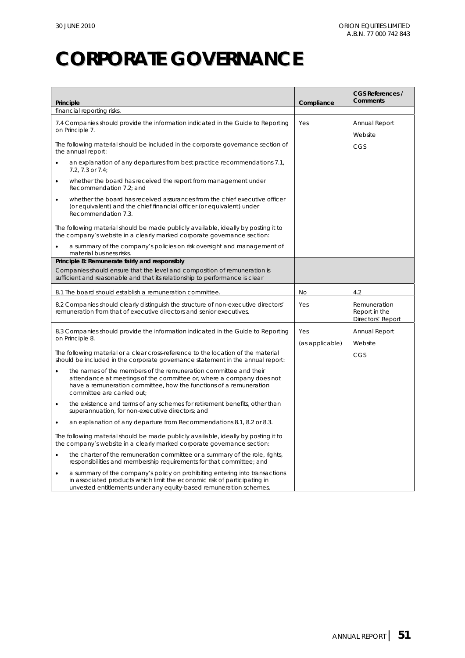| Principle                                                                                                                                                                                                                                                 | Compliance             | <b>CGS References /</b><br><b>Comments</b>         |
|-----------------------------------------------------------------------------------------------------------------------------------------------------------------------------------------------------------------------------------------------------------|------------------------|----------------------------------------------------|
| financial reporting risks.                                                                                                                                                                                                                                |                        |                                                    |
| 7.4 Companies should provide the information indicated in the Guide to Reporting<br>on Principle 7.                                                                                                                                                       | Yes                    | Annual Report<br>Website                           |
| The following material should be included in the corporate governance section of<br>the annual report:                                                                                                                                                    |                        | CGS                                                |
| an explanation of any departures from best practice recommendations 7.1,<br>7.2. 7.3 or 7.4:                                                                                                                                                              |                        |                                                    |
| whether the board has received the report from management under<br>$\bullet$<br>Recommendation 7.2; and                                                                                                                                                   |                        |                                                    |
| whether the board has received assurances from the chief executive officer<br>$\bullet$<br>(or equivalent) and the chief financial officer (or equivalent) under<br>Recommendation 7.3.                                                                   |                        |                                                    |
| The following material should be made publicly available, ideally by posting it to<br>the company's website in a clearly marked corporate governance section:                                                                                             |                        |                                                    |
| a summary of the company's policies on risk oversight and management of<br>material business risks.                                                                                                                                                       |                        |                                                    |
| Principle 8: Remunerate fairly and responsibly                                                                                                                                                                                                            |                        |                                                    |
| Companies should ensure that the level and composition of remuneration is<br>sufficient and reasonable and that its relationship to performance is clear                                                                                                  |                        |                                                    |
| 8.1 The board should establish a remuneration committee.                                                                                                                                                                                                  | No                     | 4.2                                                |
| 8.2 Companies should clearly distinguish the structure of non-executive directors'<br>remuneration from that of executive directors and senior executives.                                                                                                | Yes                    | Remuneration<br>Report in the<br>Directors' Report |
| 8.3 Companies should provide the information indicated in the Guide to Reporting<br>on Principle 8.                                                                                                                                                       | Yes<br>(as applicable) | Annual Report<br>Website                           |
| The following material or a clear cross-reference to the location of the material<br>should be included in the corporate governance statement in the annual report:                                                                                       |                        | CGS                                                |
| the names of the members of the remuneration committee and their<br>$\bullet$<br>attendance at meetings of the committee or, where a company does not<br>have a remuneration committee, how the functions of a remuneration<br>committee are carried out: |                        |                                                    |
| the existence and terms of any schemes for retirement benefits, other than<br>$\bullet$<br>superannuation, for non-executive directors; and                                                                                                               |                        |                                                    |
| an explanation of any departure from Recommendations 8.1, 8.2 or 8.3.                                                                                                                                                                                     |                        |                                                    |
| The following material should be made publicly available, ideally by posting it to<br>the company's website in a clearly marked corporate governance section:                                                                                             |                        |                                                    |
| the charter of the remuneration committee or a summary of the role, rights,<br>$\bullet$<br>responsibilities and membership requirements for that committee; and                                                                                          |                        |                                                    |
| a summary of the company's policy on prohibiting entering into transactions<br>$\bullet$<br>in associated products which limit the economic risk of participating in<br>unvested entitlements under any equity-based remuneration schemes.                |                        |                                                    |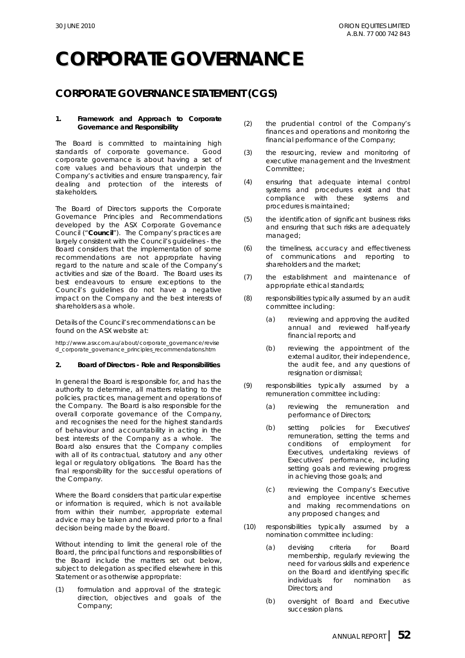### **CORPORATE GOVERNANCE STATEMENT (CGS)**

#### **1. Framework and Approach to Corporate Governance and Responsibility**

The Board is committed to maintaining high standards of corporate governance. Good corporate governance is about having a set of core values and behaviours that underpin the Company's activities and ensure transparency, fair dealing and protection of the interests of stakeholders.

The Board of Directors supports the Corporate Governance Principles and Recommendations developed by the ASX Corporate Governance Council ("**Council**"). The Company's practices are largely consistent with the Council's guidelines - the Board considers that the implementation of some recommendations are not appropriate having regard to the nature and scale of the Company's activities and size of the Board. The Board uses its best endeavours to ensure exceptions to the Council's guidelines do not have a negative impact on the Company and the best interests of shareholders as a whole.

Details of the Council's recommendations can be found on the ASX website at:

http://www.asx.com.au/about/corporate\_governance/revise d\_corporate\_governance\_principles\_recommendations.htm

#### **2. Board of Directors - Role and Responsibilities**

In general the Board is responsible for, and has the authority to determine, all matters relating to the policies, practices, management and operations of the Company. The Board is also responsible for the overall corporate governance of the Company, and recognises the need for the highest standards of behaviour and accountability in acting in the best interests of the Company as a whole. The Board also ensures that the Company complies with all of its contractual, statutory and any other legal or regulatory obligations. The Board has the final responsibility for the successful operations of the Company.

Where the Board considers that particular expertise or information is required, which is not available from within their number, appropriate external advice may be taken and reviewed prior to a final decision being made by the Board.

Without intending to limit the general role of the Board, the principal functions and responsibilities of the Board include the matters set out below, subject to delegation as specified elsewhere in this Statement or as otherwise appropriate:

(1) formulation and approval of the strategic direction, objectives and goals of the Company;

- (2) the prudential control of the Company's finances and operations and monitoring the financial performance of the Company;
- (3) the resourcing, review and monitoring of executive management and the Investment Committee;
- (4) ensuring that adequate internal control systems and procedures exist and that compliance with these systems and procedures is maintained;
- (5) the identification of significant business risks and ensuring that such risks are adequately managed;
- (6) the timeliness, accuracy and effectiveness of communications and reporting to shareholders and the market;
- (7) the establishment and maintenance of appropriate ethical standards;
- (8) responsibilities typically assumed by an audit committee including:
	- (a) reviewing and approving the audited annual and reviewed half-yearly financial reports; and
	- (b) reviewing the appointment of the external auditor, their independence, the audit fee, and any questions of resignation or dismissal;
- (9) responsibilities typically assumed by a remuneration committee including:
	- (a) reviewing the remuneration and performance of Directors;
	- (b) setting policies for Executives' remuneration, setting the terms and conditions of employment for Executives, undertaking reviews of Executives' performance, including setting goals and reviewing progress in achieving those goals; and
	- (c) reviewing the Company's Executive and employee incentive schemes and making recommendations on any proposed changes; and
- (10) responsibilities typically assumed by a nomination committee including:
	- (a) devising criteria for Board membership, regularly reviewing the need for various skills and experience on the Board and identifying specific individuals for nomination as Directors; and
	- (b) oversight of Board and Executive succession plans.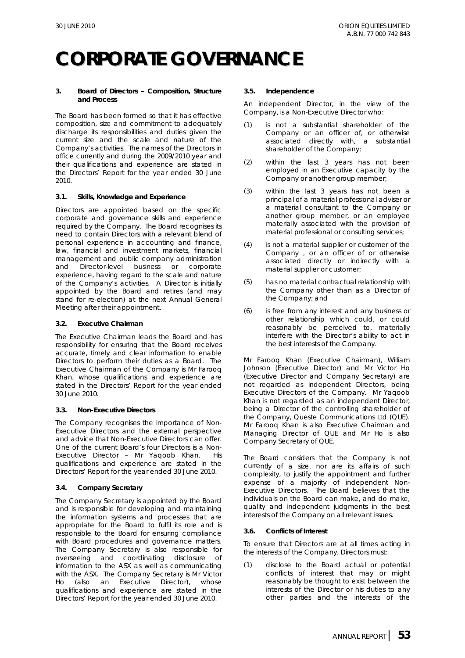#### **3. Board of Directors – Composition, Structure and Process**

The Board has been formed so that it has effective composition, size and commitment to adequately discharge its responsibilities and duties given the current size and the scale and nature of the Company's activities. The names of the Directors in office currently and during the 2009/2010 year and their qualifications and experience are stated in the Directors' Report for the year ended 30 June 2010.

#### **3.1. Skills, Knowledge and Experience**

Directors are appointed based on the specific corporate and governance skills and experience required by the Company. The Board recognises its need to contain Directors with a relevant blend of personal experience in accounting and finance, law, financial and investment markets, financial management and public company administration and Director-level business or corporate experience, having regard to the scale and nature of the Company's activities. A Director is initially appointed by the Board and retires (and may stand for re-election) at the next Annual General Meeting after their appointment.

#### **3.2. Executive Chairman**

The Executive Chairman leads the Board and has responsibility for ensuring that the Board receives accurate, timely and clear information to enable Directors to perform their duties as a Board. The Executive Chairman of the Company is Mr Farooq Khan, whose qualifications and experience are stated in the Directors' Report for the year ended 30 June 2010.

#### **3.3. Non-Executive Directors**

The Company recognises the importance of Non-Executive Directors and the external perspective and advice that Non-Executive Directors can offer. One of the current Board's four Directors is a Non-Executive Director – Mr Yaqoob Khan. His qualifications and experience are stated in the Directors' Report for the year ended 30 June 2010.

#### **3.4. Company Secretary**

The Company Secretary is appointed by the Board and is responsible for developing and maintaining the information systems and processes that are appropriate for the Board to fulfil its role and is responsible to the Board for ensuring compliance with Board procedures and governance matters. The Company Secretary is also responsible for overseeing and coordinating disclosure of information to the ASX as well as communicating with the ASX. The Company Secretary is Mr Victor Ho (also an Executive Director), whose qualifications and experience are stated in the Directors' Report for the year ended 30 June 2010.

#### **3.5. Independence**

An independent Director, in the view of the Company, is a Non-Executive Director who:

- (1) is not a substantial shareholder of the Company or an officer of, or otherwise associated directly with, a substantial shareholder of the Company;
- (2) within the last 3 years has not been employed in an Executive capacity by the Company or another group member;
- (3) within the last 3 years has not been a principal of a material professional adviser or a material consultant to the Company or another group member, or an employee materially associated with the provision of material professional or consulting services;
- (4) is not a material supplier or customer of the Company , or an officer of or otherwise associated directly or indirectly with a material supplier or customer;
- (5) has no material contractual relationship with the Company other than as a Director of the Company; and
- (6) is free from any interest and any business or other relationship which could, or could reasonably be perceived to, materially interfere with the Director's ability to act in the best interests of the Company.

Mr Farooq Khan (Executive Chairman), William Johnson (Executive Director) and Mr Victor Ho (Executive Director and Company Secretary) are not regarded as independent Directors, being Executive Directors of the Company. Mr Yaqoob Khan is not regarded as an independent Director, being a Director of the controlling shareholder of the Company, Queste Communications Ltd (QUE). Mr Farooq Khan is also Executive Chairman and Managing Director of QUE and Mr Ho is also Company Secretary of QUE.

The Board considers that the Company is not currently of a size, nor are its affairs of such complexity, to justify the appointment and further expense of a majority of independent Non-Executive Directors. The Board believes that the individuals on the Board can make, and do make, quality and independent judgments in the best interests of the Company on all relevant issues.

#### **3.6. Conflicts of Interest**

To ensure that Directors are at all times acting in the interests of the Company, Directors must:

(1) disclose to the Board actual or potential conflicts of interest that may or might reasonably be thought to exist between the interests of the Director or his duties to any other parties and the interests of the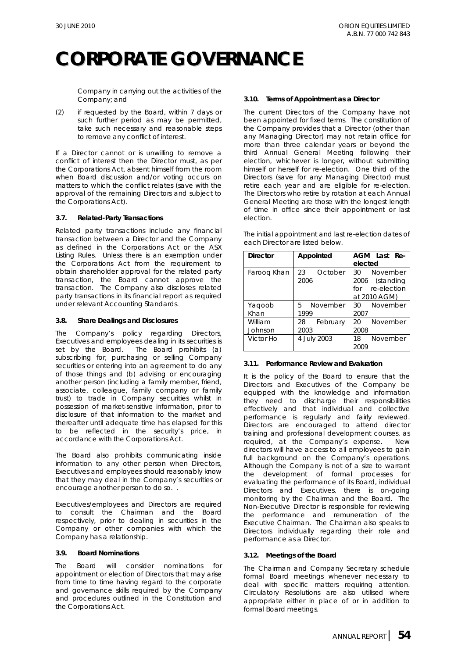Company in carrying out the activities of the Company; and

(2) if requested by the Board, within 7 days or such further period as may be permitted, take such necessary and reasonable steps to remove any conflict of interest.

If a Director cannot or is unwilling to remove a conflict of interest then the Director must, as per the Corporations Act, absent himself from the room when Board discussion and/or voting occurs on matters to which the conflict relates (save with the approval of the remaining Directors and subject to the Corporations Act).

#### **3.7. Related-Party Transactions**

Related party transactions include any financial transaction between a Director and the Company as defined in the Corporations Act or the ASX Listing Rules. Unless there is an exemption under the Corporations Act from the requirement to obtain shareholder approval for the related party transaction, the Board cannot approve the transaction. The Company also discloses related party transactions in its financial report as required under relevant Accounting Standards.

#### **3.8. Share Dealings and Disclosures**

The Company's policy regarding Directors, Executives and employees dealing in its securities is set by the Board. The Board prohibits (a) subscribing for, purchasing or selling Company securities or entering into an agreement to do any of those things and (b) advising or encouraging another person (including a family member, friend, associate, colleague, family company or family trust) to trade in Company securities whilst in possession of market-sensitive information, prior to disclosure of that information to the market and thereafter until adequate time has elapsed for this to be reflected in the security's price, in accordance with the Corporations Act.

The Board also prohibits communicating inside information to any other person when Directors, Executives and employees should reasonably know that they may deal in the Company's securities or encourage another person to do so. .

Executives/employees and Directors are required to consult the Chairman and the Board respectively, prior to dealing in securities in the Company or other companies with which the Company has a relationship.

#### **3.9. Board Nominations**

The Board will consider nominations for appointment or election of Directors that may arise from time to time having regard to the corporate and governance skills required by the Company and procedures outlined in the Constitution and the Corporations Act.

#### **3.10. Terms of Appointment as a Director**

The current Directors of the Company have not been appointed for fixed terms. The constitution of the Company provides that a Director (other than any Managing Director) may not retain office for more than three calendar years or beyond the third Annual General Meeting following their election, whichever is longer, without submitting himself or herself for re-election. One third of the Directors (save for any Managing Director) must retire each year and are eligible for re-election. The Directors who retire by rotation at each Annual General Meeting are those with the longest length of time in office since their appointment or last election.

The initial appointment and last re-election dates of each Director are listed below.

| <b>Director</b>    | Appointed              | AGM Last Re-<br>elected                                                   |
|--------------------|------------------------|---------------------------------------------------------------------------|
| Faroog Khan        | 23<br>October<br>2006  | November<br>30<br>(standing<br>2006<br>re-election<br>for<br>at 2010 AGM) |
| Yaqoob<br>Khan     | November<br>5<br>1999  | November<br>30<br>2007                                                    |
| William<br>Johnson | February<br>28<br>2003 | November<br>20<br>2008                                                    |
| Victor Ho          | 4 July 2003            | November<br>18<br>2009                                                    |

#### **3.11. Performance Review and Evaluation**

It is the policy of the Board to ensure that the Directors and Executives of the Company be equipped with the knowledge and information they need to discharge their responsibilities effectively and that individual and collective performance is regularly and fairly reviewed. Directors are encouraged to attend director training and professional development courses, as required, at the Company's expense. New directors will have access to all employees to gain full background on the Company's operations. Although the Company is not of a size to warrant the development of formal processes for evaluating the performance of its Board, individual Directors and Executives, there is on-going monitoring by the Chairman and the Board. The Non-Executive Director is responsible for reviewing the performance and remuneration of the Executive Chairman. The Chairman also speaks to Directors individually regarding their role and performance as a Director.

#### **3.12. Meetings of the Board**

The Chairman and Company Secretary schedule formal Board meetings whenever necessary to deal with specific matters requiring attention. Circulatory Resolutions are also utilised where appropriate either in place of or in addition to formal Board meetings.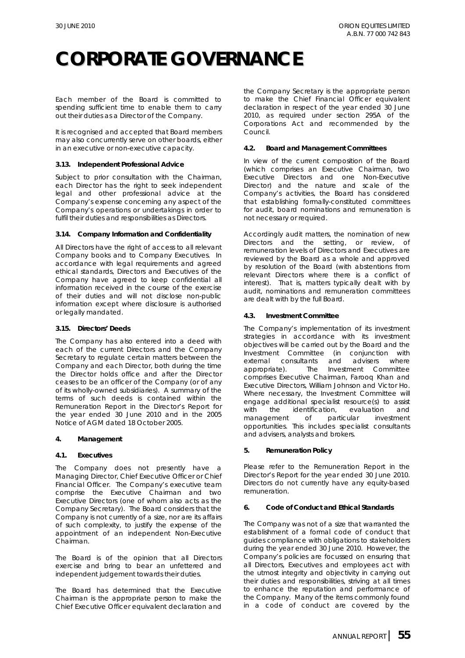Each member of the Board is committed to spending sufficient time to enable them to carry out their duties as a Director of the Company.

It is recognised and accepted that Board members may also concurrently serve on other boards, either in an executive or non-executive capacity.

#### **3.13. Independent Professional Advice**

Subject to prior consultation with the Chairman, each Director has the right to seek independent legal and other professional advice at the Company's expense concerning any aspect of the Company's operations or undertakings in order to fulfil their duties and responsibilities as Directors.

#### **3.14. Company Information and Confidentiality**

All Directors have the right of access to all relevant Company books and to Company Executives. In accordance with legal requirements and agreed ethical standards, Directors and Executives of the Company have agreed to keep confidential all information received in the course of the exercise of their duties and will not disclose non-public information except where disclosure is authorised or legally mandated.

#### **3.15. Directors' Deeds**

The Company has also entered into a deed with each of the current Directors and the Company Secretary to regulate certain matters between the Company and each Director, both during the time the Director holds office and after the Director ceases to be an officer of the Company (or of any of its wholly-owned subsidiaries). A summary of the terms of such deeds is contained within the Remuneration Report in the Director's Report for the year ended 30 June 2010 and in the 2005 Notice of AGM dated 18 October 2005.

#### **4. Management**

#### **4.1. Executives**

The Company does not presently have a Managing Director, Chief Executive Officer or Chief Financial Officer. The Company's executive team comprise the Executive Chairman and two Executive Directors (one of whom also acts as the Company Secretary). The Board considers that the Company is not currently of a size, nor are its affairs of such complexity, to justify the expense of the appointment of an independent Non-Executive Chairman.

The Board is of the opinion that all Directors exercise and bring to bear an unfettered and independent judgement towards their duties.

The Board has determined that the Executive Chairman is the appropriate person to make the Chief Executive Officer equivalent declaration and the Company Secretary is the appropriate person to make the Chief Financial Officer equivalent declaration in respect of the year ended 30 June 2010, as required under section 295A of the Corporations Act and recommended by the Council.

#### **4.2. Board and Management Committees**

In view of the current composition of the Board (which comprises an Executive Chairman, two Executive Directors and one Non-Executive Director) and the nature and scale of the Company's activities, the Board has considered that establishing formally-constituted committees for audit, board nominations and remuneration is not necessary or required.

Accordingly audit matters, the nomination of new Directors and the setting, or review, of remuneration levels of Directors and Executives are reviewed by the Board as a whole and approved by resolution of the Board (with abstentions from relevant Directors where there is a conflict of interest). That is, matters typically dealt with by audit, nominations and remuneration committees are dealt with by the full Board.

#### **4.3. Investment Committee**

The Company's implementation of its investment strategies in accordance with its investment objectives will be carried out by the Board and the Investment Committee (in conjunction with external consultants and advisers where appropriate). The Investment Committee comprises Executive Chairman, Farooq Khan and Executive Directors, William Johnson and Victor Ho. Where necessary, the Investment Committee will engage additional specialist resource(s) to assist with the identification, evaluation and management of particular investment opportunities. This includes specialist consultants and advisers, analysts and brokers.

#### **5. Remuneration Policy**

Please refer to the Remuneration Report in the Director's Report for the year ended 30 June 2010. Directors do not currently have any equity-based remuneration.

#### **6. Code of Conduct and Ethical Standards**

The Company was not of a size that warranted the establishment of a formal code of conduct that guides compliance with obligations to stakeholders during the year ended 30 June 2010. However, the Company's policies are focussed on ensuring that all Directors, Executives and employees act with the utmost integrity and objectivity in carrying out their duties and responsibilities, striving at all times to enhance the reputation and performance of the Company. Many of the items commonly found in a code of conduct are covered by the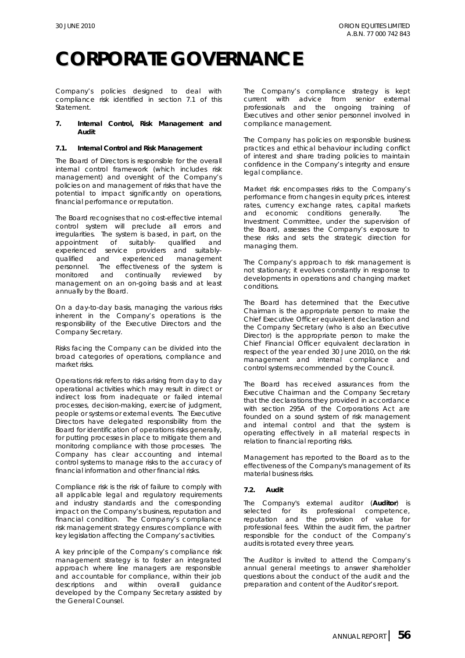Company's policies designed to deal with compliance risk identified in section 7.1 of this Statement.

#### **7. Internal Control, Risk Management and Audit**

#### **7.1. Internal Control and Risk Management**

The Board of Directors is responsible for the overall internal control framework (which includes risk management) and oversight of the Company's policies on and management of risks that have the potential to impact significantly on operations, financial performance or reputation.

The Board recognises that no cost-effective internal control system will preclude all errors and irregularities. The system is based, in part, on the appointment of suitably- qualified and experienced service providers and suitablyqualified and experienced management personnel. The effectiveness of the system is monitored and continually reviewed by management on an on-going basis and at least annually by the Board.

On a day-to-day basis, managing the various risks inherent in the Company's operations is the responsibility of the Executive Directors and the Company Secretary.

Risks facing the Company can be divided into the broad categories of operations, compliance and market risks.

Operations risk refers to risks arising from day to day operational activities which may result in direct or indirect loss from inadequate or failed internal processes, decision-making, exercise of judgment, people or systems or external events. The Executive Directors have delegated responsibility from the Board for identification of operations risks generally, for putting processes in place to mitigate them and monitoring compliance with those processes. The Company has clear accounting and internal control systems to manage risks to the accuracy of financial information and other financial risks.

Compliance risk is the risk of failure to comply with all applicable legal and regulatory requirements and industry standards and the corresponding impact on the Company's business, reputation and financial condition. The Company's compliance risk management strategy ensures compliance with key legislation affecting the Company's activities.

A key principle of the Company's compliance risk management strategy is to foster an integrated approach where line managers are responsible and accountable for compliance, within their job descriptions and within overall guidance developed by the Company Secretary assisted by the General Counsel.

The Company's compliance strategy is kept current with advice from senior external professionals and the ongoing training of Executives and other senior personnel involved in compliance management.

The Company has policies on responsible business practices and ethical behaviour including conflict of interest and share trading policies to maintain confidence in the Company's integrity and ensure legal compliance.

Market risk encompasses risks to the Company's performance from changes in equity prices, interest rates, currency exchange rates, capital markets and economic conditions generally. The Investment Committee, under the supervision of the Board, assesses the Company's exposure to these risks and sets the strategic direction for managing them.

The Company's approach to risk management is not stationary; it evolves constantly in response to developments in operations and changing market conditions.

The Board has determined that the Executive Chairman is the appropriate person to make the Chief Executive Officer equivalent declaration and the Company Secretary (who is also an Executive Director) is the appropriate person to make the Chief Financial Officer equivalent declaration in respect of the year ended 30 June 2010, on the risk management and internal compliance and control systems recommended by the Council.

The Board has received assurances from the Executive Chairman and the Company Secretary that the declarations they provided in accordance with section 295A of the Corporations Act are founded on a sound system of risk management and internal control and that the system is operating effectively in all material respects in relation to financial reporting risks.

Management has reported to the Board as to the effectiveness of the Company's management of its material business risks.

#### **7.2. Audit**

The Company's external auditor (**Auditor**) is selected for its professional competence, reputation and the provision of value for professional fees. Within the audit firm, the partner responsible for the conduct of the Company's audits is rotated every three years.

The Auditor is invited to attend the Company's annual general meetings to answer shareholder questions about the conduct of the audit and the preparation and content of the Auditor's report.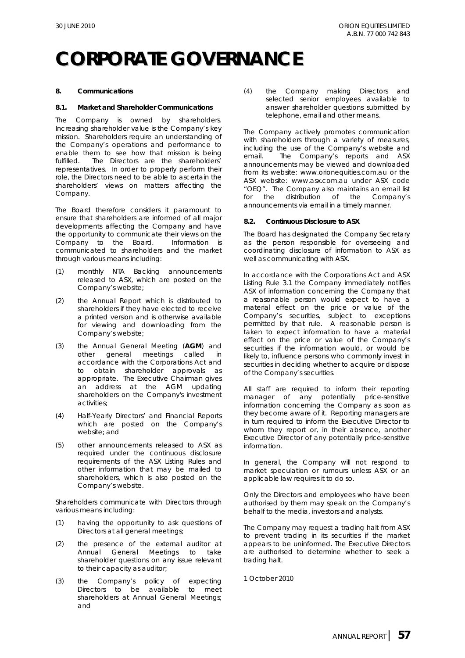#### **8. Communications**

#### **8.1. Market and Shareholder Communications**

The Company is owned by shareholders. Increasing shareholder value is the Company's key mission. Shareholders require an understanding of the Company's operations and performance to enable them to see how that mission is being fulfilled. The Directors are the shareholders' representatives. In order to properly perform their role, the Directors need to be able to ascertain the shareholders' views on matters affecting the Company.

The Board therefore considers it paramount to ensure that shareholders are informed of all major developments affecting the Company and have the opportunity to communicate their views on the Company to the Board. Information is communicated to shareholders and the market through various means including:

- (1) monthly NTA Backing announcements released to ASX, which are posted on the Company's website;
- (2) the Annual Report which is distributed to shareholders if they have elected to receive a printed version and is otherwise available for viewing and downloading from the Company's website;
- (3) the Annual General Meeting (**AGM**) and other general meetings called in accordance with the Corporations Act and to obtain shareholder approvals as appropriate. The Executive Chairman gives an address at the AGM updating shareholders on the Company's investment activities;
- (4) Half-Yearly Directors' and Financial Reports which are posted on the Company's website; and
- (5) other announcements released to ASX as required under the continuous disclosure requirements of the ASX Listing Rules and other information that may be mailed to shareholders, which is also posted on the Company's website.

Shareholders communicate with Directors through various means including:

- (1) having the opportunity to ask questions of Directors at all general meetings;
- (2) the presence of the external auditor at Annual General Meetings to take shareholder questions on any issue relevant to their capacity as auditor;
- (3) the Company's policy of expecting Directors to be available to meet shareholders at Annual General Meetings; and

(4) the Company making Directors and selected senior employees available to answer shareholder questions submitted by telephone, email and other means.

The Company actively promotes communication with shareholders through a variety of measures, including the use of the Company's website and email. The Company's reports and ASX announcements may be viewed and downloaded from its website: www.orionequities.com.au or the ASX website: www.asx.com.au under ASX code "OEQ". The Company also maintains an email list for the distribution of the Company's announcements via email in a timely manner.

#### **8.2. Continuous Disclosure to ASX**

The Board has designated the Company Secretary as the person responsible for overseeing and coordinating disclosure of information to ASX as well as communicating with ASX.

In accordance with the Corporations Act and ASX Listing Rule 3.1 the Company immediately notifies ASX of information concerning the Company that a reasonable person would expect to have a material effect on the price or value of the Company's securities, subject to exceptions permitted by that rule. A reasonable person is taken to expect information to have a material effect on the price or value of the Company's securities if the information would, or would be likely to, influence persons who commonly invest in securities in deciding whether to acquire or dispose of the Company's securities.

All staff are required to inform their reporting manager of any potentially price-sensitive information concerning the Company as soon as they become aware of it. Reporting managers are in turn required to inform the Executive Director to whom they report or, in their absence, another Executive Director of any potentially price-sensitive information.

In general, the Company will not respond to market speculation or rumours unless ASX or an applicable law requires it to do so.

Only the Directors and employees who have been authorised by them may speak on the Company's behalf to the media, investors and analysts.

The Company may request a trading halt from ASX to prevent trading in its securities if the market appears to be uninformed. The Executive Directors are authorised to determine whether to seek a trading halt.

1 October 2010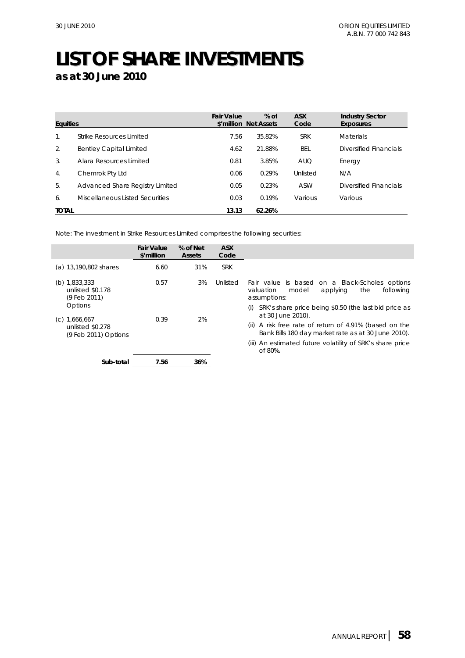### **LIST OF SHARE INVESTMENTS as at 30 June 2010**

**Equities Fair Value \$'million Net Assets % of ASX Code Industry Sector Exposures**  1. Strike Resources Limited 7.56 35.82% SRK Materials 2. Bentley Capital Limited 4.62 21.88% BEL Diversified Financials 3. Alara Resources Limited 0.81 3.85% AUQ Energy 4. Chemrok Pty Ltd 0.06 0.29% Unlisted N/A 5. Advanced Share Registry Limited 0.05 0.23% ASW Diversified Financials 6. Miscellaneous Listed Securities 0.03 0.19% Various Various **TOTAL 13.13 62.26%** 

Note: The investment in Strike Resources Limited comprises the following securities:

|                                                             | <b>Fair Value</b><br>\$'million | % of Net<br><b>Assets</b> | <b>ASX</b><br>Code |                                                                                                                      |
|-------------------------------------------------------------|---------------------------------|---------------------------|--------------------|----------------------------------------------------------------------------------------------------------------------|
| (a) 13,190,802 shares                                       | 6.60                            | 31%                       | <b>SRK</b>         |                                                                                                                      |
| (b) $1,833,333$<br>unlisted \$0.178<br>(9 Feb 2011)         | 0.57                            | 3%                        | Unlisted           | Fair value is based on a Black-Scholes options<br>applying<br>the<br>following<br>valuation<br>model<br>assumptions: |
| Options                                                     |                                 |                           |                    | SRK's share price being \$0.50 (the last bid price as<br>(i)<br>at 30 June 2010).                                    |
| $(C)$ 1,666,667<br>unlisted \$0.278<br>(9 Feb 2011) Options | 0.39                            | 2%                        |                    | A risk free rate of return of 4.91% (based on the<br>(11)<br>Bank Bills 180 day market rate as at 30 June 2010).     |
|                                                             |                                 |                           |                    | (iii) An estimated future volatility of SRK's share price<br>of 80%.                                                 |
| Sub-total                                                   | 7.56                            | 36%                       |                    |                                                                                                                      |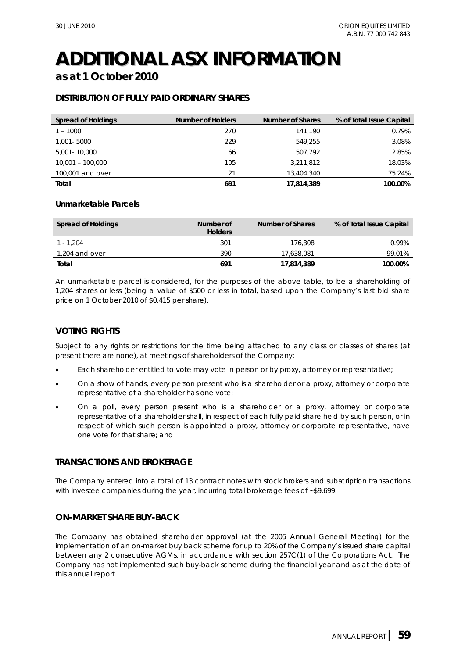## **ADDITIONAL ASX INFORMATION**

### **as at 1 October 2010**

#### **DISTRIBUTION OF FULLY PAID ORDINARY SHARES**

| Spread of Holdings | Number of Holders | Number of Shares | % of Total Issue Capital |
|--------------------|-------------------|------------------|--------------------------|
| $1 - 1000$         | 270               | 141.190          | 0.79%                    |
| 1.001 - 5000       | 229               | 549.255          | 3.08%                    |
| 5,001 - 10,000     | 66                | 507.792          | 2.85%                    |
| $10,001 - 100,000$ | 105               | 3,211,812        | 18.03%                   |
| 100,001 and over   | 21                | 13,404,340       | 75.24%                   |
| Total              | 691               | 17,814,389       | 100.00%                  |

#### **Unmarketable Parcels**

| Spread of Holdings | Number of<br><b>Holders</b> | Number of Shares | % of Total Issue Capital |
|--------------------|-----------------------------|------------------|--------------------------|
| $1 - 1.204$        | 301                         | 176,308          | 0.99%                    |
| 1.204 and over     | 390                         | 17.638.081       | 99.01%                   |
| Total              | 691                         | 17,814,389       | 100.00%                  |

An unmarketable parcel is considered, for the purposes of the above table, to be a shareholding of 1,204 shares or less (being a value of \$500 or less in total, based upon the Company's last bid share price on 1 October 2010 of \$0.415 per share).

#### **VOTING RIGHTS**

Subject to any rights or restrictions for the time being attached to any class or classes of shares (at present there are none), at meetings of shareholders of the Company:

- Each shareholder entitled to vote may vote in person or by proxy, attorney or representative;
- On a show of hands, every person present who is a shareholder or a proxy, attorney or corporate representative of a shareholder has one vote;
- On a poll, every person present who is a shareholder or a proxy, attorney or corporate representative of a shareholder shall, in respect of each fully paid share held by such person, or in respect of which such person is appointed a proxy, attorney or corporate representative, have one vote for that share; and

#### **TRANSACTIONS AND BROKERAGE**

The Company entered into a total of 13 contract notes with stock brokers and subscription transactions with investee companies during the year, incurring total brokerage fees of ~\$9,699.

#### **ON-MARKET SHARE BUY-BACK**

The Company has obtained shareholder approval (at the 2005 Annual General Meeting) for the implementation of an on-market buy back scheme for up to 20% of the Company's issued share capital between any 2 consecutive AGMs, in accordance with section 257C(1) of the Corporations Act. The Company has not implemented such buy-back scheme during the financial year and as at the date of this annual report.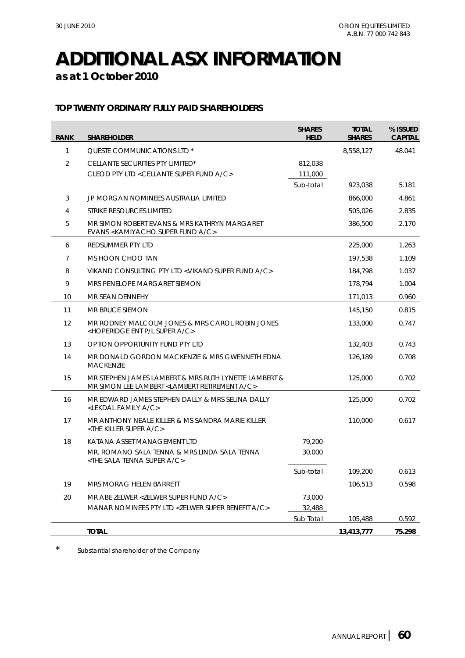## **ADDITIONAL ASX INFORMATION**

**as at 1 October 2010**

#### **TOP TWENTY ORDINARY FULLY PAID SHAREHOLDERS**

| <b>RANK</b>    | <b>SHAREHOLDER</b>                                                                                                        | <b>SHARES</b><br><b>HELD</b> | <b>TOTAL</b><br><b>SHARES</b> | % ISSUED<br><b>CAPITAL</b> |
|----------------|---------------------------------------------------------------------------------------------------------------------------|------------------------------|-------------------------------|----------------------------|
| 1              | QUESTE COMMUNICATIONS LTD <sup>*</sup>                                                                                    |                              | 8,558,127                     | 48.041                     |
| 2              | CELLANTE SECURITIES PTY LIMITED*                                                                                          | 812,038                      |                               |                            |
|                | CLEOD PTY LTD < CELLANTE SUPER FUND A/C>                                                                                  | 111,000                      |                               |                            |
|                |                                                                                                                           | Sub-total                    | 923,038                       | 5.181                      |
| 3              | JP MORGAN NOMINEES AUSTRALIA LIMITED                                                                                      |                              | 866,000                       | 4.861                      |
| 4              | STRIKE RESOURCES LIMITED                                                                                                  |                              | 505.026                       | 2.835                      |
| 5              | MR SIMON ROBERT EVANS & MRS KATHRYN MARGARET<br>EVANS < KAMIYACHO SUPER FUND A/C>                                         |                              | 386,500                       | 2.170                      |
| 6              | REDSUMMER PTY LTD                                                                                                         |                              | 225,000                       | 1.263                      |
| $\overline{7}$ | MS HOON CHOO TAN                                                                                                          |                              | 197,538                       | 1.109                      |
| 8              | VIKAND CONSULTING PTY LTD < VIKAND SUPER FUND A/C>                                                                        |                              | 184,798                       | 1.037                      |
| 9              | MRS PENELOPE MARGARET SIEMON                                                                                              |                              | 178.794                       | 1.004                      |
| 10             | MR SEAN DENNEHY                                                                                                           |                              | 171,013                       | 0.960                      |
| 11             | MR BRUCE SIEMON                                                                                                           |                              | 145,150                       | 0.815                      |
| 12             | MR RODNEY MALCOLM JONES & MRS CAROL ROBIN JONES<br><hoperidge a="" c="" ent="" l="" p="" super=""></hoperidge>            |                              | 133,000                       | 0.747                      |
| 13             | OPTION OPPORTUNITY FUND PTY LTD                                                                                           |                              | 132,403                       | 0.743                      |
| 14             | MR DONALD GORDON MACKENZIE & MRS GWENNETH EDNA<br><b>MACKENZIE</b>                                                        |                              | 126,189                       | 0.708                      |
| 15             | MR STEPHEN JAMES LAMBERT & MRS RUTH LYNETTE LAMBERT &<br>MR SIMON LEE LAMBERT <lambert a="" c="" retirement=""></lambert> |                              | 125,000                       | 0.702                      |
| 16             | MR EDWARD JAMES STEPHEN DALLY & MRS SELINA DALLY<br><lekdal a="" c="" family=""></lekdal>                                 |                              | 125,000                       | 0.702                      |
| 17             | MR ANTHONY NEALE KILLER & MS SANDRA MARIE KILLER<br><the a="" c="" killer="" super=""></the>                              |                              | 110,000                       | 0.617                      |
| 18             | KATANA ASSET MANAGEMENT LTD                                                                                               | 79,200                       |                               |                            |
|                | MR. ROMANO SALA TENNA & MRS LINDA SALA TENNA<br><the a="" c="" sala="" super="" tenna=""></the>                           | 30,000                       |                               |                            |
|                |                                                                                                                           | Sub-total                    | 109,200                       | 0.613                      |
| 19             | MRS MORAG HELEN BARRETT                                                                                                   |                              | 106,513                       | 0.598                      |
| 20             | MR ABE ZELWER <zelwer a="" c="" fund="" super=""></zelwer>                                                                | 73,000                       |                               |                            |
|                | MANAR NOMINEES PTY LTD < ZELWER SUPER BENEFIT A/C>                                                                        | 32,488                       |                               |                            |
|                |                                                                                                                           | Sub Total                    | 105,488                       | 0.592                      |
|                | <b>TOTAL</b>                                                                                                              |                              | 13,413,777                    | 75.298                     |

\* Substantial shareholder of the Company